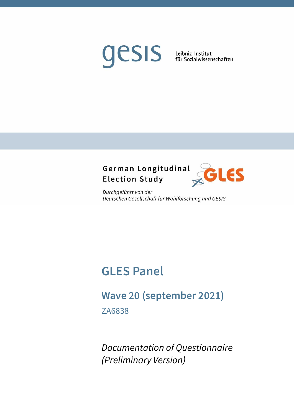# gesis

Leibniz-Institut für Sozialwissenschaften

# German Longitudinal **Election Study**



Durchgeführt von der Deutschen Gesellschaft für Wahlforschung und GESIS

# **GLES Panel**

# **Wave 20 (september 2021)**

ZA6838

*Documentation of Questionnaire (Preliminary Version)*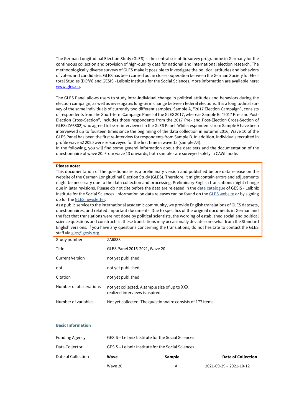The German Longitudinal Election Study (GLES) is the central scientific survey programme in Germany for the continuous collection and provision of high-quality data for national and international election research. The methodologically diverse surveys of GLES make it possible to investigate the political attitudes and behaviors of voters and candidates. GLES has been carried out in close cooperation between the German Society for Electoral Studies (DGfW) and GESIS - Leibniz Institute for the Social Sciences. More information are available here: [www.gles.eu.](http://www.gles.eu/)

The GLES Panel allows users to study intra-individual change in political attitudes and behaviors during the election campaign, as well as investigates long-term change between federal elections. It is a longitudinal survey of the same individuals of currently two different samples. Sample A, "2017 Election Campaign", consists of respondents from the Short-term Campaign Panel of the GLES 2017, whereas Sample B, "2017 Pre- and Post-Election Cross-Section", includes those respondents from the 2017 Pre- and Post-Election Cross-Section of GLES (ZA6802) who agreed to be re-interviewed in the GLES Panel. While respondents from Sample A have been interviewed up to fourteen times since the beginning of the data collection in autumn 2016, Wave 10 of the GLES Panel has been the first re-interview for respondents from Sample B. In addition, individuals recruited in profile wave a2 2020 were re-surveyed for the first time in wave 15 (sample A4).

In the following, you will find some general information about the data sets and the documentation of the questionnaire of wave 20. From wave 13 onwards, both samples are surveyed solely in CAWI mode.

#### **Please note:**

This documentation of the questionnaire is a preliminary version and published before data release on the website of the German Longitudinal Election Study (GLES). Therefore, it might contain errors and adjustments might be necessary due to the data collection and processing. Preliminary English translations might change due in later revisions. Please do not cite before the data are released in th[e data catalogue](https://dbk.gesis.org/dbksearch/?db=en) of GESIS - Leibniz Institute for the Social Sciences. Information on data releases can be found on th[e GLES website](http://www.gles.eu/) or by signing up for th[e GLES newsletter.](https://lists.gesis.org/mailman/listinfo/gles-l)

As a public service to the international academic community, we provide English translations of GLES datasets, questionnaires, and related important documents. Due to specifics of the original documents in German and the fact that translations were not done by political scientists, the wording of established social and political science questions and constructs in these translations may occasionally deviate somewhat from the Standard English versions. If you have any questions concerning the translations, do not hesitate to contact the GLES staff vi[a gles@gesis.org.](mailto:gles@gesis.org)

| Study number           | ZA6838                                                                           |
|------------------------|----------------------------------------------------------------------------------|
| Title                  | GLES Panel 2016-2021, Wave 20                                                    |
| <b>Current Version</b> | not yet published                                                                |
| doi                    | not yet published                                                                |
| Citation               | not yet published                                                                |
| Number of observations | not yet collected. A sample size of up to XXX<br>realized interviews is aspired. |
| Number of variables    | Not yet collected. The questionnaire consists of 177 items.                      |

#### **Basic Information**

|                       | Wave 20                                           | А      | 2021-09-29 - 2021-10-12   |
|-----------------------|---------------------------------------------------|--------|---------------------------|
| Date of Collection    | Wave                                              | Sample | <b>Date of Collection</b> |
| Data Collector        | GESIS - Leibniz Institute for the Social Sciences |        |                           |
| <b>Funding Agency</b> | GESIS - Leibniz Institute for the Social Sciences |        |                           |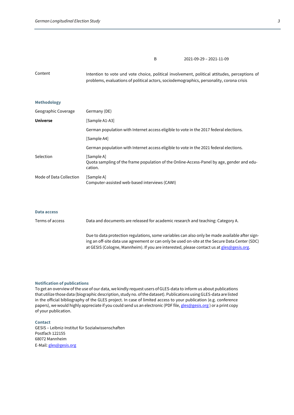B 2021-09-29 – 2021-11-09

Content Intention to vote und vote choice, political involvement, political attitudes, perceptions of problems, evaluations of political actors, sociodemographics, personality, corona crisis

#### **Methodology**

| Geographic Coverage     | Germany (DE)                                                                                                       |
|-------------------------|--------------------------------------------------------------------------------------------------------------------|
| <b>Universe</b>         | [Sample A1-A3]                                                                                                     |
|                         | German population with Internet access eligible to vote in the 2017 federal elections.                             |
|                         | [Sample A4]                                                                                                        |
|                         | German population with Internet access eligible to vote in the 2021 federal elections.                             |
| Selection               | [Sample A]<br>Quota sampling of the frame population of the Online-Access-Panel by age, gender and edu-<br>cation. |
| Mode of Data Collection | [Sample A]<br>Computer-assisted web-based interviews (CAWI)                                                        |

#### **Data access**

Terms of access Data and documents are released for academic research and teaching: Category A. Due to data protection regulations, some variables can also only be made available after signing an off-site data use agreement or can only be used on-site at the Secure Data Center (SDC) at GESIS (Cologne, Mannheim). If you are interested, please contact us a[t gles@gesis.org.](mailto:gles@gesis.org)

#### **Notification of publications**

To get an overview of the use of our data, we kindly request users of GLES-data to inform us about publications that utilize those data (biographic description, study no. of the dataset). Publications using GLES-data are listed in the official bibliography of the GLES project. In case of limited access to your publication (e.g. conference papers), we would highly appreciate if you could send us an electronic (PDF file[, gles@gesis.org](mailto:gles@gesis.org)) or a print copy of your publication.

#### **Contact**

GESIS – Leibniz-Institut für Sozialwissenschaften Postfach 122155 68072 Mannheim E-Mail[: gles@gesis.org](mailto:gles@gesis.org)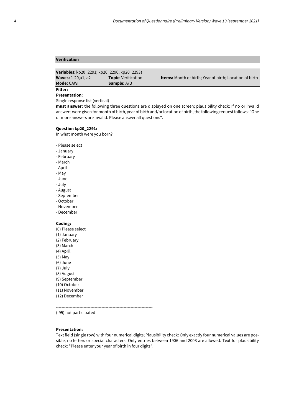# **Verification**

| Variables: kp20_2291; kp20_2290; kp20_2293s |                            |                                                                |
|---------------------------------------------|----------------------------|----------------------------------------------------------------|
| <b>Waves: 1-20, a1, a2</b>                  | <b>Topic:</b> Verification | <b>Items:</b> Month of birth; Year of birth; Location of birth |
| <b>Mode: CAWI</b>                           | <b>Sample:</b> A/B         |                                                                |
| Filter:                                     |                            |                                                                |

**Presentation:**

Single response list (vertical)

**must answer:** the following three questions are displayed on one screen; plausibility check: If no or invalid answers were given for month of birth, year of birth and/or location of birth, the following request follows: "One or more answers are invalid. Please answer all questions".

#### **Question kp20\_2291:**

In what month were you born?

- Please select

- January
- February
- March
- April
- May
- June
- July
- August
- September
- October
- November
- December

# **Coding:**

(0) Please select (1) January (2) February (3) March (4) April (5) May (6) June (7) July (8) August (9) September (10) October (11) November (12) December

----------------------------------------------------------------------

(-95) not participated

#### **Presentation:**

Text field (single row) with four numerical digits; Plausibility check: Only exactly four numerical values are possible, no letters or special characters! Only entries between 1906 and 2003 are allowed. Text for plausibility check: "Please enter your year of birth in four digits".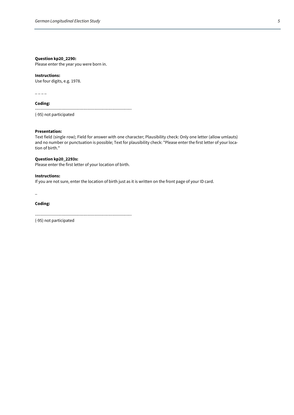# **Question kp20\_2290:**

Please enter the year you were born in.

#### **Instructions:**

Use four digits, e.g. 1978.

 $---$ 

#### **Coding:**

----------------------------------------------------------------------

(-95) not participated

#### **Presentation:**

Text field (single row); Field for answer with one character; Plausibility check: Only one letter (allow umlauts) and no number or punctuation is possible; Text for plausibility check: "Please enter the first letter of your location of birth."

# **Question kp20\_2293s:**

Please enter the first letter of your location of birth.

#### **Instructions:**

If you are not sure, enter the location of birth just as it is written on the front page of your ID card.

\_

# **Coding:**

----------------------------------------------------------------------

(-95) not participated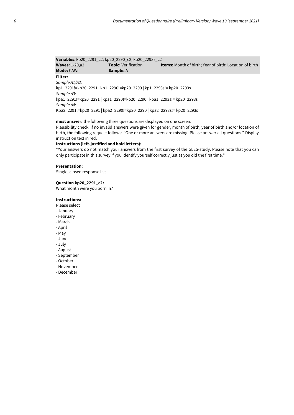| Variables: kp20_2291_c2; kp20_2290_c2; kp20_2293s_c2                  |                            |                                                                |  |  |
|-----------------------------------------------------------------------|----------------------------|----------------------------------------------------------------|--|--|
| <b>Waves: 1-20, a2</b>                                                | <b>Topic: Verification</b> | <b>Items:</b> Month of birth; Year of birth; Location of birth |  |  |
| <b>Mode: CAWI</b>                                                     | <b>Sample: A</b>           |                                                                |  |  |
| Filter:                                                               |                            |                                                                |  |  |
| Sample A1/A2:                                                         |                            |                                                                |  |  |
| kp1_2291!=kp20_2291   kp1_2290!=kp20_2290   kp1_2293s!= kp20_2293s    |                            |                                                                |  |  |
| Sample A3:                                                            |                            |                                                                |  |  |
| kpa1_2291!=kp20_2291   kpa1_2290!=kp20_2290   kpa1_2293s!= kp20_2293s |                            |                                                                |  |  |
| Sample A4:                                                            |                            |                                                                |  |  |

Kpa2\_2291!=kp20\_2291 | kpa2\_2290!=kp20\_2290 | kpa2\_2293s!= kp20\_2293s

# **must answer:** the following three questions are displayed on one screen.

Plausibility check: If no invalid answers were given for gender, month of birth, year of birth and/or location of birth, the following request follows: "One or more answers are missing. Please answer all questions." Display instruction text in red.

#### **Instructions (left-justified and bold letters):**

"Your answers do not match your answers from the first survey of the GLES-study. Please note that you can only participate in this survey if you identify yourself correctly just as you did the first time."

#### **Presentation:**

Single, closed response list

# **Question kp20\_2291\_c2:**

What month were you born in?

# **Instructions:**

- Please select
- January
- February
- March
- April
- May
- June
- July
- August
- September
- October
- November
- December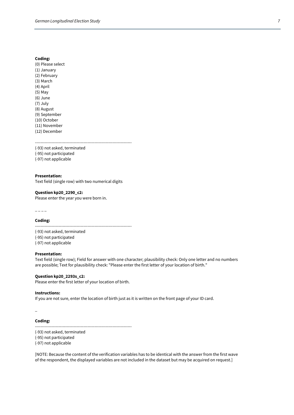(0) Please select (1) January (2) February (3) March (4) April (5) May (6) June (7) July (8) August (9) September (10) October (11) November (12) December

----------------------------------------------------------------------

(-93) not asked, terminated (-95) not participated (-97) not applicable

#### **Presentation:**  Text field (single row) with two numerical digits

**Question kp20\_2290\_c2:** Please enter the year you were born in.

 $---$ 

**Coding:**

---------------------------------------------------------------------- (-93) not asked, terminated (-95) not participated (-97) not applicable

#### **Presentation:**

Text field (single row); Field for answer with one character; plausibility check: Only one letter and no numbers are possible; Text for plausibility check: "Please enter the first letter of your location of birth."

#### **Question kp20\_2293s\_c2:**

Please enter the first letter of your location of birth.

#### **Instructions:**

If you are not sure, enter the location of birth just as it is written on the front page of your ID card.

\_

# **Coding:**

----------------------------------------------------------------------

(-93) not asked, terminated (-95) not participated (-97) not applicable

[NOTE: Because the content of the verification variables has to be identical with the answer from the first wave of the respondent, the displayed variables are not included in the dataset but may be acquired on request.]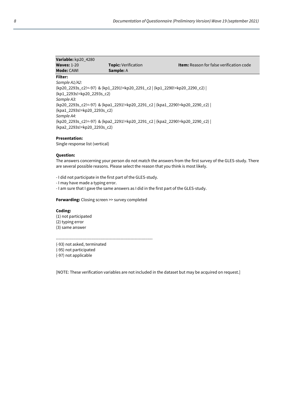| Variable: kp20_4280         |                                                                             |                                                 |
|-----------------------------|-----------------------------------------------------------------------------|-------------------------------------------------|
| <b>Waves: 1-20</b>          | <b>Topic:</b> Verification                                                  | <b>Item:</b> Reason for false verification code |
| <b>Mode: CAWI</b>           | <b>Sample: A</b>                                                            |                                                 |
| Filter:                     |                                                                             |                                                 |
| Sample A1/A2:               |                                                                             |                                                 |
|                             | (kp20_2293s_c2!=-97) & (kp1_2291!=kp20_2291_c2   (kp1_2290!=kp20_2290_c2)   |                                                 |
| (kp1 2293s!=kp20 2293s c2)  |                                                                             |                                                 |
| Sample A3:                  |                                                                             |                                                 |
|                             | (kp20_2293s_c2!=-97) & (kpa1_2291!=kp20_2291_c2   (kpa1_2290!=kp20_2290_c2) |                                                 |
| (kpa1 2293s!=kp20 2293s c2) |                                                                             |                                                 |
| Sample A4:                  |                                                                             |                                                 |
|                             | (kp20_2293s_c2!=-97) & (kpa2_2291!=kp20_2291_c2   (kpa2_2290!=kp20_2290_c2) |                                                 |
| (kpa2 2293s!=kp20 2293s c2) |                                                                             |                                                 |
|                             |                                                                             |                                                 |

# **Presentation:**

Single response list (vertical)

#### **Question:**

The answers concerning your person do not match the answers from the first survey of the GLES-study. There are several possible reasons. Please select the reason that you think is most likely.

- I did not participate in the first part of the GLES-study.

- I may have made a typing error.

- I am sure that I gave the same answers as I did in the first part of the GLES-study.

**Forwarding:** Closing screen >> survey completed

#### **Coding:**

(1) not participated (2) typing error (3) same answer

----------------------------------------------------------------------

(-93) not asked, terminated

(-95) not participated

(-97) not applicable

[NOTE: These verification variables are not included in the dataset but may be acquired on request.]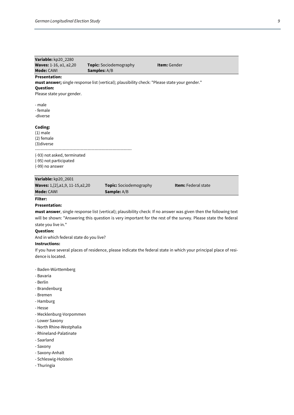| Variable: kp20_2280                 |                                                                                               |                            |
|-------------------------------------|-----------------------------------------------------------------------------------------------|----------------------------|
| <b>Waves: 1-16, a1, a2,20</b>       | <b>Topic:</b> Sociodemography                                                                 | <b>Item:</b> Gender        |
| Mode: CAWI                          | <b>Samples:</b> A/B                                                                           |                            |
| <b>Presentation:</b>                |                                                                                               |                            |
|                                     | must answer; single response list (vertical); plausibility check: "Please state your gender." |                            |
| <b>Question:</b>                    |                                                                                               |                            |
| Please state your gender.           |                                                                                               |                            |
|                                     |                                                                                               |                            |
| - male                              |                                                                                               |                            |
| - female                            |                                                                                               |                            |
| -diverse                            |                                                                                               |                            |
| Coding:                             |                                                                                               |                            |
| $(1)$ male                          |                                                                                               |                            |
| (2) female                          |                                                                                               |                            |
| (3) diverse                         |                                                                                               |                            |
|                                     |                                                                                               |                            |
| (-93) not asked, terminated         |                                                                                               |                            |
| (-95) not participated              |                                                                                               |                            |
| (-99) no answer                     |                                                                                               |                            |
|                                     |                                                                                               |                            |
| Variable: kp20_2601                 |                                                                                               |                            |
| Waves: 1, [2], a1, 9, 11-15, a2, 20 | <b>Topic:</b> Sociodemography                                                                 | <b>Item:</b> Federal state |

# **Filter:**

# **Presentation:**

**must answer**, single response list (vertical); plausibility check: If no answer was given then the following text will be shown: "Answering this question is very important for the rest of the survey. Please state the federal state you live in."

#### **Question:**

And in which federal state do you live?

**Mode:** CAWI **Sample:** A/B

#### **Instructions:**

If you have several places of residence, please indicate the federal state in which your principal place of residence is located.

- Baden-Württemberg
- Bavaria
- Berlin
- Brandenburg
- Bremen
- Hamburg
- Hesse
- Mecklenburg-Vorpommen
- Lower Saxony
- North Rhine-Westphalia
- Rhineland-Palatinate
- Saarland
- Saxony
- Saxony-Anhalt
- Schleswig-Holstein
- Thuringia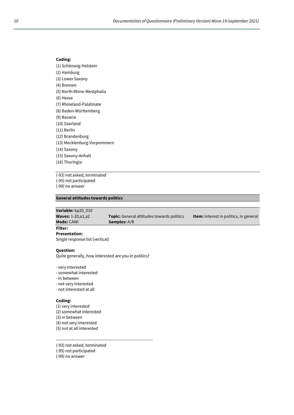(1) Schleswig-Holstein (2) Hamburg (3) Lower Saxony (4) Bremen (5) North Rhine-Westphalia (6) Hesse (7) Rhineland-Palatinate (8) Baden-Württemberg (9) Bavaria (10) Saarland (11) Berlin (12) Brandenburg (13) Mecklenburg-Vorpommern (14) Saxony (15) Saxony-Anhalt (16) Thuringia

(-93) not asked, terminated

(-95) not participated

(-99) no answer

# **General attitudes towards politics**

**Variable:** kp20\_010 **Waves:** 1-20,a1,a2 **Topic:** General attitudes towards politics **Item:** Interest in politics, in general **Mode: CAWI Samples: A/B Filter:**

**Presentation:** Single response list (vertical)

#### **Question:**

Quite generally, how interested are you in politics?

- very interested
- somewhat interested
- in between
- not very interested
- not interested at all

# **Coding:**

(1) very interested (2) somewhat interested (3) in between (4) not very interested (5) not at all interested

----------------------------------------------------------------------

(-93) not asked, terminated

(-95) not participated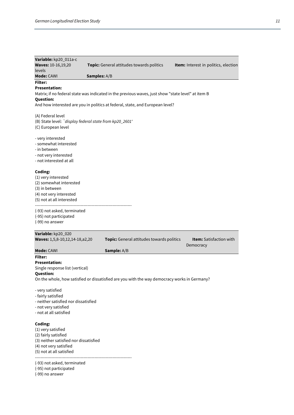| Variable: kp20_011a-c<br><b>Waves: 10-16,19,20</b>                                                                                                                                                                              |              | Topic: General attitudes towards politics | Item: Interest in politics, election        |
|---------------------------------------------------------------------------------------------------------------------------------------------------------------------------------------------------------------------------------|--------------|-------------------------------------------|---------------------------------------------|
| levels<br>Mode: CAWI                                                                                                                                                                                                            | Samples: A/B |                                           |                                             |
| <b>Filter:</b>                                                                                                                                                                                                                  |              |                                           |                                             |
| <b>Presentation:</b><br>Matrix; if no federal state was indicated in the previous waves, just show "state level" at item B<br><b>Question:</b><br>And how interested are you in politics at federal, state, and European level? |              |                                           |                                             |
| (A) Federal level<br>(B) State level: `display federal state from kp20_2601'<br>(C) European level                                                                                                                              |              |                                           |                                             |
| - very interested<br>- somewhat interested<br>- in between<br>- not very interested<br>- not interested at all                                                                                                                  |              |                                           |                                             |
| Coding:<br>(1) very interested<br>(2) somewhat interested<br>(3) in between<br>(4) not very interested<br>(5) not at all interested                                                                                             |              |                                           |                                             |
| (-93) not asked, terminated<br>(-95) not participated<br>(-99) no answer                                                                                                                                                        |              |                                           |                                             |
| Variable: kp20_020                                                                                                                                                                                                              |              |                                           |                                             |
| Waves: 1,5,8-10,12,14-18,a2,20                                                                                                                                                                                                  |              | Topic: General attitudes towards politics | <b>Item:</b> Satisfaction with<br>Democracy |
| Mode: CAWI                                                                                                                                                                                                                      | Sample: A/B  |                                           |                                             |
| <b>Filter:</b><br><b>Presentation:</b><br>Single response list (vertical)<br>Question:<br>On the whole, how satisfied or dissatisfied are you with the way democracy works in Germany?                                          |              |                                           |                                             |
| - very satisfied<br>- fairly satisfied<br>- neither satisfied nor dissatisfied<br>- not very satisfied<br>- not at all satisfied                                                                                                |              |                                           |                                             |
| Coding:<br>(1) very satisfied<br>(2) fairly satisfied<br>(3) neither satisfied nor dissatisfied<br>(4) not very satisfied<br>(5) not at all satisfied                                                                           |              |                                           |                                             |
| (-93) not asked, terminated                                                                                                                                                                                                     |              |                                           |                                             |

- (-95) not participated
- (-99) no answer
-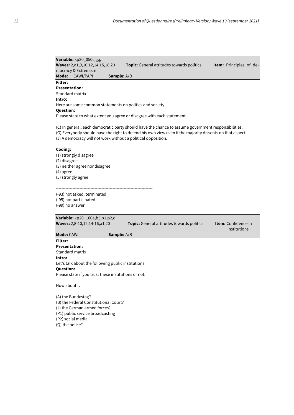**Variable:** kp20\_050c,g,j, **Waves:** 2,a1,9,10,12,14,15,18,20 **Topic**: General attitudes towards politics **Item:** Principles of democracy & Extremism **Mode:** CAWI/PAPI **Sample:** A/B **Filter: Presentation:**  Standard matrix **Intro:** Here are some common statements on politics and society. **Question:** Please state to what extent you agree or disagree with each statement. (C) In general, each democratic party should have the chance to assume government responsibilities. (G) Everybody should have the right to defend his own view even if the majority dissents on that aspect. (J) A democracy will not work without a political opposition. **Coding:**  (1) strongly disagree (2) disagree (3) neither agree nor disagree (4) agree (5) strongly agree ---------------------------------------------------------------------- (-93) not asked, terminated (-95) not participated (-99) no answer **Variable:** kp20\_160a,b,j,p1,p2,q **Waves:** 2,8-10,12,14-16,a1,20 **Topic:** General attitudes towards politics **Item:** Confidence in institutions **Mode:** CAWI **Sample:** A/B **Filter: Presentation:**  Standard matrix **Intro:** Let's talk about the following public institutions. **Question:** Please state if you trust these institutions or not. How about …

(A) the Bundestag? (B) the Federal Constitutional Court? (J) the German armed forces? (P1) public service broadcasting (P2) social media (Q) the police?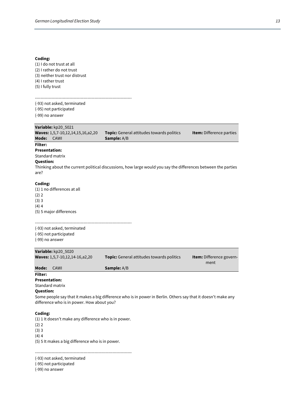(1) I do not trust at all (2) I rather do not trust (3) neither trust nor distrust (4) I rather trust (5) I fully trust

---------------------------------------------------------------------- (-93) not asked, terminated (-95) not participated

(-99) no answer

# **Variable:** kp20\_5021

| Mode:                                                                                                                                                                                                                                 | Waves: 1,5,7-10,12,14,15,16,a2,20<br>CAWI              | <b>Topic:</b> General attitudes towards politics<br>Sample: A/B                                               | <b>Item:</b> Difference parties  |
|---------------------------------------------------------------------------------------------------------------------------------------------------------------------------------------------------------------------------------------|--------------------------------------------------------|---------------------------------------------------------------------------------------------------------------|----------------------------------|
| Filter:<br><b>Presentation:</b><br>Standard matrix<br><b>Question:</b><br>are?                                                                                                                                                        |                                                        | Thinking about the current political discussions, how large would you say the differences between the parties |                                  |
| Coding:<br>(2) 2<br>(3)3<br>$(4)$ 4                                                                                                                                                                                                   | (1) 1 no differences at all<br>(5) 5 major differences |                                                                                                               |                                  |
| (-99) no answer                                                                                                                                                                                                                       | (-93) not asked, terminated<br>(-95) not participated  |                                                                                                               |                                  |
|                                                                                                                                                                                                                                       | Variable: kp20_5020<br>Waves: 1,5,7-10,12,14-16,a2,20  | Topic: General attitudes towards politics                                                                     | Item: Difference govern-<br>ment |
| Mode:                                                                                                                                                                                                                                 | CAWI                                                   | Sample: A/B                                                                                                   |                                  |
| Filter:<br><b>Presentation:</b><br>Standard matrix<br><b>Question:</b><br>Some people say that it makes a big difference who is in power in Berlin. Others say that it doesn't make any<br>difference who is in power. How about you? |                                                        |                                                                                                               |                                  |
| Coding:<br>(2) 2                                                                                                                                                                                                                      | (1) 1 It doesn't make any difference who is in power.  |                                                                                                               |                                  |

(3) 3

 $(4)$  4

(5) 5 It makes a big difference who is in power.

----------------------------------------------------------------------

(-93) not asked, terminated

(-95) not participated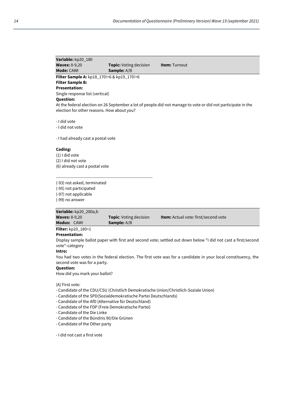| Variable: kp20_180                                    |                               |                                                                                                              |  |
|-------------------------------------------------------|-------------------------------|--------------------------------------------------------------------------------------------------------------|--|
| <b>Waves: 8-9,20</b>                                  | <b>Topic:</b> Voting decision | <b>Item: Turnout</b>                                                                                         |  |
| <b>Mode: CAWI</b>                                     | <b>Sample:</b> A/B            |                                                                                                              |  |
| <b>Filter Sample A:</b> $kp18_170!=6$ & $kp19_170!=6$ |                               |                                                                                                              |  |
| <b>Filter Sample B:</b>                               |                               |                                                                                                              |  |
| <b>Presentation:</b>                                  |                               |                                                                                                              |  |
| Single response list (vertical)                       |                               |                                                                                                              |  |
| <b>Question:</b>                                      |                               |                                                                                                              |  |
|                                                       |                               | At the federal election on 26 September a lot of people did not manage to vote or did not participate in the |  |
| election for other reasons. How about you?            |                               |                                                                                                              |  |
|                                                       |                               |                                                                                                              |  |
| - I did vote                                          |                               |                                                                                                              |  |
| - I did not vote                                      |                               |                                                                                                              |  |
|                                                       |                               |                                                                                                              |  |
| - I had already cast a postal vote                    |                               |                                                                                                              |  |
|                                                       |                               |                                                                                                              |  |
| Coding:                                               |                               |                                                                                                              |  |
| $(1)$ I did vote                                      |                               |                                                                                                              |  |
| (2) I did not vote                                    |                               |                                                                                                              |  |
| (6) already cast a postal vote                        |                               |                                                                                                              |  |
|                                                       |                               |                                                                                                              |  |

----------------------------------------------------------------------

(-93) not asked, terminated

(-95) not participated

(-97) not applicable

(-99) no answer

**Variable:** kp20\_200a,b

| <b>Waves: 8-9,20</b> | <b>Topic:</b> Voting decision | <b>Item:</b> Actual vote: first/second vote |
|----------------------|-------------------------------|---------------------------------------------|
| Modus: CAWI          | <b>Sample:</b> A/B            |                                             |
| ----<br>.            |                               |                                             |

**Filter:** kp20\_180=1

# **Presentation:**

Display sample ballot paper with first and second vote; settled out down below "I did not cast a first/second vote"-category

**Intro:** 

You had two votes in the federal election. The first vote was for a candidate in your local constituency, the second vote was for a party.

# **Question:**

How did you mark your ballot?

(A) First vote:

- Candidate of the CDU/CSU (Christlich Demokratische Union/Christlich-Soziale Union)
- Candidate of the SPD(Sozialdemokratische Partei Deutschlands)
- Candidate of the AfD (Alternative für Deutschland)
- Candidate of the FDP (Freie Demokratische Partei)
- Candidate of the Die Linke
- Candidate of the Bündnis 90/Die Grünen
- Candidate of the Other party

- I did not cast a first vote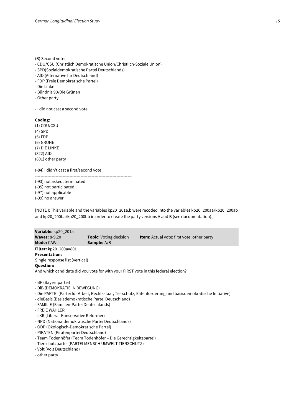(B) Second vote:

- CDU/CSU (Christlich Demokratische Union/Christlich-Soziale Union)
- SPD(Sozialdemokratische Partei Deutschlands)
- AfD (Alternative für Deutschland)
- FDP (Freie Demokratische Partei)
- Die Linke
- Bündnis 90/Die Grünen
- Other party

- I did not cast a second vote

#### **Coding:**

(1) CDU/CSU (4) SPD (5) FDP (6) GRÜNE (7) DIE LINKE (322) AfD (801) other party

(-84) I didn't cast a first/second vote

---------------------------------------------------------------------- (-93) not asked, terminated (-95) not participated (-97) not applicable

(-99) no answer

[NOTE I: This variable and the variables kp20\_201a,b were recoded into the variables kp20\_200aa/kp20\_200ab and kp20\_200ba/kp20\_200bb in order to create the party versions A and B (see documentation).]

| <b>Topic:</b> Voting decision                                                       | <b>Item:</b> Actual vote: first vote, other party |  |  |  |
|-------------------------------------------------------------------------------------|---------------------------------------------------|--|--|--|
| <b>Sample:</b> A/B                                                                  |                                                   |  |  |  |
|                                                                                     |                                                   |  |  |  |
|                                                                                     |                                                   |  |  |  |
| Single response list (vertical)                                                     |                                                   |  |  |  |
| <b>Question:</b>                                                                    |                                                   |  |  |  |
| And which candidate did you vote for with your FIRST vote in this federal election? |                                                   |  |  |  |
|                                                                                     |                                                   |  |  |  |
| - DIB (DEMOKRATIE IN BEWEGUNG)                                                      |                                                   |  |  |  |
|                                                                                     |                                                   |  |  |  |

- Die PARTEI (Partei für Arbeit, Rechtsstaat, Tierschutz, Elitenförderung und basisdemokratische Initiative)
- dieBasis (Basisdemokratische Partei Deutschland)
- FAMILIE (Familien-Partei Deutschlands)
- FREIE WÄHLER
- LKR (Liberal-Konservative Reformer)
- NPD (Nationaldemokratische Partei Deutschlands)
- ÖDP (Ökologisch-Demokratische Partei)
- PIRATEN (Piratenpartei Deutschland)
- Team Todenhöfer (Team Todenhöfer Die Gerechtigkeitspartei)
- Tierschutzpartei (PARTEI MENSCH UMWELT TIERSCHUTZ)
- Volt (Volt Deutschland)
- other party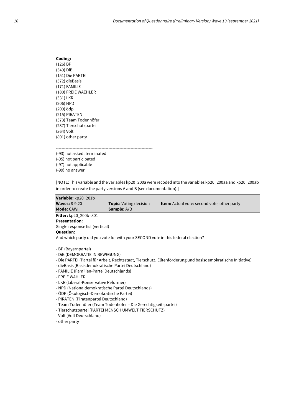| Coding:                |
|------------------------|
| $(126)$ BP             |
| (349) DiB              |
| (151) Die PARTEI       |
| (372) dieBasis         |
| (171) FAMILIE          |
| (180) FREIE WAEHLER    |
| (331) LKR              |
| (206) NPD              |
| (209) ödp              |
| (215) PIRATEN          |
| (373) Team Todenhöfer  |
| (237) Tierschutzpartei |
| (364) Volt             |
| (801) other party      |

----------------------------------------------------------------------

(-93) not asked, terminated (-95) not participated (-97) not applicable (-99) no answer

[NOTE: This variable and the variables kp20\_200a were recoded into the variables kp20\_200aa and kp20\_200ab in order to create the party versions A and B (see documentation).]

| Variable: kp20_201b             |                                                                                  |                                                                                                              |
|---------------------------------|----------------------------------------------------------------------------------|--------------------------------------------------------------------------------------------------------------|
| <b>Waves: 8-9,20</b>            | <b>Topic:</b> Voting decision                                                    | <b>Item:</b> Actual vote: second vote, other party                                                           |
| <b>Mode: CAWI</b>               | <b>Sample:</b> A/B                                                               |                                                                                                              |
| Filter: kp20_200b=801           |                                                                                  |                                                                                                              |
| <b>Presentation:</b>            |                                                                                  |                                                                                                              |
| Single response list (vertical) |                                                                                  |                                                                                                              |
| <b>Question:</b>                |                                                                                  |                                                                                                              |
|                                 | And which party did you vote for with your SECOND vote in this federal election? |                                                                                                              |
|                                 |                                                                                  |                                                                                                              |
| - BP (Bayernpartei)             |                                                                                  |                                                                                                              |
| - DIB (DEMOKRATIE IN BEWEGUNG)  |                                                                                  |                                                                                                              |
|                                 |                                                                                  | - Die PARTEI (Partei für Arbeit, Rechtsstaat, Tierschutz, Elitenförderung und basisdemokratische Initiative) |
|                                 | - dieBasis (Basisdemokratische Partei Deutschland)                               |                                                                                                              |

- FAMILIE (Familien-Partei Deutschlands)
- FREIE WÄHLER
- LKR (Liberal-Konservative Reformer)
- NPD (Nationaldemokratische Partei Deutschlands)
- ÖDP (Ökologisch-Demokratische Partei)
- PIRATEN (Piratenpartei Deutschland)
- Team Todenhöfer (Team Todenhöfer Die Gerechtigkeitspartei)
- Tierschutzpartei (PARTEI MENSCH UMWELT TIERSCHUTZ)
- Volt (Volt Deutschland)
- other party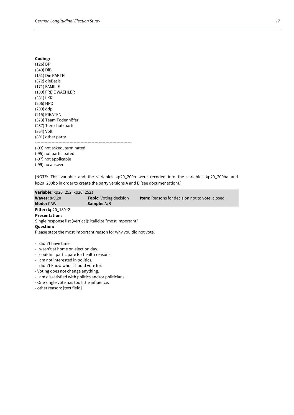| Coding:    |  |
|------------|--|
| $(126)$ BP |  |

- (349) DiB (151) Die PARTEI (372) dieBasis (171) FAMILIE (180) FREIE WAEHLER (331) LKR (206) NPD (209) ödp (215) PIRATEN (373) Team Todenhöfer (237) Tierschutzpartei (364) Volt (801) other party ---------------------------------------------------------------------- (-93) not asked, terminated (-95) not participated
- (-97) not applicable (-99) no answer

[NOTE: This variable and the variables kp20\_200b were recoded into the variables kp20\_200ba and kp20\_200bb in order to create the party versions A and B (see documentation).]

**Variable:** kp20\_252, kp20\_252s **Topic:** Voting decision **Item:** Reasons for decision not to vote, closed **Mode:** CAWI **Sample:** A/B **Filter:** kp20\_180=2 **Presentation:**  Single response list (vertical); italicize "most important" **Question:** Please state the most important reason for why you did not vote. - I didn't have time. - I wasn't at home on election day.

- I couldn't participate for health reasons.
- I am not interested in politics.
- I didn't know who I should vote for.
- Voting does not change anything.
- I am dissatisfied with politics and/or politicians.
- One single vote has too little influence.
- other reason: [text field]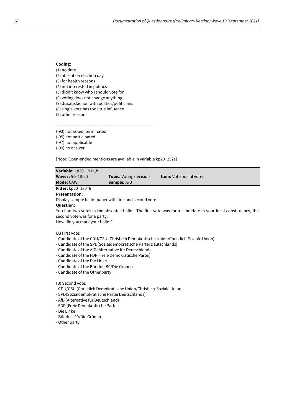(1) no time (2) absent on election day (3) for health reasons (4) not interested in politics (5) didn't know who I should vote for (6) voting does not change anything (7) dissatisfaction with politics/politicians (8) single vote has too little influence (9) other reason

---------------------------------------------------------------------- (-93) not asked, terminated (-95) not participated

(-97) not applicable

(-99) no answer

[Note: Open-ended mentions are available in variable kp20\_252s]

| Variable: kp20_191a,b                                                                                                                                                                                                                                                                                                                                                                                    |                                                                     |                                                                                                              |  |
|----------------------------------------------------------------------------------------------------------------------------------------------------------------------------------------------------------------------------------------------------------------------------------------------------------------------------------------------------------------------------------------------------------|---------------------------------------------------------------------|--------------------------------------------------------------------------------------------------------------|--|
| <b>Waves: 5-9,18-20</b>                                                                                                                                                                                                                                                                                                                                                                                  | <b>Topic:</b> Voting decision                                       | <b>Item:</b> Vote postal voter                                                                               |  |
| <b>Mode: CAWI</b>                                                                                                                                                                                                                                                                                                                                                                                        | <b>Sample:</b> A/B                                                  |                                                                                                              |  |
| <b>Filter:</b> kp20_180=6                                                                                                                                                                                                                                                                                                                                                                                |                                                                     |                                                                                                              |  |
| <b>Presentation:</b>                                                                                                                                                                                                                                                                                                                                                                                     |                                                                     |                                                                                                              |  |
|                                                                                                                                                                                                                                                                                                                                                                                                          | Display sample ballot paper with first and second vote              |                                                                                                              |  |
| <b>Question:</b>                                                                                                                                                                                                                                                                                                                                                                                         |                                                                     |                                                                                                              |  |
|                                                                                                                                                                                                                                                                                                                                                                                                          |                                                                     | You had two votes in the absentee ballot. The first vote was for a candidate in your local constituency, the |  |
| second vote was for a party.                                                                                                                                                                                                                                                                                                                                                                             |                                                                     |                                                                                                              |  |
| How did you mark your ballot?                                                                                                                                                                                                                                                                                                                                                                            |                                                                     |                                                                                                              |  |
| (A) First vote:<br>- Candidate of the CDU/CSU (Christlich Demokratische Union/Christlich-Soziale Union)<br>- Candidate of the SPD (Sozialdemokratische Partei Deutschlands)<br>- Candidate of the AfD (Alternative für Deutschland)<br>- Candidate of the FDP (Freie Demokratische Partei)<br>- Candidate of the Die Linke<br>- Candidate of the Bündnis 90/Die Grünen<br>- Candidate of the Other party |                                                                     |                                                                                                              |  |
| (B) Second vote:                                                                                                                                                                                                                                                                                                                                                                                         | - CDU/CSU (Christlich Demokratische Union/Christlich-Soziale Union) |                                                                                                              |  |

- SPD(Sozialdemokratische Partei Deutschlands)
- AfD (Alternative für Deutschland)
- FDP (Freie Demokratische Partei)
- Die Linke
- Bündnis 90/Die Grünen
- Other party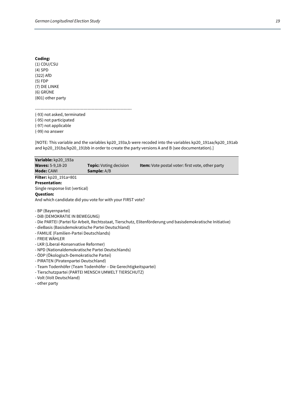(1) CDU/CSU (4) SPD (322) AfD (5) FDP (7) DIE LINKE (6) GRÜNE (801) other party

---------------------------------------------------------------------- (-93) not asked, terminated (-95) not participated (-97) not applicable (-99) no answer

[NOTE: This variable and the variables kp20\_193a,b were recoded into the variables kp20\_191aa/kp20\_191ab and kp20\_191ba/kp20\_191bb in order to create the party versions A and B (see documentation).]

| Variable: kp20 193a                                        |                               |                                                                                                              |
|------------------------------------------------------------|-------------------------------|--------------------------------------------------------------------------------------------------------------|
| <b>Waves: 5-9,18-20</b>                                    | <b>Topic:</b> Voting decision | <b>Item:</b> Vote postal voter: first vote, other party                                                      |
| <b>Mode: CAWI</b>                                          | <b>Sample:</b> A/B            |                                                                                                              |
| Filter: kp20_191a=801                                      |                               |                                                                                                              |
| <b>Presentation:</b>                                       |                               |                                                                                                              |
| Single response list (vertical)                            |                               |                                                                                                              |
| <b>Question:</b>                                           |                               |                                                                                                              |
| And which candidate did you vote for with your FIRST vote? |                               |                                                                                                              |
| - BP (Bayernpartei)<br>- DIB (DEMOKRATIE IN BEWEGUNG)      |                               |                                                                                                              |
|                                                            |                               | - Die PARTEI (Partei für Arbeit, Rechtsstaat, Tierschutz, Elitenförderung und basisdemokratische Initiative) |
| - dieBasis (Basisdemokratische Partei Deutschland)         |                               |                                                                                                              |
|                                                            |                               |                                                                                                              |

- FAMILIE (Familien-Partei Deutschlands)
- FREIE WÄHLER
- LKR (Liberal-Konservative Reformer)
- NPD (Nationaldemokratische Partei Deutschlands)
- ÖDP (Ökologisch-Demokratische Partei)
- PIRATEN (Piratenpartei Deutschland)
- Team Todenhöfer (Team Todenhöfer Die Gerechtigkeitspartei)
- Tierschutzpartei (PARTEI MENSCH UMWELT TIERSCHUTZ)
- Volt (Volt Deutschland)
- other party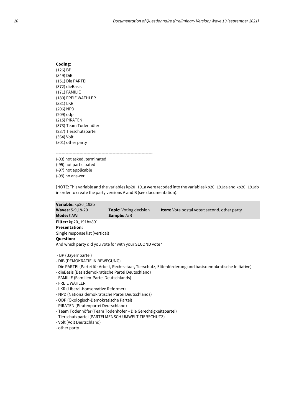| Coding:                |  |
|------------------------|--|
| $(126)$ BP             |  |
| (349) DiB              |  |
| (151) Die PARTEI       |  |
| (372) dieBasis         |  |
| (171) FAMILIE          |  |
| (180) FREIE WAEHLER    |  |
| (331) LKR              |  |
| (206) NPD              |  |
| (209) ödp              |  |
| (215) PIRATEN          |  |
| (373) Team Todenhöfer  |  |
| (237) Tierschutzpartei |  |
| (364) Volt             |  |
| (801) other party      |  |

(-93) not asked, terminated (-95) not participated (-97) not applicable (-99) no answer

[NOTE: This variable and the variables kp20\_191a were recoded into the variables kp20\_191aa and kp20\_191ab in order to create the party versions A and B (see documentation).

----------------------------------------------------------------------

| Variable: kp20 193b                                     |                               |                                                     |  |
|---------------------------------------------------------|-------------------------------|-----------------------------------------------------|--|
| <b>Waves:</b> 5-9,18-20                                 | <b>Topic:</b> Voting decision | <b>Item:</b> Vote postal voter: second, other party |  |
| <b>Mode: CAWI</b>                                       | <b>Sample:</b> A/B            |                                                     |  |
| Filter: kp20_191b=801                                   |                               |                                                     |  |
| <b>Presentation:</b>                                    |                               |                                                     |  |
| Single response list (vertical)                         |                               |                                                     |  |
| <b>Question:</b>                                        |                               |                                                     |  |
| And which party did you vote for with your SECOND vote? |                               |                                                     |  |
| - BP (Bayernpartei)                                     |                               |                                                     |  |
| - DIB (DEMOKRATIE IN BEWEGUNG)                          |                               |                                                     |  |
|                                                         |                               |                                                     |  |

- Die PARTEI (Partei für Arbeit, Rechtsstaat, Tierschutz, Elitenförderung und basisdemokratische Initiative)
- dieBasis (Basisdemokratische Partei Deutschland)
- FAMILIE (Familien-Partei Deutschlands)
- FREIE WÄHLER
- LKR (Liberal-Konservative Reformer)
- NPD (Nationaldemokratische Partei Deutschlands)
- ÖDP (Ökologisch-Demokratische Partei)
- PIRATEN (Piratenpartei Deutschland)
- Team Todenhöfer (Team Todenhöfer Die Gerechtigkeitspartei)
- Tierschutzpartei (PARTEI MENSCH UMWELT TIERSCHUTZ)
- Volt (Volt Deutschland)

- other party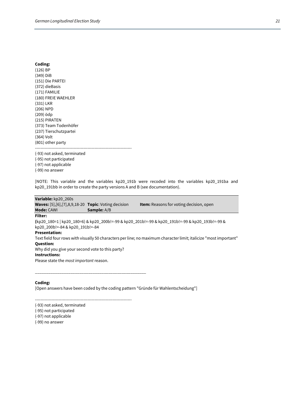(126) BP (349) DiB (151) Die PARTEI (372) dieBasis (171) FAMILIE (180) FREIE WAEHLER (331) LKR (206) NPD (209) ödp (215) PIRATEN (373) Team Todenhöfer (237) Tierschutzpartei (364) Volt (801) other party ----------------------------------------------------------------------

(-93) not asked, terminated

(-95) not participated (-97) not applicable (-99) no answer

[NOTE: This variable and the variables kp20\_191b were recoded into the variables kp20\_191ba and kp20\_191bb in order to create the party versions A and B (see documentation).

# **Variable:** kp20\_260s **Waves:** [5],[6],[7],8,9,18-20 **Topic**: Voting decision **Item:** Reasons for voting decision, open **Mode:** CAWI **Sample:** A/B **Filter: (**kp20\_180=1 | kp20\_180=6) & kp20\_200b!=-99 & kp20\_201b!=-99 & kp20\_191b!=-99 & kp20\_193b!=-99 & kp20\_200b!=-84 & kp20\_191b!=-84 **Presentation:**  Text field four rows with visually 50 characters per line; no maximum character limit; italicize "most important" **Question:**  Why did you give your second vote to this party? **Instructions:**

Please state the *most important* reason.

**Coding:** 

[Open answers have been coded by the coding pattern "Gründe für Wahlentscheidung"]

----------------------------------------------------------------------

\_\_\_\_\_\_\_\_\_\_\_\_\_\_\_\_\_\_\_\_\_\_\_\_\_\_\_\_\_\_\_\_\_\_\_\_\_\_\_\_\_\_\_\_\_\_\_\_\_\_

(-93) not asked, terminated

(-95) not participated

(-97) not applicable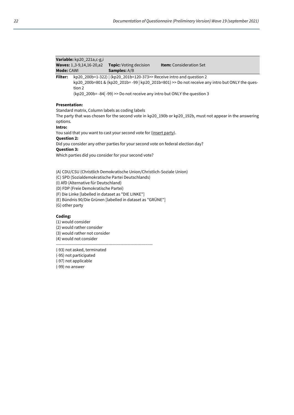|                      | Variable: kp20_221a,c-g,i                                                                                                                                                                                                                                   |                                                                                  |                                                                                                           |  |  |
|----------------------|-------------------------------------------------------------------------------------------------------------------------------------------------------------------------------------------------------------------------------------------------------------|----------------------------------------------------------------------------------|-----------------------------------------------------------------------------------------------------------|--|--|
|                      | Waves: 1,3-9,14,16-20,a2                                                                                                                                                                                                                                    | <b>Topic:</b> Voting decision                                                    | Item: Consideration Set                                                                                   |  |  |
| <b>Mode: CAWI</b>    |                                                                                                                                                                                                                                                             | Samples: A/B                                                                     |                                                                                                           |  |  |
| <b>Filter:</b>       | kp20_200b=1-322)   (kp20_201b=120-373>> Receive intro and question 2<br>kp20_200b=801 & (kp20_201b=-99   kp20_201b=801) >> Do not receive any intro but ONLY the ques-<br>tion 2<br>(kp20_200b=-84 -99) >> Do not receive any intro but ONLY the question 3 |                                                                                  |                                                                                                           |  |  |
| <b>Presentation:</b> |                                                                                                                                                                                                                                                             |                                                                                  |                                                                                                           |  |  |
|                      |                                                                                                                                                                                                                                                             | Standard matrix, Column labels as coding labels                                  |                                                                                                           |  |  |
| options.             |                                                                                                                                                                                                                                                             |                                                                                  | The party that was chosen for the second vote in kp20_190b or kp20_192b, must not appear in the answering |  |  |
| Intro:               |                                                                                                                                                                                                                                                             |                                                                                  |                                                                                                           |  |  |
|                      |                                                                                                                                                                                                                                                             | You said that you want to cast your second vote for (insert party).              |                                                                                                           |  |  |
| <b>Question 2:</b>   |                                                                                                                                                                                                                                                             |                                                                                  |                                                                                                           |  |  |
|                      |                                                                                                                                                                                                                                                             | Did you consider any other parties for your second vote on federal election day? |                                                                                                           |  |  |
| <b>Question 3:</b>   |                                                                                                                                                                                                                                                             | Which parties did you consider for your second vote?                             |                                                                                                           |  |  |
|                      |                                                                                                                                                                                                                                                             |                                                                                  |                                                                                                           |  |  |
|                      |                                                                                                                                                                                                                                                             | (A) CDU/CSU (Christlich Demokratische Union/Christlich-Soziale Union)            |                                                                                                           |  |  |
|                      |                                                                                                                                                                                                                                                             | (C) SPD (Sozialdemokratische Partei Deutschlands)                                |                                                                                                           |  |  |
|                      | (I) AfD (Alternative für Deutschland)                                                                                                                                                                                                                       |                                                                                  |                                                                                                           |  |  |
|                      | (D) FDP (Freie Demokratische Partei)                                                                                                                                                                                                                        |                                                                                  |                                                                                                           |  |  |
|                      |                                                                                                                                                                                                                                                             | (F) Die Linke [labelled in dataset as "DIE LINKE"]                               |                                                                                                           |  |  |
|                      | (E) Bündnis 90/Die Grünen [labelled in dataset as "GRÜNE"]<br>(G) other party                                                                                                                                                                               |                                                                                  |                                                                                                           |  |  |
|                      |                                                                                                                                                                                                                                                             |                                                                                  |                                                                                                           |  |  |
| Coding:              |                                                                                                                                                                                                                                                             |                                                                                  |                                                                                                           |  |  |
|                      | (1) would consider                                                                                                                                                                                                                                          |                                                                                  |                                                                                                           |  |  |
|                      | (2) would rather consider                                                                                                                                                                                                                                   |                                                                                  |                                                                                                           |  |  |
|                      | (3) would rather not consider                                                                                                                                                                                                                               |                                                                                  |                                                                                                           |  |  |
|                      | (4) would not consider                                                                                                                                                                                                                                      |                                                                                  |                                                                                                           |  |  |
|                      | (-93) not asked, terminated                                                                                                                                                                                                                                 |                                                                                  |                                                                                                           |  |  |

(-95) not participated

(-97) not applicable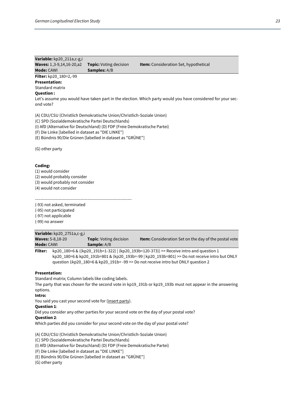# **Variable:** kp20\_211a,c-g,i **Waves:** 1,3-9,14,16-20,a2 **Topic:** Voting decision **Item:** Consideration Set, hypothetical

**Mode: CAWI Samples: A/B Filter:** kp20\_180=2,-99

#### **Presentation:**

Standard matrix

#### **Question :**

Let's assume you would have taken part in the election. Which party would you have considered for your second vote?

(A) CDU/CSU (Christlich Demokratische Union/Christlich-Soziale Union)

(C) SPD (Sozialdemokratische Partei Deutschlands)

(I) AfD (Alternative für Deutschland) (D) FDP (Freie Demokratische Partei)

(F) Die Linke [labelled in dataset as "DIE LINKE"]

(E) Bündnis 90/Die Grünen [labelled in dataset as "GRÜNE"]

(G) other party

#### **Coding:**

(1) would consider

(2) would probably consider

(3) would probably not consider

(4) would not consider

---------------------------------------------------------------------- (-93) not asked, terminated

(-95) not participated

(-97) not applicable

(-99) no answer

# **Variable:** kp20\_2751a,c-g,i **Waves:** 5-8,18-20 **Topic**: Voting decision **Item:** Consideration Set on the day of the postal vote **Mode:** CAWI **Sample:** A/B

**Filter:** kp20\_180=6 & ((kp20\_191b=1-322) | (kp20\_193b=120-373)) >> Receive intro and question 1 kp20\_180=6 & kp20\_191b=801 & (kp20\_193b=-99 | kp20\_193b=801) >> Do not receive intro but ONLY question 1kp20\_180=6 & kp20\_191b= -99 >> Do not receive intro but ONLY question 2

#### **Presentation:**

Standard matrix; Column labels like coding labels.

The party that was chosen for the second vote in kp19\_191b or kp19\_193b must not appear in the answering options.

#### **Intro:**

You said you cast your second vote for (insert party).

#### **Question 1**:

Did you consider any other parties for your second vote on the day of your postal vote?

#### **Question 2**:

Which parties did you consider for your second vote on the day of your postal vote?

(A) CDU/CSU (Christlich Demokratische Union/Christlich-Soziale Union)

(C) SPD (Sozialdemokratische Partei Deutschlands)

(I) AfD (Alternative für Deutschland) (D) FDP (Freie Demokratische Partei)

(F) Die Linke [labelled in dataset as "DIE LINKE"]

(E) Bündnis 90/Die Grünen [labelled in dataset as "GRÜNE"]

(G) other party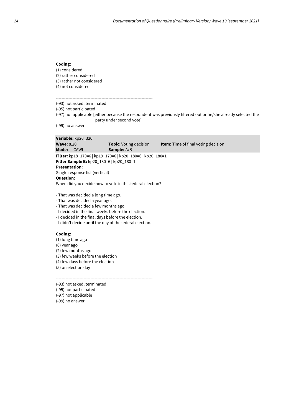(1) considered (2) rather considered (3) rather not considered (4) not considered

----------------------------------------------------------------------

(-93) not asked, terminated

(-95) not participated

(-97) not applicable [either because the respondent was previously filtered out or he/she already selected the party under second vote]

(-99) no answer

|                                                           | Variable: kp20 320              |                               |                                            |
|-----------------------------------------------------------|---------------------------------|-------------------------------|--------------------------------------------|
| <b>Wave: 8,20</b>                                         |                                 | <b>Topic:</b> Voting decision | <b>Item:</b> Time of final voting decision |
| Mode:                                                     | CAWI                            | <b>Sample:</b> A/B            |                                            |
| Filter: kp18_170=6   kp19_170=6   kp20_180=6   kp20_180=1 |                                 |                               |                                            |
| <b>Filter Sample B:</b> kp20 180=6   kp20 180=1           |                                 |                               |                                            |
| <b>Presentation:</b>                                      |                                 |                               |                                            |
|                                                           | Single response list (vertical) |                               |                                            |

**Question:**

When did you decide how to vote in this federal election?

- That was decided a long time ago.

- That was decided a year ago.
- That was decided a few months ago.
- I decided in the final weeks before the election.
- I decided in the final days before the election.
- I didn't decide until the day of the federal election.

#### **Coding:**

(1) long time ago

- (6) year ago
- (2) few months ago

(3) few weeks before the election

(4) few days before the election

(5) on election day

----------------------------------------------------------------------

- (-93) not asked, terminated
- (-95) not participated

(-97) not applicable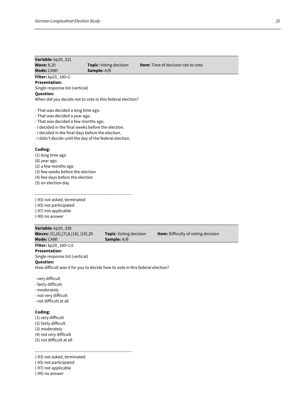| Variable: kp20_321<br><b>Wave: 8,20</b><br><b>Mode: CAWI</b>                                                                                                                                                                                                                           | <b>Topic:</b> Voting decision<br>Sample: A/B                                 | <b>Item:</b> Time of decision not to vote |  |  |
|----------------------------------------------------------------------------------------------------------------------------------------------------------------------------------------------------------------------------------------------------------------------------------------|------------------------------------------------------------------------------|-------------------------------------------|--|--|
| Filter: kp20_180=2<br><b>Presentation:</b><br>Single response list (vertical)<br>Question:                                                                                                                                                                                             | When did you decide not to vote in this federal election?                    |                                           |  |  |
| - That was decided a long time ago.<br>- That was decided a year ago.<br>- That was decided a few months ago.<br>- I decided in the final weeks before the election.<br>- I decided in the final days before the election.<br>- I didn't decide until the day of the federal election. |                                                                              |                                           |  |  |
| Coding:<br>(1) long time ago<br>(6) year ago<br>(2) a few months ago<br>(3) few weeks before the election<br>(4) few days before the election<br>(5) on election day                                                                                                                   |                                                                              |                                           |  |  |
| (-93) not asked, terminated<br>(-95) not participated<br>(-97) not applicable<br>(-99) no answer                                                                                                                                                                                       |                                                                              |                                           |  |  |
| Variable: kp20_330<br>Waves: [5], [6], [7], 8, [18], [19], 20<br>Mode: CAWI                                                                                                                                                                                                            | <b>Topic:</b> Voting decision<br>Sample: A/B                                 | Item: Difficulty of voting decision       |  |  |
| <b>Filter:</b> $kp20_180=1,6$<br><b>Presentation:</b><br>Single response list (vertical)<br>Question:<br>- very difficult<br>- fairly difficult<br>- moderately<br>- not very difficult                                                                                                | How difficult was it for you to decide how to vote in this federal election? |                                           |  |  |

- not difficult at all

# **Coding:**

(1) very difficult (2) fairly difficult (3) moderately (4) not very difficult (5) not difficult at all

----------------------------------------------------------------------

- (-93) not asked, terminated
- (-95) not participated

(-97) not applicable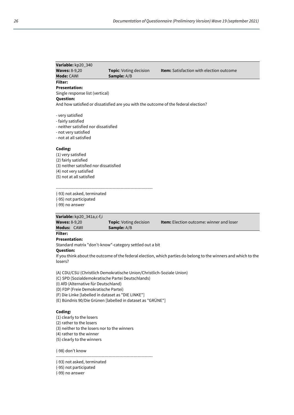| Variable: kp20_340                     |                                                                                     |                                                 |  |
|----------------------------------------|-------------------------------------------------------------------------------------|-------------------------------------------------|--|
| <b>Waves: 8-9,20</b>                   | <b>Topic:</b> Voting decision                                                       | <b>Item:</b> Satisfaction with election outcome |  |
| Mode: CAWI                             | <b>Sample:</b> A/B                                                                  |                                                 |  |
| Filter:                                |                                                                                     |                                                 |  |
| <b>Presentation:</b>                   |                                                                                     |                                                 |  |
| Single response list (vertical)        |                                                                                     |                                                 |  |
| <b>Question:</b>                       |                                                                                     |                                                 |  |
|                                        | And how satisfied or dissatisfied are you with the outcome of the federal election? |                                                 |  |
|                                        |                                                                                     |                                                 |  |
| - very satisfied                       |                                                                                     |                                                 |  |
| - fairly satisfied                     |                                                                                     |                                                 |  |
| - neither satisfied nor dissatisfied   |                                                                                     |                                                 |  |
| - not very satisfied                   |                                                                                     |                                                 |  |
| - not at all satisfied                 |                                                                                     |                                                 |  |
|                                        |                                                                                     |                                                 |  |
| Coding:                                |                                                                                     |                                                 |  |
| (1) very satisfied                     |                                                                                     |                                                 |  |
| (2) fairly satisfied                   |                                                                                     |                                                 |  |
| (3) neither satisfied nor dissatisfied |                                                                                     |                                                 |  |
| (4) not very satisfied                 |                                                                                     |                                                 |  |
| (5) not at all satisfied               |                                                                                     |                                                 |  |
|                                        |                                                                                     |                                                 |  |
|                                        |                                                                                     |                                                 |  |
| (-93) not asked, terminated            |                                                                                     |                                                 |  |
| (-95) not participated                 |                                                                                     |                                                 |  |
| (-99) no answer                        |                                                                                     |                                                 |  |
|                                        |                                                                                     |                                                 |  |

# **Variable:** kp20\_341a,c-f,i

| <b>Waves: 8-9,20</b> | <b>Topic:</b> Voting decision | <b>Item:</b> Election outcome: winner and loser |
|----------------------|-------------------------------|-------------------------------------------------|
| <b>Modus: CAWI</b>   | <b>Sample:</b> A/B            |                                                 |
| Filter:              |                               |                                                 |
| <b>Presentation:</b> |                               |                                                 |

Standard matrix "don't-know"-category settled out a bit

#### **Question:**

If you think about the outcome of the federal election, which parties do belong to the winners and which to the losers?

(A) CDU/CSU (Christlich Demokratische Union/Christlich-Soziale Union)

(C) SPD (Sozialdemokratische Partei Deutschlands)

(I) AfD (Alternative für Deutschland)

(D) FDP (Freie Demokratische Partei)

- (F) Die Linke [labelled in dataset as "DIE LINKE"]
- (E) Bündnis 90/Die Grünen [labelled in dataset as "GRÜNE"]

# **Coding:**

(1) clearly to the losers

(2) rather to the losers

(3) neither to the losers nor to the winners

(4) rather to the winner

(5) clearly to the winners

(-98) don't know

----------------------------------------------------------------------

(-93) not asked, terminated

(-95) not participated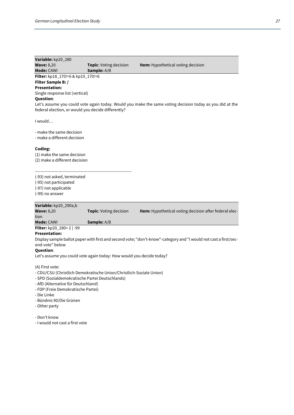| Variable: kp20_280                                                  |                                                                      |                                                                                                                  |
|---------------------------------------------------------------------|----------------------------------------------------------------------|------------------------------------------------------------------------------------------------------------------|
| <b>Wave: 8,20</b>                                                   | Topic: Voting decision                                               | Item: Hypothetical voting decision                                                                               |
| Mode: CAWI                                                          | Sample: A/B                                                          |                                                                                                                  |
| Filter: kp18_170!=6 & kp19_170!=6                                   |                                                                      |                                                                                                                  |
| Filter Sample B: /                                                  |                                                                      |                                                                                                                  |
| <b>Presentation:</b>                                                |                                                                      |                                                                                                                  |
| Single response list (vertical)                                     |                                                                      |                                                                                                                  |
| <b>Question:</b>                                                    |                                                                      |                                                                                                                  |
| federal election, or would you decide differently?                  |                                                                      | Let's assume you could vote again today. Would you make the same voting decision today as you did at the         |
| I would                                                             |                                                                      |                                                                                                                  |
|                                                                     |                                                                      |                                                                                                                  |
| - make the same decision                                            |                                                                      |                                                                                                                  |
| - make a different decision                                         |                                                                      |                                                                                                                  |
|                                                                     |                                                                      |                                                                                                                  |
| Coding:                                                             |                                                                      |                                                                                                                  |
| (1) make the same decision                                          |                                                                      |                                                                                                                  |
| (2) make a different decision                                       |                                                                      |                                                                                                                  |
|                                                                     |                                                                      |                                                                                                                  |
|                                                                     |                                                                      |                                                                                                                  |
| (-93) not asked, terminated<br>(-95) not participated               |                                                                      |                                                                                                                  |
| (-97) not applicable                                                |                                                                      |                                                                                                                  |
| (-99) no answer                                                     |                                                                      |                                                                                                                  |
|                                                                     |                                                                      |                                                                                                                  |
| Variable: kp20_290a,b                                               |                                                                      |                                                                                                                  |
| <b>Wave: 8,20</b>                                                   | Topic: Voting decision                                               | Item: Hypothetical voting decision after federal elec-                                                           |
| tion                                                                |                                                                      |                                                                                                                  |
| <b>Mode: CAWI</b>                                                   | <b>Sample:</b> A/B                                                   |                                                                                                                  |
| Filter: kp20_280=2   -99                                            |                                                                      |                                                                                                                  |
| <b>Presentation:</b>                                                |                                                                      |                                                                                                                  |
|                                                                     |                                                                      | Display sample ballot paper with first and second vote; "don't-know"-category and "I would not cast a first/sec- |
| ond vote" below                                                     |                                                                      |                                                                                                                  |
| <b>Question:</b>                                                    |                                                                      |                                                                                                                  |
|                                                                     | Let's assume you could vote again today: How would you decide today? |                                                                                                                  |
| (A) First vote:                                                     |                                                                      |                                                                                                                  |
| - CDU/CSU (Christlich Demokratische Union/Christlich-Soziale Union) |                                                                      |                                                                                                                  |
| - SPD (Sozialdemokratische Partei Deutschlands)                     |                                                                      |                                                                                                                  |
| - AfD (Alternative für Deutschland)                                 |                                                                      |                                                                                                                  |
| - FDP (Freie Demokratische Partei)                                  |                                                                      |                                                                                                                  |

- Die Linke
- Bündnis 90/Die Grünen
- Other party

- Don't know

- I would not cast a first vote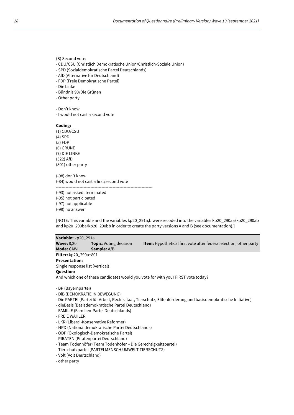- CDU/CSU (Christlich Demokratische Union/Christlich-Soziale Union)
- SPD (Sozialdemokratische Partei Deutschlands)
- AfD (Alternative für Deutschland)
- FDP (Freie Demokratische Partei)
- Die Linke
- Bündnis 90/Die Grünen
- Other party

```
- Don't know
```
- I would not cast a second vote

#### **Coding:**

(1) CDU/CSU (4) SPD (5) FDP (6) GRÜNE (7) DIE LINKE (322) AfD (801) other party

(-98) don't know (-84) would not cast a first/second vote ----------------------------------------------------------------------

(-93) not asked, terminated

(-95) not participated

(-97) not applicable

(-99) no answer

[NOTE: This variable and the variables kp20\_291a,b were recoded into the variables kp20\_290aa/kp20\_290ab and kp20\_290ba/kp20\_290bb in order to create the party versions A and B (see documentation).]

# **Variable:** kp20\_291a

**Wave:** 8,20 **Topic**: Voting decision **Item:** Hypothetical first vote after federal election, other party **Mode:** CAWI **Sample:** A/B

**Filter:** kp20\_290a=801

# **Presentation:**

Single response list (vertical)

# **Question:**

And which one of these candidates would you vote for with your FIRST vote today?

- DiB (DEMOKRATIE IN BEWEGUNG)
- Die PARTEI (Partei für Arbeit, Rechtsstaat, Tierschutz, Elitenförderung und basisdemokratische Initiative)
- dieBasis (Basisdemokratische Partei Deutschland)
- FAMILIE (Familien-Partei Deutschlands)
- FREIE WÄHLER
- LKR (Liberal-Konservative Reformer)
- NPD (Nationaldemokratische Partei Deutschlands)
- ÖDP (Ökologisch-Demokratische Partei)
- PIRATEN (Piratenpartei Deutschland)
- Team Todenhöfer (Team Todenhöfer Die Gerechtigkeitspartei)
- Tierschutzpartei (PARTEI MENSCH UMWELT TIERSCHUTZ)
- Volt (Volt Deutschland)
- other party

<sup>-</sup> BP (Bayernpartei)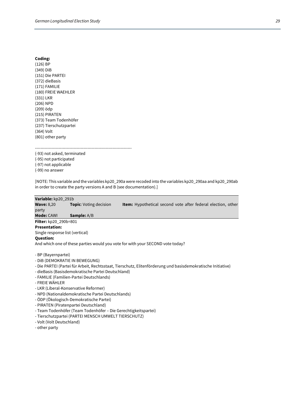| (126) BP               |
|------------------------|
| (349) DiB              |
| (151) Die PARTEI       |
| (372) dieBasis         |
| (171) FAMILIE          |
| (180) FREIE WAEHLER    |
| (331) LKR              |
| (206) NPD              |
| (209) ödp              |
| (215) PIRATEN          |
| (373) Team Todenhöfer  |
| (237) Tierschutzpartei |
| (364) Volt             |
| (801) other party      |
|                        |

----------------------------------------------------------------------

(-93) not asked, terminated (-95) not participated (-97) not applicable

(-99) no answer

[NOTE: This variable and the variables kp20\_290a were recoded into the variables kp20\_290aa and kp20\_290ab in order to create the party versions A and B (see documentation).]

#### **Variable:** kp20\_291b

**Wave:** 8,20 **Topic**: Voting decision **Item:** Hypothetical second vote after federal election, other party

**Mode:** CAWI **Sample:** A/B

#### **Filter:** kp20\_290b=801 **Presentation:**

Single response list (vertical)

#### **Question:**

And which one of these parties would you vote for with your SECOND vote today?

- BP (Bayernpartei)
- DiB (DEMOKRATIE IN BEWEGUNG)
- Die PARTEI (Partei für Arbeit, Rechtsstaat, Tierschutz, Elitenförderung und basisdemokratische Initiative)
- dieBasis (Basisdemokratische Partei Deutschland)
- FAMILIE (Familien-Partei Deutschlands)
- FREIE WÄHLER
- LKR (Liberal-Konservative Reformer)
- NPD (Nationaldemokratische Partei Deutschlands)
- ÖDP (Ökologisch-Demokratische Partei)
- PIRATEN (Piratenpartei Deutschland)
- Team Todenhöfer (Team Todenhöfer Die Gerechtigkeitspartei)
- Tierschutzpartei (PARTEI MENSCH UMWELT TIERSCHUTZ)
- Volt (Volt Deutschland)
- other party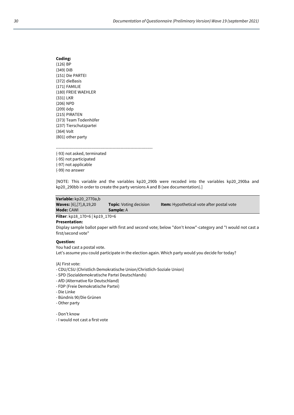| Coding:                |
|------------------------|
| (126) BP               |
| (349) DiB              |
| (151) Die PARTEI       |
| (372) dieBasis         |
| (171) FAMILIE          |
| (180) FREIE WAEHLER    |
| (331) LKR              |
| (206) NPD              |
| (209) ödp              |
| (215) PIRATEN          |
| (373) Team Todenhöfer  |
| (237) Tierschutzpartei |
| (364) Volt             |
| (801) other party      |

---------------------------------------------------------------------- (-93) not asked, terminated

(-95) not participated (-97) not applicable (-99) no answer

[NOTE: This variable and the variables kp20\_290b were recoded into the variables kp20\_290ba and kp20\_290bb in order to create the party versions A and B (see documentation).]

**Variable:** kp20\_2770a,b **Waves:** [6],[7],8,19,20 **Topic**: Voting decision **Item:** Hypothetical vote after postal vote **Mode:** CAWI **Sample:** A

**Filter**: kp18\_170=6 | kp19\_170=6

# **Presentation:**

Display sample ballot paper with first and second vote; below "don't know"-category and "I would not cast a first/second vote"

### **Question:**

You had cast a postal vote.

Let's assume you could participate in the election again. Which party would you decide for today?

(A) First vote:

- CDU/CSU (Christlich Demokratische Union/Christlich-Soziale Union)
- SPD (Sozialdemokratische Partei Deutschlands)
- AfD (Alternative für Deutschland)
- FDP (Freie Demokratische Partei)
- Die Linke
- Bündnis 90/Die Grünen
- Other party
- Don't know
- I would not cast a first vote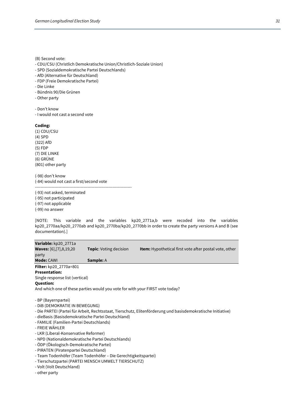(B) Second vote:

- CDU/CSU (Christlich Demokratische Union/Christlich-Soziale Union)
- SPD (Sozialdemokratische Partei Deutschlands)
- AfD (Alternative für Deutschland)
- FDP (Freie Demokratische Partei)
- Die Linke
- Bündnis 90/Die Grünen
- Other party
- Don't know

- I would not cast a second vote

#### **Coding:**

(1) CDU/CSU (4) SPD (322) AfD (5) FDP (7) DIE LINKE (6) GRÜNE (801) other party

(-98) don't know (-84) would not cast a first/second vote ----------------------------------------------------------------------

(-93) not asked, terminated (-95) not participated (-97) not applicable (-99) no answer

[NOTE: This variable and the variables kp20\_2771a,b were recoded into the variables kp20\_2770aa/kp20\_2770ab and kp20\_2770ba/kp20\_2770bb in order to create the party versions A and B (see documentation).]

**Variable:** kp20\_2771a **Waves:** [6],[7],8,19,20 **Topic**: Voting decision **Item:** Hypothetical first vote after postal vote, other party **Mode: CAWI <b>Sample:** A

**Filter:** kp20\_2770a=801

# **Presentation:**

Single response list (vertical)

#### **Question:**

And which one of these parties would you vote for with your FIRST vote today?

- BP (Bayernpartei)
- DiB (DEMOKRATIE IN BEWEGUNG)
- Die PARTEI (Partei für Arbeit, Rechtsstaat, Tierschutz, Elitenförderung und basisdemokratische Initiative)
- dieBasis (Basisdemokratische Partei Deutschland)
- FAMILIE (Familien-Partei Deutschlands)
- FREIE WÄHLER
- LKR (Liberal-Konservative Reformer)
- NPD (Nationaldemokratische Partei Deutschlands)
- ÖDP (Ökologisch-Demokratische Partei)
- PIRATEN (Piratenpartei Deutschland)
- Team Todenhöfer (Team Todenhöfer Die Gerechtigkeitspartei)
- Tierschutzpartei (PARTEI MENSCH UMWELT TIERSCHUTZ)
- Volt (Volt Deutschland)
- other party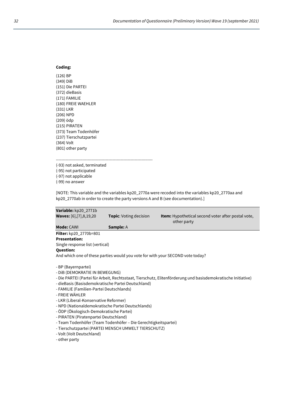(126) BP (349) DiB (151) Die PARTEI (372) dieBasis (171) FAMILIE (180) FREIE WAEHLER (331) LKR (206) NPD (209) ödp (215) PIRATEN (373) Team Todenhöfer (237) Tierschutzpartei (364) Volt (801) other party

----------------------------------------------------------------------

- (-93) not asked, terminated
- (-95) not participated (-97) not applicable
- (-99) no answer

[NOTE: This variable and the variables kp20\_2770a were recoded into the variables kp20\_2770aa and kp20\_2770ab in order to create the party versions A and B (see documentation).]

| Variable: kp20_2771b                                                                                         |                               |                                                                   |  |
|--------------------------------------------------------------------------------------------------------------|-------------------------------|-------------------------------------------------------------------|--|
| <b>Waves:</b> [6], [7], 8, 19, 20                                                                            | <b>Topic:</b> Voting decision | Item: Hypothetical second voter after postal vote,<br>other party |  |
| Mode: CAWI                                                                                                   | <b>Sample: A</b>              |                                                                   |  |
| Filter: kp20_2770b=801                                                                                       |                               |                                                                   |  |
| <b>Presentation:</b>                                                                                         |                               |                                                                   |  |
| Single response list (vertical)                                                                              |                               |                                                                   |  |
| <b>Question:</b>                                                                                             |                               |                                                                   |  |
| And which one of these parties would you vote for with your SECOND vote today?                               |                               |                                                                   |  |
| - BP (Bayernpartei)                                                                                          |                               |                                                                   |  |
| - DIB (DEMOKRATIE IN BEWEGUNG)                                                                               |                               |                                                                   |  |
| - Die PARTEI (Partei für Arbeit, Rechtsstaat, Tierschutz, Elitenförderung und basisdemokratische Initiative) |                               |                                                                   |  |
| - dieBasis (Basisdemokratische Partei Deutschland)                                                           |                               |                                                                   |  |
| - FAMILIE (Familien-Partei Deutschlands)                                                                     |                               |                                                                   |  |
| - FREIE WÄHLER                                                                                               |                               |                                                                   |  |
| - LKR (Liberal-Konservative Reformer)                                                                        |                               |                                                                   |  |
|                                                                                                              |                               |                                                                   |  |

- NPD (Nationaldemokratische Partei Deutschlands)
- ÖDP (Ökologisch-Demokratische Partei)
- PIRATEN (Piratenpartei Deutschland)
- Team Todenhöfer (Team Todenhöfer Die Gerechtigkeitspartei)
- Tierschutzpartei (PARTEI MENSCH UMWELT TIERSCHUTZ)
- Volt (Volt Deutschland)

- other party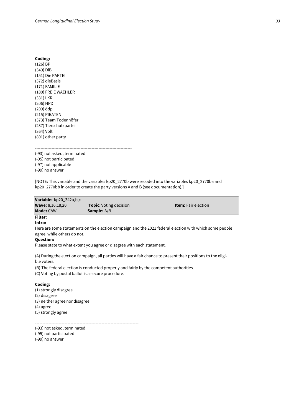| Coding:                |
|------------------------|
| (126) BP               |
| (349) DiB              |
| (151) Die PARTEI       |
| (372) dieBasis         |
| (171) FAMILIE          |
| (180) FREIE WAEHLER    |
| (331) LKR              |
| (206) NPD              |
| (209) ödp              |
| (215) PIRATEN          |
| (373) Team Todenhöfer  |
| (237) Tierschutzpartei |
| (364) Volt             |
| (801) other party      |

---------------------------------------------------------------------- (-93) not asked, terminated

(-95) not participated (-97) not applicable (-99) no answer

[NOTE: This variable and the variables kp20\_2770b were recoded into the variables kp20\_2770ba and kp20\_2770bb in order to create the party versions A and B (see documentation).]

| <b>Variable:</b> $kp20_342a,b,c$ |                               |                            |
|----------------------------------|-------------------------------|----------------------------|
| <b>Wave:</b> 8,16,18,20          | <b>Topic:</b> Voting decision | <b>Item:</b> Fair election |
| <b>Mode: CAWI</b>                | <b>Sample:</b> A/B            |                            |
| <b>Filter:</b>                   |                               |                            |

# **Intro:**

Here are some statements on the election campaign and the 2021 federal election with which some people agree, while others do not.

# **Question:**

Please state to what extent you agree or disagree with each statement.

(A) During the election campaign, all parties will have a fair chance to present their positions to the eligible voters.

(B) The federal election is conducted properly and fairly by the competent authorities.

(C) Voting by postal ballot is a secure procedure.

#### **Coding:**

(1) strongly disagree (2) disagree (3) neither agree nor disagree (4) agree (5) strongly agree

----------------------------------------------------------------------

(-93) not asked, terminated (-95) not participated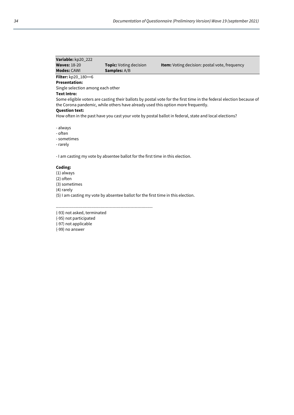| Variable: kp20_222                                                                                    |                                                                                  |                                                                                                                     |
|-------------------------------------------------------------------------------------------------------|----------------------------------------------------------------------------------|---------------------------------------------------------------------------------------------------------------------|
| <b>Waves: 18-20</b>                                                                                   | <b>Topic:</b> Voting decision                                                    | <b>Item:</b> Voting decision: postal vote, frequency                                                                |
| <b>Modes: CAWI</b>                                                                                    | <b>Samples:</b> A/B                                                              |                                                                                                                     |
| Filter: kp20_180==6                                                                                   |                                                                                  |                                                                                                                     |
| <b>Presentation:</b>                                                                                  |                                                                                  |                                                                                                                     |
| Single selection among each other                                                                     |                                                                                  |                                                                                                                     |
| Text Intro:                                                                                           |                                                                                  |                                                                                                                     |
| <b>Question text:</b>                                                                                 | the Corona pandemic, while others have already used this option more frequently. | Some eligible voters are casting their ballots by postal vote for the first time in the federal election because of |
| How often in the past have you cast your vote by postal ballot in federal, state and local elections? |                                                                                  |                                                                                                                     |
| - always<br>- often<br>- sometimes<br>- rarely                                                        |                                                                                  |                                                                                                                     |

- I am casting my vote by absentee ballot for the first time in this election.

#### **Coding:**

(1) always (2) often (3) sometimes (4) rarely (5) I am casting my vote by absentee ballot for the first time in this election.

(-93) not asked, terminated

----------------------------------------------------------------------

(-95) not participated

(-97) not applicable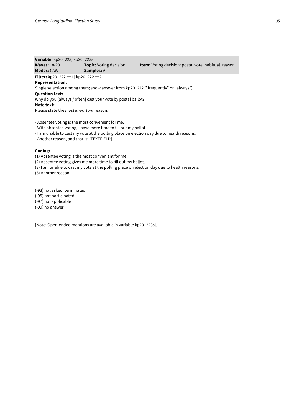| Variable: kp20_223, kp20_223s                                                      |                               |                                                             |  |
|------------------------------------------------------------------------------------|-------------------------------|-------------------------------------------------------------|--|
| <b>Waves: 18-20</b>                                                                | <b>Topic:</b> Voting decision | <b>Item:</b> Voting decision: postal vote, habitual, reason |  |
| <b>Modes: CAWI</b>                                                                 | <b>Samples: A</b>             |                                                             |  |
| <b>Filter:</b> kp20 222 ==1   kp20 222 ==2                                         |                               |                                                             |  |
| <b>Representation:</b>                                                             |                               |                                                             |  |
| Single selection among them; show answer from kp20_222 ("frequently" or "always"). |                               |                                                             |  |
| <b>Question text:</b>                                                              |                               |                                                             |  |
| Why do you [always / often] cast your vote by postal ballot?                       |                               |                                                             |  |
| Note text:                                                                         |                               |                                                             |  |
| Please state the most important reason.                                            |                               |                                                             |  |

- Absentee voting is the most convenient for me.

- With absentee voting, I have more time to fill out my ballot.

- I am unable to cast my vote at the polling place on election day due to health reasons.

- Another reason, and that is: [TEXTFIELD]

#### **Coding:**

(1) Absentee voting is the most convenient for me.

(2) Absentee voting gives me more time to fill out my ballot.

(3) I am unable to cast my vote at the polling place on election day due to health reasons.

(5) Another reason

----------------------------------------------------------------------

(-93) not asked, terminated

(-95) not participated

(-97) not applicable

(-99) no answer

[Note: Open-ended mentions are available in variable kp20\_223s].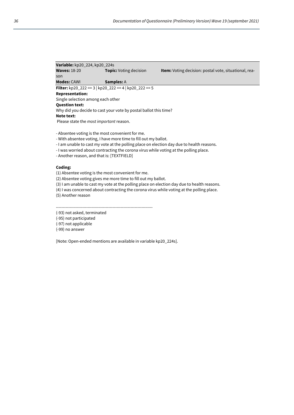| <b>Variable:</b> kp20_224, kp20_224s                             |                               |                                                              |  |
|------------------------------------------------------------------|-------------------------------|--------------------------------------------------------------|--|
| <b>Waves: 18-20</b>                                              | <b>Topic:</b> Voting decision | <b>Item:</b> Voting decision: postal vote, situational, rea- |  |
| son                                                              |                               |                                                              |  |
| <b>Modes: CAWI</b>                                               | <b>Samples: A</b>             |                                                              |  |
| Filter: kp20_222 == 3   kp20_222 == 4   kp20_222 == 5            |                               |                                                              |  |
| <b>Representation:</b>                                           |                               |                                                              |  |
| Single selection among each other                                |                               |                                                              |  |
| <b>Question text:</b>                                            |                               |                                                              |  |
| Why did you decide to cast your vote by postal ballot this time? |                               |                                                              |  |
| Note text:                                                       |                               |                                                              |  |
| Please state the <i>most important</i> reason.                   |                               |                                                              |  |
|                                                                  |                               |                                                              |  |
|                                                                  |                               |                                                              |  |

- Absentee voting is the most convenient for me.

- With absentee voting, I have more time to fill out my ballot.

- I am unable to cast my vote at the polling place on election day due to health reasons.

- I was worried about contracting the corona virus while voting at the polling place.

- Another reason, and that is: [TEXTFIELD]

#### **Coding:**

(1) Absentee voting is the most convenient for me.

(2) Absentee voting gives me more time to fill out my ballot.

(3) I am unable to cast my vote at the polling place on election day due to health reasons.

(4) I was concerned about contracting the corona virus while voting at the polling place.

(5) Another reason

----------------------------------------------------------------------

(-93) not asked, terminated

(-95) not participated

(-97) not applicable

(-99) no answer

[Note: Open-ended mentions are available in variable kp20\_224s].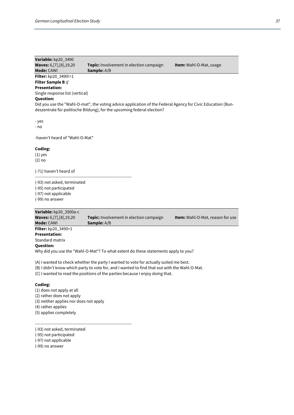| Variable: kp20_3490             |                                                                                                             |                                |
|---------------------------------|-------------------------------------------------------------------------------------------------------------|--------------------------------|
| Waves: 6, [7], [8], 19, 20      | <b>Topic:</b> Involvement in election campaign                                                              | <b>Item:</b> Wahl-O-Mat, usage |
| <b>Mode: CAWI</b>               | <b>Sample:</b> A/B                                                                                          |                                |
| Filter: kp20_3490!=1            |                                                                                                             |                                |
| <b>Filter Sample B:/</b>        |                                                                                                             |                                |
| <b>Presentation:</b>            |                                                                                                             |                                |
| Single response list (vertical) |                                                                                                             |                                |
| <b>Question:</b>                |                                                                                                             |                                |
|                                 | Did you use the "Wahl-O-mat", the voting advice application of the Federal Agency for Civic Education [Bun- |                                |
|                                 | deszentrale für politische Bildung], for the upcoming federal election?                                     |                                |
|                                 |                                                                                                             |                                |
| - yes                           |                                                                                                             |                                |
| - no                            |                                                                                                             |                                |
| -haven't heard of "Wahl-O-Mat"  |                                                                                                             |                                |
|                                 |                                                                                                             |                                |
| Coding:                         |                                                                                                             |                                |
| $(1)$ yes                       |                                                                                                             |                                |
| $(2)$ no                        |                                                                                                             |                                |
|                                 |                                                                                                             |                                |
| (-71) haven't heard of          |                                                                                                             |                                |
| (-93) not asked, terminated     |                                                                                                             |                                |
| (-95) not participated          |                                                                                                             |                                |
| (-97) not applicable            |                                                                                                             |                                |
| (-99) no answer                 |                                                                                                             |                                |
|                                 |                                                                                                             |                                |
|                                 |                                                                                                             |                                |

| Variable: kp20_3500a-c            |                                                                                    |                                         |
|-----------------------------------|------------------------------------------------------------------------------------|-----------------------------------------|
| <b>Waves:</b> 6, [7], [8], 19, 20 | <b>Topic:</b> Involvement in election campaign                                     | <b>Item:</b> Wahl-O-Mat, reason for use |
| <b>Mode: CAWI</b>                 | <b>Sample:</b> A/B                                                                 |                                         |
| <b>Filter:</b> kp20 3490=1        |                                                                                    |                                         |
| <b>Presentation:</b>              |                                                                                    |                                         |
| Standard matrix                   |                                                                                    |                                         |
| <b>Question:</b>                  |                                                                                    |                                         |
|                                   | Why did you use the "Wahl-O-Mat"? To what extent do these statements apply to you? |                                         |

(A) I wanted to check whether the party I wanted to vote for actually suited me best.

(B) I didn't know which party to vote for, and I wanted to find that out with the Wahl-O-Mat.

(C) I wanted to read the positions of the parties because I enjoy doing that.

# **Coding:**

(1) does not apply at all (2) rather does not apply (3) neither applies nor does not apply (4) rather applies (5) applies completely

----------------------------------------------------------------------

(-93) not asked, terminated (-95) not participated (-97) not applicable (-99) no answer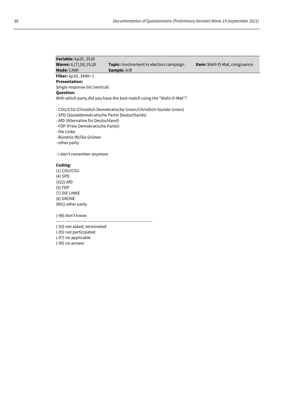| Variable: kp20 3510                                                                                                                                                                     |                                                                      |                                     |
|-----------------------------------------------------------------------------------------------------------------------------------------------------------------------------------------|----------------------------------------------------------------------|-------------------------------------|
| <b>Waves:</b> 6, [7], [8], 19, 20                                                                                                                                                       | <b>Topic:</b> Involvement in election campaign                       | <b>Item:</b> Wahl-O-Mat, congruence |
| Mode: CAWI                                                                                                                                                                              | <b>Sample:</b> A/B                                                   |                                     |
| <b>Filter:</b> $kp20_3490=1$                                                                                                                                                            |                                                                      |                                     |
| <b>Presentation:</b>                                                                                                                                                                    |                                                                      |                                     |
| Single response list (vertical)                                                                                                                                                         |                                                                      |                                     |
| <b>Question:</b>                                                                                                                                                                        |                                                                      |                                     |
|                                                                                                                                                                                         | With which party did you have the best match using the "Wahl-O-Mat"? |                                     |
| - SPD (Sozialdemokratische Partei Deutschlands)<br>- AfD (Alternative für Deutschland)<br>- FDP (Freie Demokratische Partei)<br>- Die Linke<br>- Bündnis 90/Die Grünen<br>- other party | - CDU/CSU (Christlich Demokratische Union/Christlich-Soziale Union)  |                                     |
| - I don't remember anymore                                                                                                                                                              |                                                                      |                                     |
| Coding:                                                                                                                                                                                 |                                                                      |                                     |
| $(1)$ CDU/CSU                                                                                                                                                                           |                                                                      |                                     |

(4) SPD  $(322)$  AfD (5) FDP

(7) DIE LINKE (6) GRÜNE (801) other party

(-98) don't know

----------------------------------------------------------------------

(-93) not asked, terminated

(-95) not participated

(-97) no applicable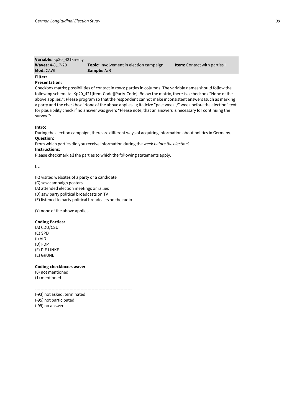| Variable: kp20 421ka-ei.y |                                                |                                     |
|---------------------------|------------------------------------------------|-------------------------------------|
| <b>Waves: 4-8,17-20</b>   | <b>Topic:</b> Involvement in election campaign | <b>Item:</b> Contact with parties I |
| <b>Mod: CAWI</b>          | <b>Sample:</b> A/B                             |                                     |
| Filter:                   |                                                |                                     |

# **Presentation:**

Checkbox matrix; possibilities of contact in rows; parties in columns. The variable names should follow the following schemata. Kp20\_421[Item-Code][Party-Code]; Below the matrix, there is a checkbox "None of the above applies."; Please program so that the respondent cannot make inconsistent answers (such as marking a party and the checkbox "None of the above applies."); italicize "past week"/" week before the election" text for plausibility check if no answer was given: "Please note, that an answers is necessary for continuing the survey.";

#### **Intro:**

During the election campaign, there are different ways of acquiring information about politics in Germany. **Question:**

From which parties did you receive information during the *week before the election*?

# **Instructions**:

Please checkmark all the parties to which the following statements apply.

 $\mathbf{I}$ …

(K) visited websites of a party or a candidate

(G) saw campaign posters

(A) attended election meetings or rallies

(D) saw party political broadcasts on TV

(E) listened to party political broadcasts on the radio

(Y) none of the above applies

#### **Coding Parties:**

(A) CDU/CSU (C) SPD (I) AfD (D) FDP (F) DIE LINKE (E) GRÜNE

#### **Coding checkboxes wave:**

(0) not mentioned (1) mentioned

----------------------------------------------------------------------

(-93) not asked, terminated

(-95) not participated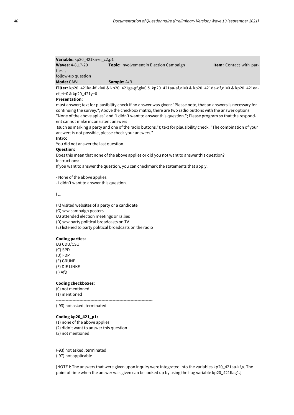## **Variable:** kp20\_421ka-ei\_c2,p1 **Waves:** 4-8,17-20 **Topic:** Involvement in Election Campaign **Item:** Contact with parties I, follow-up question **Mode:** CAWI **Sample:** A/B

**Filter:** kp20\_421ka-kf,ki=0 & kp20\_421ga-gf,gi=0 & kp20\_421aa-af,ai=0 & kp20\_421da-df,di=0 & kp20\_421eaef,ei=0 & kp20\_421y=0

### **Presentation:**

must answer; text for plausibility check if no answer was given: "Please note, that an answers is necessary for continuing the survey."; Above the checkbox matrix, there are two radio buttons with the answer options "None of the above aplies" and "I didn't want to answer this question."; Please program so that the respondent cannot make inconsistent answers

(such as marking a party and one of the radio buttons."); text for plausibility check: "The combination of your answers is not possible, please check your answers."

# **Intro:**

You did not answer the last question.

## **Question:**

Does this mean that none of the above applies or did you not want to answer this question? Instructions:

If you want to answer the question, you can checkmark the statements that apply.

- None of the above applies.

- I didn't want to answer this question.

I ...

(K) visited websites of a party or a candidate

(G) saw campaign posters

(A) attended election meetings or rallies

(D) saw party political broadcasts on TV

(E) listened to party political broadcasts on the radio

#### **Coding parties:**

(A) CDU/CSU (C) SPD (D) FDP (E) GRÜNE (F) DIE LINKE (I) AfD

## **Coding checkboxes:**

(0) not mentioned (1) mentioned

----------------------------------------------------------------------

(-93) not asked, terminated

### **Coding kp20\_421\_p1:**

(1) none of the above applies (2) didn't want to answer this question (3) not mentioned

(-93) not asked, terminated

(-97) not applicable

[NOTE I: The answers that were given upon inquiry were integrated into the variables kp20\_421aa-kf,y. The point of time when the answer was given can be looked up by using the flag variable kp20\_421flag1.]

----------------------------------------------------------------------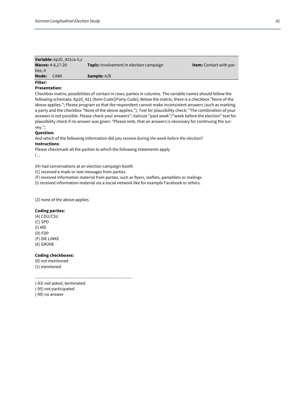|                | Variable: kp20 421ca-ii,z |                                                |                                |
|----------------|---------------------------|------------------------------------------------|--------------------------------|
|                | <b>Waves: 4-8,17-20</b>   | <b>Topic:</b> Involvement in election campaign | <b>Item:</b> Contact with par- |
| ties, II       |                           |                                                |                                |
| Mode:          | CAWI                      | <b>Sample:</b> A/B                             |                                |
| <b>Filter:</b> |                           |                                                |                                |

#### **Presentation:**

Checkbox matrix; possibilities of contact in rows; parties in columns. The variable names should follow the following schemata. Kp20\_421 [Item-Code][Party-Code]; Below the matrix, there is a checkbox "None of the above applies."; Please program so that the respondent cannot make inconsistent answers (such as marking a party and the checkbox "None of the above applies."); Text for plausibility check: "The combination of your answers is not possible. Please check your answers"; italicize "past week"/"week before the election" text for plausibility check if no answer was given: "Please note, that an answers is necessary for continuing the survey.";

#### **Question:**

And which of the following information did you receive during *the week before the election*?

#### **Instructions**:

Please checkmark all the parties to which the following statements apply I…

(H) had conversations at an election campaign booth

(C) received e-mails or text messages from parties.

(F) received information material from parties, such as flyers, leaflets, pamphlets or mailings.

(I) received information material via a social network like for example Facebook or others.

(Z) none of the above applies

#### **Coding parties:**

(A) CDU/CSU (C) SPD (I) AfD (D) FDP (F) DIE LINKE (E) GRÜNE

#### **Coding checkboxes:**

(0) not mentioned (1) mentioned

----------------------------------------------------------------------

(-93) not asked, terminated

(-95) not participated (-99) no answer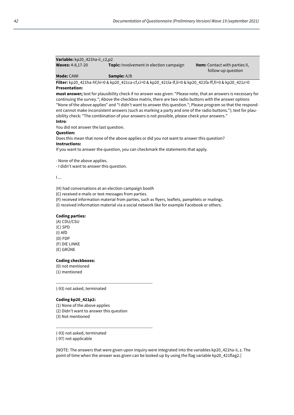| <b>Variable:</b> $kp20_421na-II_22,p2$ |                                                |                                       |
|----------------------------------------|------------------------------------------------|---------------------------------------|
| <b>Waves: 4-8,17-20</b>                | <b>Topic:</b> Involvement in election campaign | <b>Item:</b> Contact with parties II, |
|                                        |                                                | follow-up question                    |

#### **Mode:** CAWI **Sample:** A/B

**Filter:** kp20\_421ha-hf,hi=0 & kp20\_421ca-cf,ci=0 & kp20\_421la-lf,li=0 & kp20\_421fa-ff,fi=0 & kp20\_421z=0 **Presentation:**

**must answer;** text for plausibility check if no answer was given: "Please note, that an answers is necessary for continuing the survey."; Above the checkbox matrix, there are two radio buttons with the answer options "None of the above applies" and "I didn't want to answer this question."; Please program so that the respondent cannot make inconsistent answers (such as marking a party and one of the radio buttons."); text for plausibility check: "The combination of your answers is not possible, please check your answers." **Intro**:

You did not answer the last question.

#### **Question:**

Does this mean that none of the above applies or did you not want to answer this question?

# **Instructions:**

**Variable:** kp20\_421ha-ii\_c2,p2

If you want to answer the question, you can checkmark the statements that apply.

- None of the above applies.

- I didn't want to answer this question.

I ...

(H) had conversations at an election campaign booth

(C) received e-mails or text messages from parties.

(F) received information material from parties, such as flyers, leaflets, pamphlets or mailings.

(I) received information material via a social network like for example Facebook or others.

----------------------------------------------------------------------

## **Coding parties:**

(A) CDU/CSU (C) SPD (I) AfD (D) FDP (F) DIE LINKE (E) GRÜNE

#### **Coding checkboxes:**

(0) not mentioned (1) mentioned

(-93) not asked, terminated

#### **Coding kp20\_421p2:**

(1) None of the above applies (2) Didn't want to answer this question (3) Not mentioned

----------------------------------------------------------------------

(-93) not asked, terminated

(-97) not applicable

[NOTE: The answers that were given upon inquiry were integrated into the variables kp20\_421ha-ii, z. The point of time when the answer was given can be looked up by using the flag variable kp20\_421flag2.]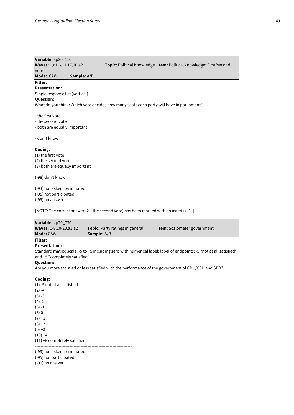# **Variable:** kp20\_110 **Waves:** 1,a1,6,11,17,20,a2 **Topic:** Political Knowledge **Item:** Political knowledge: First/second vote

**Mode:** CAWI **Sample:** A/B

# **Filter:**

#### **Presentation:**

Single response list (vertical)

# **Question:**

What do you think: Which vote decides how many seats each party will have in parliament?

- the first vote
- the second vote
- both are equally important

#### - don't know

#### **Coding:**

(1) the first vote (2) the second vote (3) both are equally important

(-98) don't know

---------------------------------------------------------------------- (-93) not asked, terminated

(-95) not participated (-99) no answer

[NOTE: The correct answer (2 – the second vote) has been marked with an asterisk (\*).]

| Variable: kp20 730            |                                        |                                    |
|-------------------------------|----------------------------------------|------------------------------------|
| <b>Waves:</b> 1-8,10-20,a1,a2 | <b>Topic:</b> Party ratings in general | <b>Item:</b> Scalometer government |
| <b>Mode:</b> CAWI             | <b>Sample:</b> A/B                     |                                    |
| Filter:                       |                                        |                                    |

# **Presentation:**

Standard matrix; scale: -5 to +5 including zero with numerical label; label of endpoints: -5 "not at all satisfied" and +5 "completely satisfied"

#### **Question:**

Are you more satisfied or less satisfied with the performance of the government of CDU/CSU and SPD?

#### **Coding:**

(1) -5 not at all satisfied  $(2) -4$  $(3) -3$  $(4) -2$  $(5) -1$ (6) 0  $(7) + 1$  $(8) + 2$  $(9) + 3$  $(10) +4$ (11) +5 completely satisfied ----------------------------------------------------------------------

(-93) not asked, terminated

(-95) not participated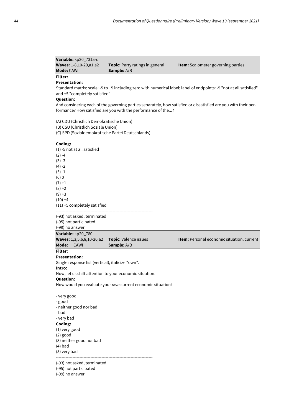| Variable: kp20 731a-c         |                                        |                                           |
|-------------------------------|----------------------------------------|-------------------------------------------|
| <b>Waves:</b> 1-8,10-20,a1,a2 | <b>Topic:</b> Party ratings in general | <b>Item:</b> Scalometer governing parties |
| <b>Mode:</b> CAWI             | <b>Sample:</b> A/B                     |                                           |
| Filter:                       |                                        |                                           |

# **Presentation:**

Standard matrix; scale: -5 to +5 including zero with numerical label; label of endpoints: -5 "not at all satisfied" and +5 "completely satisfied"

# **Question:**

And considering each of the governing parties separately, how satisfied or dissatisfied are you with their performance? How satisfied are you with the performance of the...?

(A) CDU (Christlich Demokratische Union)

(B) CSU (Christlich Soziale Union)

(C) SPD (Sozialdemokratische Partei Deutschlands)

#### **Coding:**

(1) -5 not at all satisfied  $(2) -4$  $(3) -3$  $(4) -2$  $(5) - 1$ (6) 0  $(7) + 1$  $(8) + 2$  $(9) + 3$  $(10) +4$ (11) +5 completely satisfied ----------------------------------------------------------------------

(-93) not asked, terminated (-95) not participated

(-99) no answer

**Variable:** kp20\_780 **Waves:** 1,3,5,6,8,10-20,a2 **Topic:** Valence issues **Item:** Personal economic situation, current **Mode:** CAWI **Sample:** A/B **Filter:**

# **Presentation:**

Single response list (vertical), italicize "own".

#### **Intro:**

Now, let us shift attention to your economic situation.

#### **Question:**

How would you evaluate your *own* current economic situation?

- very good - good - neither good nor bad - bad - very bad **Coding:** (1) very good (2) good (3) neither good nor bad (4) bad (5) very bad ----------------------------------------------------------------------

(-93) not asked, terminated

(-95) not participated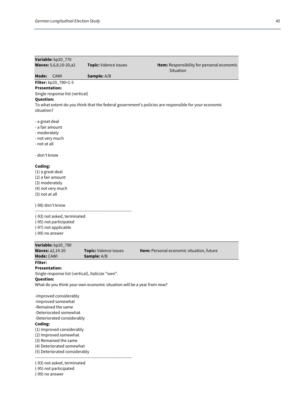| Variable: kp20_770                                                     |                                      |                                                                                                      |  |
|------------------------------------------------------------------------|--------------------------------------|------------------------------------------------------------------------------------------------------|--|
| Waves: 5,6,8,10-20,a2                                                  | Topic: Valence issues                | Item: Responsibility for personal economic<br>Situation                                              |  |
| Mode:<br>CAWI                                                          | Sample: A/B                          |                                                                                                      |  |
| Filter: kp20_780=1-5                                                   |                                      |                                                                                                      |  |
| <b>Presentation:</b>                                                   |                                      |                                                                                                      |  |
| Single response list (vertical)                                        |                                      |                                                                                                      |  |
| <b>Question:</b>                                                       |                                      |                                                                                                      |  |
|                                                                        |                                      | To what extent do you think that the federal government's policies are responsible for your economic |  |
| situation?                                                             |                                      |                                                                                                      |  |
|                                                                        |                                      |                                                                                                      |  |
| - a great deal                                                         |                                      |                                                                                                      |  |
| - a fair amount                                                        |                                      |                                                                                                      |  |
| - moderately                                                           |                                      |                                                                                                      |  |
| - not very much                                                        |                                      |                                                                                                      |  |
| - not at all                                                           |                                      |                                                                                                      |  |
| - don't know                                                           |                                      |                                                                                                      |  |
| Coding:                                                                |                                      |                                                                                                      |  |
| (1) a great deal                                                       |                                      |                                                                                                      |  |
| (2) a fair amount                                                      |                                      |                                                                                                      |  |
| (3) moderately                                                         |                                      |                                                                                                      |  |
| (4) not very much                                                      |                                      |                                                                                                      |  |
| (5) not at all                                                         |                                      |                                                                                                      |  |
| (-98) don't know                                                       |                                      |                                                                                                      |  |
|                                                                        |                                      |                                                                                                      |  |
| (-93) not asked, terminated                                            |                                      |                                                                                                      |  |
| (-95) not participated                                                 |                                      |                                                                                                      |  |
| (-97) not applicable                                                   |                                      |                                                                                                      |  |
| (-99) no answer                                                        |                                      |                                                                                                      |  |
|                                                                        |                                      |                                                                                                      |  |
| Variable: kp20_790                                                     |                                      | Item: Personal economic situation, future                                                            |  |
| <b>Waves: a2,14-20</b><br>Mode: CAWI                                   | Topic: Valence issues<br>Sample: A/B |                                                                                                      |  |
| Filter:                                                                |                                      |                                                                                                      |  |
| Presentation:                                                          |                                      |                                                                                                      |  |
| Single response list (vertical), italicize "own".                      |                                      |                                                                                                      |  |
| Question:                                                              |                                      |                                                                                                      |  |
| What do you think your own economic situation will be a year from now? |                                      |                                                                                                      |  |
|                                                                        |                                      |                                                                                                      |  |
|                                                                        |                                      |                                                                                                      |  |
| -Improved considerably                                                 |                                      |                                                                                                      |  |
| -Improved somewhat<br>-Remained the same                               |                                      |                                                                                                      |  |
| -Deteriorated somewhat                                                 |                                      |                                                                                                      |  |
|                                                                        |                                      |                                                                                                      |  |
| -Deteriorated considerably<br>Coding:                                  |                                      |                                                                                                      |  |
| (1) Improved considerably                                              |                                      |                                                                                                      |  |
| (2) Improved somewhat                                                  |                                      |                                                                                                      |  |
| (3) Remained the same                                                  |                                      |                                                                                                      |  |
| (4) Deteriorated somewhat                                              |                                      |                                                                                                      |  |
| (5) Deteriorated considerably                                          |                                      |                                                                                                      |  |
|                                                                        |                                      |                                                                                                      |  |
| (-93) not asked, terminated<br>(-95) not participated                  |                                      |                                                                                                      |  |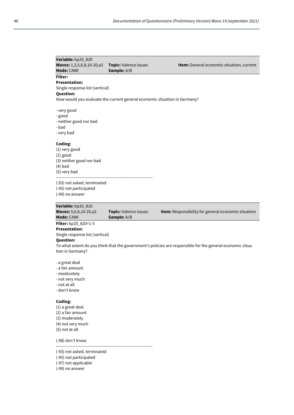| Variable: kp20_820<br>Waves: 1,3,5,6,8,10-20,a2<br>Mode: CAWI                                                                                                                                                                                | <b>Topic:</b> Valence issues<br><b>Sample:</b> A/B                        | Item: General economic situation, current           |  |
|----------------------------------------------------------------------------------------------------------------------------------------------------------------------------------------------------------------------------------------------|---------------------------------------------------------------------------|-----------------------------------------------------|--|
| <b>Filter:</b><br><b>Presentation:</b><br>Single response list (vertical)<br><b>Question:</b>                                                                                                                                                |                                                                           |                                                     |  |
| - very good<br>- good<br>- neither good nor bad<br>- bad<br>- very bad                                                                                                                                                                       | How would you evaluate the current general economic situation in Germany? |                                                     |  |
| Coding:<br>(1) very good<br>$(2)$ good<br>(3) neither good nor bad<br>$(4)$ bad<br>(5) very bad                                                                                                                                              |                                                                           |                                                     |  |
| (-93) not asked, terminated<br>(-95) not participated<br>(-99) no answer                                                                                                                                                                     |                                                                           |                                                     |  |
| Variable: kp20_810<br><b>Waves:</b> 5,6,8,10-20,a2<br>Mode: CAWI                                                                                                                                                                             | <b>Topic:</b> Valence issues<br>Sample: A/B                               | Item: Responsibility for general economic situation |  |
| <b>Filter:</b> kp20_820=1-5<br><b>Presentation:</b><br>Single response list (vertical)<br><b>Question:</b><br>To what extent do you think that the government's policies are responsible for the general economic situa-<br>tion in Germany? |                                                                           |                                                     |  |
| - a great deal<br>- a fair amount<br>- moderately<br>- not very much<br>- not at all<br>- don't know                                                                                                                                         |                                                                           |                                                     |  |
| Coding:<br>(1) a great deal                                                                                                                                                                                                                  |                                                                           |                                                     |  |

(1) a great deal (2) a fair amount (3) moderately (4) not very much (5) not at all

(-98) don't know

(-93) not asked, terminated

----------------------------------------------------------------------

(-95) not participated

(-97) not applicable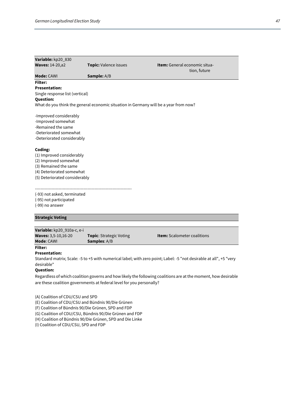| Variable: kp20_830                                                                                                         |                                                                                      |                                                      |  |
|----------------------------------------------------------------------------------------------------------------------------|--------------------------------------------------------------------------------------|------------------------------------------------------|--|
| <b>Waves: 14-20, a2</b>                                                                                                    | <b>Topic: Valence issues</b>                                                         | <b>Item:</b> General economic situa-<br>tion, future |  |
| <b>Mode: CAWI</b>                                                                                                          | <b>Sample:</b> A/B                                                                   |                                                      |  |
| Filter:                                                                                                                    |                                                                                      |                                                      |  |
| <b>Presentation:</b>                                                                                                       |                                                                                      |                                                      |  |
| Single response list (vertical)                                                                                            |                                                                                      |                                                      |  |
| <b>Question:</b>                                                                                                           |                                                                                      |                                                      |  |
|                                                                                                                            | What do you think the general economic situation in Germany will be a year from now? |                                                      |  |
| -Improved considerably<br>-Improved somewhat<br>-Remained the same<br>-Deteriorated somewhat<br>-Deteriorated considerably |                                                                                      |                                                      |  |
| Coding:                                                                                                                    |                                                                                      |                                                      |  |
| (1) Improved considerably                                                                                                  |                                                                                      |                                                      |  |
| (2) Improved somewhat                                                                                                      |                                                                                      |                                                      |  |
| (3) Remained the same                                                                                                      |                                                                                      |                                                      |  |
| (4) Deteriorated somewhat                                                                                                  |                                                                                      |                                                      |  |
| (5) Deteriorated considerably                                                                                              |                                                                                      |                                                      |  |
|                                                                                                                            |                                                                                      |                                                      |  |
| (-93) not asked, terminated                                                                                                |                                                                                      |                                                      |  |
| (-95) not participated<br>(-99) no answer                                                                                  |                                                                                      |                                                      |  |
|                                                                                                                            |                                                                                      |                                                      |  |
| <b>Strategic Voting</b>                                                                                                    |                                                                                      |                                                      |  |
|                                                                                                                            |                                                                                      |                                                      |  |

| Variable: kp20_910a-c, e-i |                                |                                    |
|----------------------------|--------------------------------|------------------------------------|
| <b>Waves: 3,5-10,16-20</b> | <b>Topic:</b> Strategic Voting | <b>Item:</b> Scalometer coalitions |
| <b>Mode: CAWL</b>          | <b>Samples:</b> A/B            |                                    |
| <b>Filter:</b>             |                                |                                    |

## **Presentation:**

Standard matrix; Scale: -5 to +5 with numerical label; with zero point; Label: -5 "not desirable at all", +5 "very desirable"

## **Question:**

Regardless of which coalition governs and how likely the following coalitions are at the moment, how desirable are these coalition governments at federal level for you personally?

(A) Coalition of CDU/CSU and SPD

(E) Coalition of CDU/CSU and Bündnis 90/Die Grünen

(F) Coalition of Bündnis 90/Die Grünen, SPD and FDP

(G) Coalition of CDU/CSU, Bündnis 90/Die Grünen and FDP

(H) Coalition of Bündnis 90/Die Grünen, SPD and Die Linke

(I) Coalition of CDU/CSU, SPD and FDP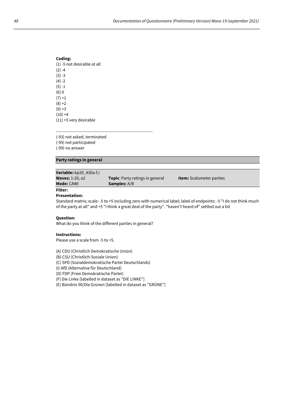## **Coding:** (1) -5 not desirable at all  $(2) -4$  $(3) -3$  $(4) -2$  $(5) -1$ (6) 0  $(7) +1$  $(8) + 2$  $(9) + 3$  $(10) +4$

(11) +5 very desirable

---------------------------------------------------------------------- (-93) not asked, terminated (-95) not participated

(-99) no answer

## **Party ratings in general**

| Variable: kp20_430a-f,i |                                        |                                 |
|-------------------------|----------------------------------------|---------------------------------|
| <b>Waves: 1-20, a2</b>  | <b>Topic:</b> Party ratings in general | <b>Item:</b> Scalometer parties |
| <b>Mode:</b> CAWI       | <b>Samples:</b> A/B                    |                                 |

# **Filter:**

**Presentation:**

Standard matrix; scale: -5 to +5 including zero with numerical label; label of endpoints: -5 "I do not think much of the party at all" and +5 "I think a great deal of the party". "haven't heard of" settled out a bit

#### **Question:**

What do you think of the different parties in general?

#### **Instructions:**

Please use a scale from -5 to +5.

(A) CDU (Christlich Demokratische Union)

(B) CSU (Christlich-Soziale Union)

(C) SPD (Sozialdemokratische Partei Deutschlands)

(I) AfD (Alternative für Deutschland)

(D) FDP (Freie Demokratische Partei)

(F) Die Linke [labelled in dataset as "DIE LINKE"]

(E) Bündnis 90/Die Grünen [labelled in dataset as "GRÜNE"]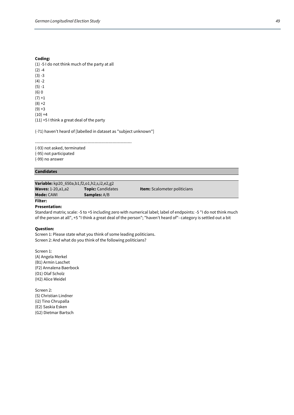#### **Coding:**

(1) -5 I do not think much of the party at all  $(2) -4$  $(3) -3$  $(4) -2$  $(5) -1$ (6) 0  $(7) + 1$  $(8) + 2$  $(9) + 3$  $(10) +4$ (11) +5 I think a great deal of the party

(-71) haven't heard of [labelled in dataset as "subject unknown"]

---------------------------------------------------------------------- (-93) not asked, terminated (-95) not participated (-99) no answer

# **Candidates**

**Variable:** kp20\_650a,b1,f2,o1,h2,s,i2,e2,g2 **Waves:** 1-20,a1,a2 **Topic:** Candidates **Item:** Scalometer politicians **Mode:** CAWI **Samples:** A/B

# **Filter:**

**Presentation:**

Standard matrix; scale: -5 to +5 including zero with numerical label; label of endpoints: -5 "I do not think much of the person at all", +5 "I think a great deal of the person"; "haven't heard of"- category is settled out a bit

#### **Question:**

Screen 1: Please state what you think of some leading politicians. Screen 2: And what do you think of the following politicians?

Screen 1: (A) Angela Merkel (B1) Armin Laschet (F2) Annalena Baerbock (O1) Olaf Scholz (H2) Alice Weidel

Screen 2: (S) Christian Lindner (i2) Tino Chrupalla (E2) Saskia Esken (G2) Dietmar Bartsch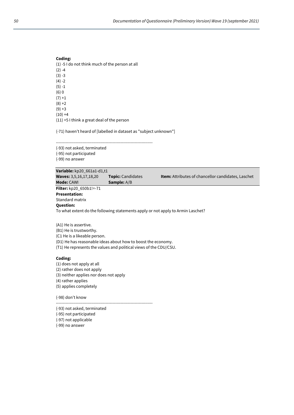#### **Coding:**

(1) -5 I do not think much of the person at all  $(2) -4$  $(3) -3$  $(4) -2$  $(5) - 1$ (6) 0  $(7) +1$  $(8) + 2$  $(9) + 3$  $(10) +4$ (11) +5 I think a great deal of the person

(-71) haven't heard of [labelled in dataset as "subject unknown"]

---------------------------------------------------------------------- (-93) not asked, terminated (-95) not participated (-99) no answer

| Variable: kp20 661a1-d1,t1                                                      |                          |                                                           |  |  |
|---------------------------------------------------------------------------------|--------------------------|-----------------------------------------------------------|--|--|
| <b>Waves:</b> 3,5,16,17,18,20                                                   | <b>Topic:</b> Candidates | <b>Item:</b> Attributes of chancellor candidates, Laschet |  |  |
| <b>Mode: CAWI</b>                                                               | <b>Sample:</b> A/B       |                                                           |  |  |
| <b>Filter:</b> kp20_650b1!=-71                                                  |                          |                                                           |  |  |
| <b>Presentation:</b>                                                            |                          |                                                           |  |  |
| Standard matrix                                                                 |                          |                                                           |  |  |
| <b>Question:</b>                                                                |                          |                                                           |  |  |
| To what extent do the following statements apply or not apply to Armin Laschet? |                          |                                                           |  |  |
|                                                                                 |                          |                                                           |  |  |
| $(A1)$ $\rightarrow$ $A$ $\rightarrow$ $A$ $\rightarrow$ $A$ $\rightarrow$ $A$  |                          |                                                           |  |  |

(A1) He is assertive.

(B1) He is trustworthy.

(C1 He is a likeable person.

(D1) He has reasonable ideas about how to boost the economy.

(T1) He represents the values and political views of the CDU/CSU.

# **Coding:**

(1) does not apply at all

(2) rather does not apply

(3) neither applies nor does not apply

(4) rather applies

(5) applies completely

(-98) don't know

----------------------------------------------------------------------

(-93) not asked, terminated

(-95) not participated (-97) not applicable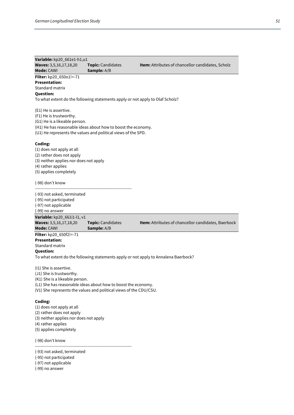| Variable: kp20_661e1-h1,u1                                                                                                                                                                                                  |                                         |                                                                                     |
|-----------------------------------------------------------------------------------------------------------------------------------------------------------------------------------------------------------------------------|-----------------------------------------|-------------------------------------------------------------------------------------|
| Waves: 3,5,16,17,18,20<br><b>Mode: CAWI</b>                                                                                                                                                                                 | <b>Topic:</b> Candidates<br>Sample: A/B | <b>Item:</b> Attributes of chancellor candidates, Scholz                            |
| <b>Filter:</b> kp20_650o1!=-71<br><b>Presentation:</b><br>Standard matrix<br><b>Question:</b>                                                                                                                               |                                         |                                                                                     |
| To what extent do the following statements apply or not apply to Olaf Scholz?                                                                                                                                               |                                         |                                                                                     |
| (E1) He is assertive.<br>(F1) He is trustworthy.<br>(G1) He is a likeable person.<br>(H1) He has reasonable ideas about how to boost the economy.<br>(U1) He represents the values and political views of the SPD.          |                                         |                                                                                     |
| Coding:<br>(1) does not apply at all<br>(2) rather does not apply<br>(3) neither applies nor does not apply<br>(4) rather applies<br>(5) applies completely                                                                 |                                         |                                                                                     |
| (-98) don't know                                                                                                                                                                                                            |                                         |                                                                                     |
| (-93) not asked, terminated<br>(-95) not participated<br>(-97) not applicable<br>(-99) no answer                                                                                                                            |                                         |                                                                                     |
| Variable: kp20_661i1-l1, v1<br>Waves: 3,5,16,17,18,20<br>Mode: CAWI                                                                                                                                                         | <b>Topic:</b> Candidates<br>Sample: A/B | Item: Attributes of chancellor candidates, Baerbock                                 |
| Filter: kp20_650f2!=-71<br><b>Presentation:</b><br>Standard matrix<br><b>Question:</b>                                                                                                                                      |                                         | To what extent do the following statements apply or not apply to Annalena Baerbock? |
| (11) She is assertive.<br>(J1) She is trustworthy.<br>(K1) She is a likeable person.<br>(L1) She has reasonable ideas about how to boost the economy.<br>(V1) She represents the values and political views of the CDU/CSU. |                                         |                                                                                     |
| Coding:<br>(1) does not apply at all<br>(2) rather does not apply<br>(3) neither applies nor does not apply<br>(4) rather applies<br>(5) applies completely                                                                 |                                         |                                                                                     |
| (-98) don't know                                                                                                                                                                                                            |                                         |                                                                                     |

----------------------------------------------------------------------

(-93) not asked, terminated

(-95) not participated

(-97) not applicable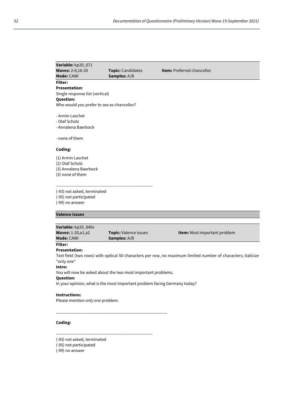| Variable: kp20_671                         |                                                                           |                                                                                                              |
|--------------------------------------------|---------------------------------------------------------------------------|--------------------------------------------------------------------------------------------------------------|
| <b>Waves: 2-8,16-20</b>                    | Topic: Candidates                                                         | Item: Preferred chancellor                                                                                   |
| Mode: CAWI                                 | Samples: A/B                                                              |                                                                                                              |
| <b>Filter:</b>                             |                                                                           |                                                                                                              |
| <b>Presentation:</b>                       |                                                                           |                                                                                                              |
| Single response list (vertical)            |                                                                           |                                                                                                              |
| <b>Question:</b>                           |                                                                           |                                                                                                              |
| Who would you prefer to see as chancellor? |                                                                           |                                                                                                              |
|                                            |                                                                           |                                                                                                              |
| - Armin Laschet                            |                                                                           |                                                                                                              |
| - Olaf Scholz                              |                                                                           |                                                                                                              |
| - Annalena Baerbock                        |                                                                           |                                                                                                              |
|                                            |                                                                           |                                                                                                              |
| - none of them                             |                                                                           |                                                                                                              |
|                                            |                                                                           |                                                                                                              |
| Coding:                                    |                                                                           |                                                                                                              |
| (1) Armin Laschet                          |                                                                           |                                                                                                              |
| (2) Olaf Scholz                            |                                                                           |                                                                                                              |
| (3) Annalena Baerbock                      |                                                                           |                                                                                                              |
| (3) none of them                           |                                                                           |                                                                                                              |
|                                            |                                                                           |                                                                                                              |
|                                            |                                                                           |                                                                                                              |
| (-93) not asked, terminated                |                                                                           |                                                                                                              |
| (-95) not participated                     |                                                                           |                                                                                                              |
| (-99) no answer                            |                                                                           |                                                                                                              |
|                                            |                                                                           |                                                                                                              |
| <b>Valence issues</b>                      |                                                                           |                                                                                                              |
|                                            |                                                                           |                                                                                                              |
|                                            |                                                                           |                                                                                                              |
| Variable: kp20_840s                        |                                                                           |                                                                                                              |
| <b>Waves: 1-20, a1, a2</b>                 | <b>Topic:</b> Valence issues                                              | <b>Item:</b> Most important problem                                                                          |
| Mode: CAWI                                 | Samples: A/B                                                              |                                                                                                              |
| Filter:                                    |                                                                           |                                                                                                              |
| <b>Presentation:</b>                       |                                                                           |                                                                                                              |
|                                            |                                                                           | Text field (two rows) with optical 50 characters per row, no maximum limited number of characters; italicize |
| "only one"                                 |                                                                           |                                                                                                              |
| Intro:                                     |                                                                           |                                                                                                              |
|                                            | You will now be asked about the two most important problems.              |                                                                                                              |
| <b>Question:</b>                           |                                                                           |                                                                                                              |
|                                            | In your opinion, what is the most important problem facing Germany today? |                                                                                                              |
| <b>Instructions:</b>                       |                                                                           |                                                                                                              |
| Please mention only one problem.           |                                                                           |                                                                                                              |
|                                            |                                                                           |                                                                                                              |
|                                            |                                                                           |                                                                                                              |
|                                            |                                                                           |                                                                                                              |
| Coding:                                    |                                                                           |                                                                                                              |

----------------------------------------------------------------------

- (-93) not asked, terminated
- (-95) not participated
- (-99) no answer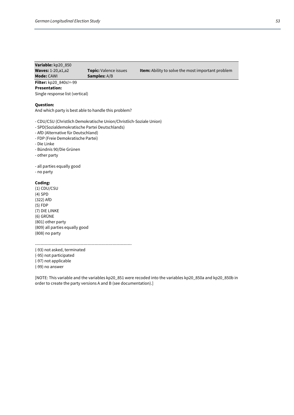# **Variable:** kp20\_850

**Mode:** CAWI **Samples:** A/B

**Waves:** 1-20,a1,a2 **Topic:** Valence issues **Item:** Ability to solve the most important problem

# **Filter:** kp20\_840s!=-99

**Presentation:** Single response list (vertical)

#### **Question:**

And which party is best able to handle this problem?

- CDU/CSU (Christlich Demokratische Union/Christlich-Soziale Union)

- SPD(Sozialdemokratische Partei Deutschlands)
- AfD (Alternative für Deutschland)
- FDP (Freie Demokratische Partei)
- Die Linke
- Bündnis 90/Die Grünen
- other party

- all parties equally good

- no party

### **Coding:**

(1) CDU/CSU (4) SPD (322) AfD (5) FDP (7) DIE LINKE (6) GRÜNE (801) other party (809) all parties equally good (808) no party

----------------------------------------------------------------------

(-93) not asked, terminated

(-95) not participated

(-97) not applicable

(-99) no answer

[NOTE: This variable and the variables kp20\_851 were recoded into the variables kp20\_850a and kp20\_850b in order to create the party versions A and B (see documentation).]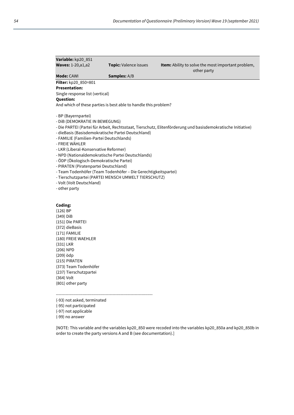| Variable: kp20_851                                 |                                                                                                                        |                                                                                                              |
|----------------------------------------------------|------------------------------------------------------------------------------------------------------------------------|--------------------------------------------------------------------------------------------------------------|
| <b>Waves: 1-20, a1, a2</b>                         | Topic: Valence issues                                                                                                  | Item: Ability to solve the most important problem,                                                           |
| <b>Mode: CAWI</b>                                  | <b>Samples:</b> A/B                                                                                                    | other party                                                                                                  |
| Filter: kp20_850=801                               |                                                                                                                        |                                                                                                              |
| <b>Presentation:</b>                               |                                                                                                                        |                                                                                                              |
| Single response list (vertical)                    |                                                                                                                        |                                                                                                              |
| <b>Question:</b>                                   |                                                                                                                        |                                                                                                              |
|                                                    | And which of these parties is best able to handle this problem?                                                        |                                                                                                              |
| - BP (Bayernpartei)                                |                                                                                                                        |                                                                                                              |
| - DIB (DEMOKRATIE IN BEWEGUNG)                     |                                                                                                                        |                                                                                                              |
|                                                    |                                                                                                                        | - Die PARTEI (Partei für Arbeit, Rechtsstaat, Tierschutz, Elitenförderung und basisdemokratische Initiative) |
| - dieBasis (Basisdemokratische Partei Deutschland) |                                                                                                                        |                                                                                                              |
| - FAMILIE (Familien-Partei Deutschlands)           |                                                                                                                        |                                                                                                              |
| - FREIE WÄHLER                                     |                                                                                                                        |                                                                                                              |
| - LKR (Liberal-Konservative Reformer)              |                                                                                                                        |                                                                                                              |
| - NPD (Nationaldemokratische Partei Deutschlands)  |                                                                                                                        |                                                                                                              |
| - ÖDP (Ökologisch-Demokratische Partei)            |                                                                                                                        |                                                                                                              |
| - PIRATEN (Piratenpartei Deutschland)              |                                                                                                                        |                                                                                                              |
|                                                    | - Team Todenhöfer (Team Todenhöfer - Die Gerechtigkeitspartei)<br>- Tierschutzpartei (PARTEI MENSCH UMWELT TIERSCHUTZ) |                                                                                                              |
| - Volt (Volt Deutschland)                          |                                                                                                                        |                                                                                                              |
| - other party                                      |                                                                                                                        |                                                                                                              |
|                                                    |                                                                                                                        |                                                                                                              |
| Coding:                                            |                                                                                                                        |                                                                                                              |
| $(126)$ BP                                         |                                                                                                                        |                                                                                                              |
| $(349)$ DiB                                        |                                                                                                                        |                                                                                                              |
| (151) Die PARTEI                                   |                                                                                                                        |                                                                                                              |
| (372) dieBasis                                     |                                                                                                                        |                                                                                                              |
| $(171)$ FAMILIE                                    |                                                                                                                        |                                                                                                              |
| (180) FREIE WAEHLER                                |                                                                                                                        |                                                                                                              |
| (331) LKR                                          |                                                                                                                        |                                                                                                              |
| (206) NPD                                          |                                                                                                                        |                                                                                                              |
| (209) ödp                                          |                                                                                                                        |                                                                                                              |
| (215) PIRATEN                                      |                                                                                                                        |                                                                                                              |
| (373) Team Todenhöfer                              |                                                                                                                        |                                                                                                              |
| (237) Tierschutzpartei                             |                                                                                                                        |                                                                                                              |
| (364) Volt                                         |                                                                                                                        |                                                                                                              |

(801) other party

----------------------------------------------------------------------

- (-93) not asked, terminated
- (-95) not participated
- (-97) not applicable
- (-99) no answer

[NOTE: This variable and the variables kp20\_850 were recoded into the variables kp20\_850a and kp20\_850b in order to create the party versions A and B (see documentation).]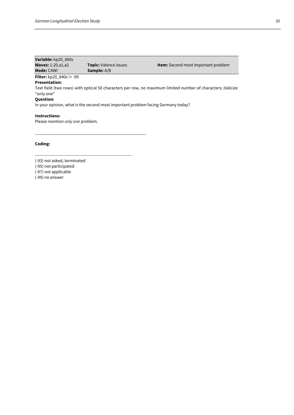| Variable: kp20 860s               |                              |                                            |
|-----------------------------------|------------------------------|--------------------------------------------|
| <b>Waves: 1-20, a1, a2</b>        | <b>Topic:</b> Valence issues | <b>Item:</b> Second most important problem |
| <b>Mode: CAWI</b>                 | <b>Sample:</b> A/B           |                                            |
| <b>Filter:</b> $kp20$ 840s != -99 |                              |                                            |

#### **Presentation:**

Text field (two rows) with optical 50 characters per row, no maximum limited number of characters; italicize "only one"

# **Question:**

In your opinion, what is the second most important problem facing Germany today?

## **Instructions:**

Please mention *only one* problem.

**Coding:**

---------------------------------------------------------------------- (-93) not asked, terminated

\_\_\_\_\_\_\_\_\_\_\_\_\_\_\_\_\_\_\_\_\_\_\_\_\_\_\_\_\_\_\_\_\_\_\_\_\_\_\_\_\_\_\_\_\_\_\_\_\_\_

(-95) not participated

(-97) not applicable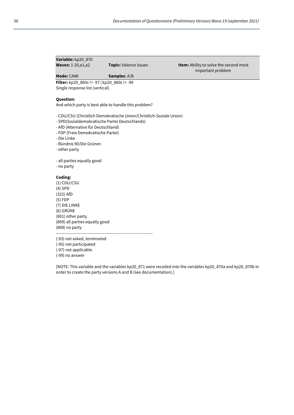| Variable: kp20 870         |                              |                      |
|----------------------------|------------------------------|----------------------|
| <b>Waves: 1-20, a1, a2</b> | <b>Topic:</b> Valence issues | <b>Item: Ability</b> |
|                            |                              | imp                  |

to solve the second most ortant problem

# **Mode:** CAWI **Samples**: A/B

**Filter:** kp20\_860s != -97 | kp20\_860s != -99 Single response list (vertical)

# **Question:**

And which party is best able to handle this problem?

- CDU/CSU (Christlich Demokratische Union/Christlich-Soziale Union)
- SPD(Sozialdemokratische Partei Deutschlands)
- AfD (Alternative für Deutschland)
- FDP (Freie Demokratische Partei)
- Die Linke
- Bündnis 90/Die Grünen
- other party

- all parties equally good

- no party

#### **Coding:**

(1) CDU/CSU (4) SPD (322) AfD (5) FDP (7) DIE LINKE (6) GRÜNE (801) other party (809) all parties equally good (808) no party

----------------------------------------------------------------------

(-93) not asked, terminated

(-95) not participated

(-97) not applicable (-99) no answer

[NOTE: This variable and the variables kp20\_871 were recoded into the variables kp20\_870a and kp20\_870b in order to create the party versions A and B (see documentation).]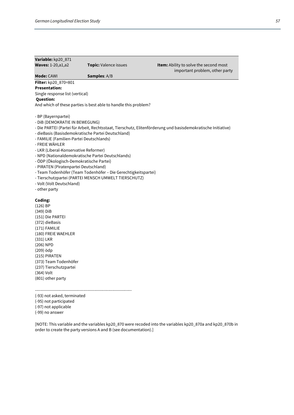| Variable: kp20_871                       |                                                                 |                                                                                                              |
|------------------------------------------|-----------------------------------------------------------------|--------------------------------------------------------------------------------------------------------------|
| Waves: 1-20, a1, a2                      | Topic: Valence issues                                           | Item: Ability to solve the second most                                                                       |
|                                          |                                                                 | important problem, other party                                                                               |
| Mode: CAWI                               | Samples: A/B                                                    |                                                                                                              |
| Filter: kp20_870=801                     |                                                                 |                                                                                                              |
| <b>Presentation:</b>                     |                                                                 |                                                                                                              |
| Single response list (vertical)          |                                                                 |                                                                                                              |
| <b>Question:</b>                         |                                                                 |                                                                                                              |
|                                          | And which of these parties is best able to handle this problem? |                                                                                                              |
| - BP (Bayernpartei)                      |                                                                 |                                                                                                              |
| - DIB (DEMOKRATIE IN BEWEGUNG)           |                                                                 |                                                                                                              |
|                                          |                                                                 | - Die PARTEI (Partei für Arbeit, Rechtsstaat, Tierschutz, Elitenförderung und basisdemokratische Initiative) |
|                                          | - dieBasis (Basisdemokratische Partei Deutschland)              |                                                                                                              |
| - FAMILIE (Familien-Partei Deutschlands) |                                                                 |                                                                                                              |
| - FREIE WÄHLER                           |                                                                 |                                                                                                              |
| - LKR (Liberal-Konservative Reformer)    |                                                                 |                                                                                                              |
|                                          | - NPD (Nationaldemokratische Partei Deutschlands)               |                                                                                                              |
| - ÖDP (Ökologisch-Demokratische Partei)  |                                                                 |                                                                                                              |
| - PIRATEN (Piratenpartei Deutschland)    |                                                                 |                                                                                                              |
|                                          | - Team Todenhöfer (Team Todenhöfer – Die Gerechtigkeitspartei)  |                                                                                                              |
|                                          | - Tierschutzpartei (PARTEI MENSCH UMWELT TIERSCHUTZ)            |                                                                                                              |
| - Volt (Volt Deutschland)                |                                                                 |                                                                                                              |
| - other party                            |                                                                 |                                                                                                              |
| Coding:                                  |                                                                 |                                                                                                              |
| (126) BP                                 |                                                                 |                                                                                                              |
| (349) DiB                                |                                                                 |                                                                                                              |
| (151) Die PARTEI                         |                                                                 |                                                                                                              |
| (372) dieBasis                           |                                                                 |                                                                                                              |
| (171) FAMILIE                            |                                                                 |                                                                                                              |
| (180) FREIE WAEHLER                      |                                                                 |                                                                                                              |
| (331) LKR                                |                                                                 |                                                                                                              |
| (206) NPD                                |                                                                 |                                                                                                              |
| (209) ödp                                |                                                                 |                                                                                                              |
| (215) PIRATEN                            |                                                                 |                                                                                                              |
| (373) Team Todenhöfer                    |                                                                 |                                                                                                              |
| (237) Tierschutzpartei                   |                                                                 |                                                                                                              |

----------------------------------------------------------------------

(-93) not asked, terminated (-95) not participated

(-97) not applicable

(-99) no answer

(364) Volt (801) other party

[NOTE: This variable and the variables kp20\_870 were recoded into the variables kp20\_870a and kp20\_870b in order to create the party versions A and B (see documentation).]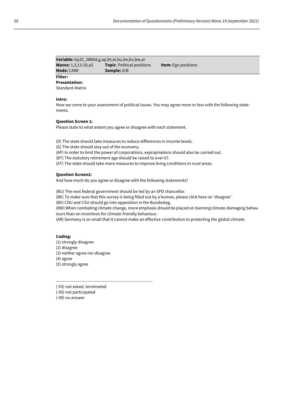| Variable: kp20_2880d,g,ap,bt,at,bu,be,bv,bw,ar |                                   |                            |  |
|------------------------------------------------|-----------------------------------|----------------------------|--|
| <b>Waves: 1,3,13-20,a2</b>                     | <b>Topic:</b> Political positions | <b>Item:</b> Ego positions |  |
| <b>Mode:</b> CAWI                              | <b>Sample:</b> A/B                |                            |  |

# **Filter:**

**Presentation:**

Standard-Matrix

#### **Intro:**

Now we come to your assessment of political issues. You may agree more or less with the following statements.

#### **Question Screen 1:**

Please state to what extent you agree or disagree with each statement.

(D) The state should take measures to reduce differences in income levels.

(G) The state should stay out of the economy.

(AP) In order to limit the power of corporations, expropriations should also be carried out.

(BT) The statutory retirement age should be raised to over 67.

(AT) The state should take more measures to improve living conditions in rural areas.

#### **Question Screen2:**

And how much do you agree or disagree with the following statements?

(BU) The next federal government should be led by an SPD chancellor.

(BE) To make sure that this survey is being filled out by a human, please click here on 'disagree'.

(BV) CDU and CSU should go into opposition in the Bundestag.

(BW) When combating climate change, more emphasis should be placed on banning climate-damaging behaviours than on incentives for climate-friendly behaviour.

(AR) Germany is so small that it cannot make an effective contribution to protecting the global climate.

#### **Coding:**

(1) strongly disagree (2) disagree (3) neither agree nor disagree (4) agree (5) strongly agree

----------------------------------------------------------------------

(-93) not asked, terminated

(-95) not participated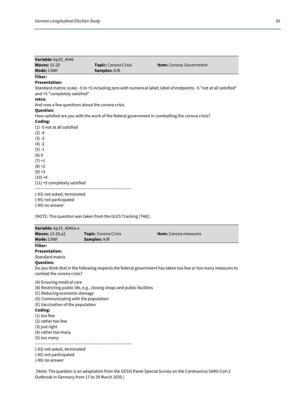| Variable: kp20_4046            |                                                  |                                                                                                                     |
|--------------------------------|--------------------------------------------------|---------------------------------------------------------------------------------------------------------------------|
| <b>Waves: 15-20</b>            | Topic: Corona Crisis                             | <b>Item:</b> Corona: Government                                                                                     |
| Mode: CAWI                     | Samples: A/B                                     |                                                                                                                     |
| Filter:                        |                                                  |                                                                                                                     |
| <b>Presentation:</b>           |                                                  |                                                                                                                     |
|                                |                                                  | Standard matrix; scale: -5 to +5 including zero with numerical label; label of endpoints: -5 "not at all satisfied" |
| and +5 "completely satisfied"  |                                                  |                                                                                                                     |
| Intro:                         |                                                  |                                                                                                                     |
|                                | And now a few questions about the corona crisis. |                                                                                                                     |
| Question:                      |                                                  |                                                                                                                     |
|                                |                                                  | How satisfied are you with the work of the federal government in combatting the corona crisis?                      |
| Coding:                        |                                                  |                                                                                                                     |
| $(1)$ -5 not at all satisfied  |                                                  |                                                                                                                     |
| $(2) -4$                       |                                                  |                                                                                                                     |
| $(3) -3$                       |                                                  |                                                                                                                     |
| $(4) -2$                       |                                                  |                                                                                                                     |
| $(5) -1$                       |                                                  |                                                                                                                     |
| $(6)$ 0                        |                                                  |                                                                                                                     |
| $(7) + 1$                      |                                                  |                                                                                                                     |
| $(8) + 2$                      |                                                  |                                                                                                                     |
| $(9) + 3$                      |                                                  |                                                                                                                     |
| $(10) +4$                      |                                                  |                                                                                                                     |
| $(11)$ +5 completely satisfied |                                                  |                                                                                                                     |
| (-93) not asked, terminated    |                                                  |                                                                                                                     |
|                                |                                                  |                                                                                                                     |

(-95) not participated

(-99) no answer

[NOTE: This question was taken from the GLES Tracking (T48)].

| Variable: kp19_4045a-e                                                                                                                                                                                                                                 |                                                                        |                                                                                                              |
|--------------------------------------------------------------------------------------------------------------------------------------------------------------------------------------------------------------------------------------------------------|------------------------------------------------------------------------|--------------------------------------------------------------------------------------------------------------|
| <b>Waves: 13-20, a2</b><br><b>Mode: CAWI</b>                                                                                                                                                                                                           | Topic: Corona Crisis<br><b>Samples:</b> A/B                            | Item: Corona measures                                                                                        |
| <b>Filter:</b><br><b>Presentation:</b><br>Standard matrix<br><b>Question:</b><br>combat the corona crisis?                                                                                                                                             |                                                                        | Do you think that in the following respects the federal government has taken too few or too many measures to |
| (A) Ensuring medical care<br>(C) Reducing economic damage<br>(D) Communicating with the population<br>(E) Vaccination of the population<br>Coding:<br>$(1)$ too few<br>(2) rather too few<br>$(3)$ just right<br>(4) rather too many<br>$(5)$ too many | (B) Restricting public life, e.g., closing shops and public facilities |                                                                                                              |
| (-93) not asked, terminated<br>(-95) not participated<br>(-99) no answer                                                                                                                                                                               |                                                                        |                                                                                                              |

[Note: The question is an adaptation from the GESIS Panel Special Survey on the Coronavirus SARS-CoV-2 Outbreak in Germany from 17 to 29 March 2020.]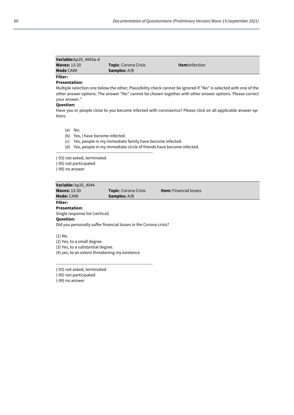| Variable:kp20_4043a-d |                             |                        |  |
|-----------------------|-----------------------------|------------------------|--|
| <b>Waves: 13-20</b>   | <b>Topic:</b> Corona Crisis | <b>Item:</b> Infection |  |
| <b>Mode CAWI</b>      | <b>Samples:</b> A/B         |                        |  |
| Filter:               |                             |                        |  |

# **Presentation:**

Multiple selection one below the other; Plausibility check cannot be ignored if "No" is selected with one of the other answer options: The answer "No" cannot be chosen together with other answer options. Please correct your answer."

## **Question:**

Have you or people close to you become infected with coronavirus? Please click on all applicable answer options.

- (a) No.
- (b) Yes, I have become infected.
- (c) Yes, people in my immediate family have become infected.
- (d) Yes, people in my immediate circle of friends have become infected.

----------------------------------------------------------------------

(-93) not asked, terminated

(-95) not participated

(-99) no answer

| Variable: kp20 4044             |                             |                               |
|---------------------------------|-----------------------------|-------------------------------|
| <b>Waves: 13-20</b>             | <b>Topic:</b> Corona Crisis | <b>Item:</b> Financial losses |
| <b>Mode: CAWI</b>               | <b>Samples:</b> A/B         |                               |
| Filter:                         |                             |                               |
| <b>Presentation:</b>            |                             |                               |
| Single response list (vertical) |                             |                               |
| <b>Question:</b>                |                             |                               |

Did you personally suffer financial losses in the Corona crisis?

(1) No.

(2) Yes, to a small degree.

(3) Yes, to a substantial degree.

(4) yes, to an extent threatening my existence

----------------------------------------------------------------------

(-93) not asked, terminated

(-95) not participated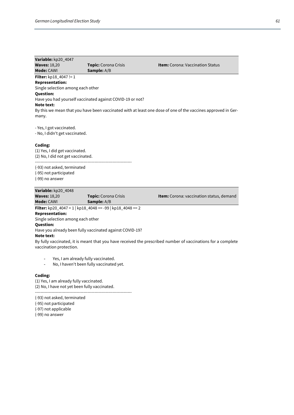| Variable: kp20 4047               |                                                           |                                                                                                              |
|-----------------------------------|-----------------------------------------------------------|--------------------------------------------------------------------------------------------------------------|
| <b>Waves: 18,20</b>               | <b>Topic:</b> Corona Crisis                               | <b>Item:</b> Corona: Vaccination Status                                                                      |
| Mode: CAWI                        | <b>Sample:</b> A/B                                        |                                                                                                              |
| <b>Filter:</b> $kp18_4047 != 1$   |                                                           |                                                                                                              |
| <b>Representation:</b>            |                                                           |                                                                                                              |
| Single selection among each other |                                                           |                                                                                                              |
| <b>Question:</b>                  |                                                           |                                                                                                              |
|                                   | Have you had yourself vaccinated against COVID-19 or not? |                                                                                                              |
| Note text:                        |                                                           |                                                                                                              |
|                                   |                                                           | By this we mean that you have been vaccinated with at least one dose of one of the vaccines approved in Ger- |
| many.                             |                                                           |                                                                                                              |
|                                   |                                                           |                                                                                                              |
| - Yes, I got vaccinated.          |                                                           |                                                                                                              |
| - No, I didn't get vaccinated.    |                                                           |                                                                                                              |
|                                   |                                                           |                                                                                                              |
| Coding.                           |                                                           |                                                                                                              |

**Coding:** (1) Yes, I did get vaccinated. (2) No, I did not get vaccinated. ----------------------------------------------------------------------

(-93) not asked, terminated (-95) not participated (-99) no answer

#### **Variable:** kp20\_4048

**Waves:** 18,20 **Topic:** Corona Crisis **Item:** Corona: vaccination status, demand **Mode:** CAWI **Sample:** A/B **Filter:** kp20\_4047 = 1 | kp18\_4048 == -99 | kp18\_4048 == 2 **Representation:**  Single selection among each other **Question:** Have you already been fully vaccinated against COVID-19? **Note text:** By fully vaccinated, it is meant that you have received the prescribed number of vaccinations for a complete vaccination protection.

- Yes, I am already fully vaccinated.
- No, I haven't been fully vaccinated yet.

#### **Coding:**

(1) Yes, I am already fully vaccinated. (2) No, I have not yet been fully vaccinated. ----------------------------------------------------------------------

(-93) not asked, terminated

- (-95) not participated
- (-97) not applicable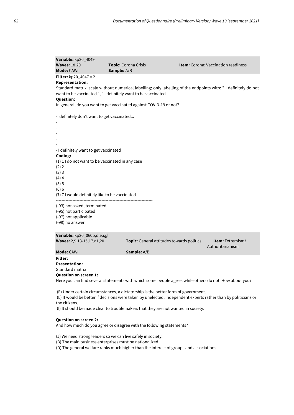| Variable: kp20_4049                            |                                                                    |                                                                                                                |
|------------------------------------------------|--------------------------------------------------------------------|----------------------------------------------------------------------------------------------------------------|
| <b>Waves: 18,20</b>                            | Topic: Corona Crisis                                               | <b>Item:</b> Corona: Vaccination readiness                                                                     |
| Mode: CAWI                                     | Sample: A/B                                                        |                                                                                                                |
| <b>Filter:</b> $kp20_4047 = 2$                 |                                                                    |                                                                                                                |
| <b>Representation:</b>                         |                                                                    |                                                                                                                |
|                                                | want to be vaccinated ", " I definitely want to be vaccinated ".   | Standard matrix; scale without numerical labelling; only labelling of the endpoints with: "I definitely do not |
| <b>Question:</b>                               |                                                                    |                                                                                                                |
|                                                | In general, do you want to get vaccinated against COVID-19 or not? |                                                                                                                |
|                                                |                                                                    |                                                                                                                |
| -I definitely don't want to get vaccinated     |                                                                    |                                                                                                                |
|                                                |                                                                    |                                                                                                                |
|                                                |                                                                    |                                                                                                                |
|                                                |                                                                    |                                                                                                                |
|                                                |                                                                    |                                                                                                                |
| - I definitely want to get vaccinated          |                                                                    |                                                                                                                |
| Coding:                                        |                                                                    |                                                                                                                |
|                                                | (1) 1 I do not want to be vaccinated in any case                   |                                                                                                                |
| (2) 2                                          |                                                                    |                                                                                                                |
| (3)3                                           |                                                                    |                                                                                                                |
| $(4)$ 4                                        |                                                                    |                                                                                                                |
| (5)5                                           |                                                                    |                                                                                                                |
| (6) 6                                          |                                                                    |                                                                                                                |
| (7) 7 I would definitely like to be vaccinated |                                                                    |                                                                                                                |
| (-93) not asked, terminated                    |                                                                    |                                                                                                                |
| (-95) not participated                         |                                                                    |                                                                                                                |
| (-97) not applicable                           |                                                                    |                                                                                                                |
| (-99) no answer                                |                                                                    |                                                                                                                |
|                                                |                                                                    |                                                                                                                |
| Variable: kp20_060b,d,e,i,j,l                  |                                                                    |                                                                                                                |
| Waves: 2,9,13-15,17,a1,20                      |                                                                    | Topic: General attitudes towards politics<br><b>Item:</b> Extremism/<br>Authoritarianism                       |

**Mode:** CAWI **Sample:** A/B

**Filter:**

**Presentation:** 

Standard matrix

**Question on screen 1:** 

Here you can find several statements with which some people agree, while others do not. How about you?

(E) Under certain circumstances, a dictatorship is the better form of government.

(L) It would be better if decisions were taken by unelected, independent experts rather than by politicians or the citizens.

(I) It should be made clear to troublemakers that they are not wanted in society.

#### **Question on screen 2:**

And how much do you agree or disagree with the following statements?

(J) We need strong leaders so we can live safely in society.

(B) The main business enterprises must be nationalized.

(D) The general welfare ranks much higher than the interest of groups and associations.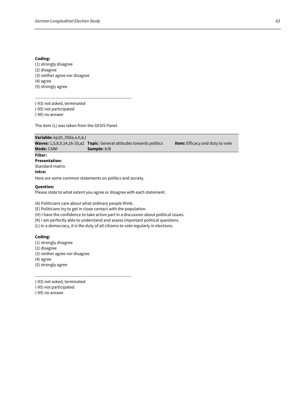#### **Coding:**

(1) strongly disagree (2) disagree (3) neither agree nor disagree (4) agree (5) strongly agree

---------------------------------------------------------------------- (-93) not asked, terminated

(-95) not participated

(-99) no answer

The item (L) was taken from the GESIS Panel.



Please state to what extent you agree or disagree with each statement.

(A) Politicians care about what ordinary people think.

(E) Politicians try to get in close contact with the population.

(H) I have the confidence to take active part in a discussion about political issues.

(K) I am perfectly able to understand and assess important political questions.

(L) In a democracy, it is the duty of all citizens to vote regularly in elections.

----------------------------------------------------------------------

## **Coding:**

(1) strongly disagree (2) disagree (3) neither agree nor disagree (4) agree (5) strongly agree

(-93) not asked, terminated

(-95) not participated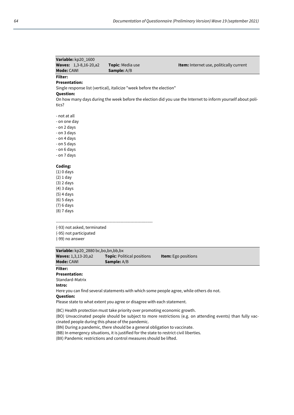| Variable: kp20_1600                                                                                                             |                                                                           |                                                                                                              |
|---------------------------------------------------------------------------------------------------------------------------------|---------------------------------------------------------------------------|--------------------------------------------------------------------------------------------------------------|
| <b>Waves: 1,3-8,16-20,a2</b>                                                                                                    | Topic: Media use                                                          | Item: Internet use, politically current                                                                      |
| Mode: CAWI                                                                                                                      | Sample: A/B                                                               |                                                                                                              |
| Filter:                                                                                                                         |                                                                           |                                                                                                              |
| <b>Presentation:</b>                                                                                                            |                                                                           |                                                                                                              |
|                                                                                                                                 | Single response list (vertical), italicize "week before the election"     |                                                                                                              |
| <b>Question:</b>                                                                                                                |                                                                           |                                                                                                              |
|                                                                                                                                 |                                                                           | On how many days during the week before the election did you use the Internet to inform yourself about poli- |
| tics?                                                                                                                           |                                                                           |                                                                                                              |
|                                                                                                                                 |                                                                           |                                                                                                              |
| - not at all                                                                                                                    |                                                                           |                                                                                                              |
| - on one day                                                                                                                    |                                                                           |                                                                                                              |
| - on 2 days                                                                                                                     |                                                                           |                                                                                                              |
| - on 3 days                                                                                                                     |                                                                           |                                                                                                              |
| - on 4 days                                                                                                                     |                                                                           |                                                                                                              |
| - on 5 days                                                                                                                     |                                                                           |                                                                                                              |
| - on 6 days                                                                                                                     |                                                                           |                                                                                                              |
| - on 7 days                                                                                                                     |                                                                           |                                                                                                              |
|                                                                                                                                 |                                                                           |                                                                                                              |
| Coding:                                                                                                                         |                                                                           |                                                                                                              |
| $(1)$ 0 days                                                                                                                    |                                                                           |                                                                                                              |
| $(2)$ 1 day                                                                                                                     |                                                                           |                                                                                                              |
| $(3)$ 2 days                                                                                                                    |                                                                           |                                                                                                              |
| $(4)$ 3 days                                                                                                                    |                                                                           |                                                                                                              |
| $(5)$ 4 days                                                                                                                    |                                                                           |                                                                                                              |
| $(6)$ 5 days                                                                                                                    |                                                                           |                                                                                                              |
| $(7)$ 6 days                                                                                                                    |                                                                           |                                                                                                              |
| $(8)$ 7 days                                                                                                                    |                                                                           |                                                                                                              |
|                                                                                                                                 |                                                                           |                                                                                                              |
| (-93) not asked, terminated                                                                                                     |                                                                           |                                                                                                              |
| (-95) not participated                                                                                                          |                                                                           |                                                                                                              |
| (-99) no answer                                                                                                                 |                                                                           |                                                                                                              |
|                                                                                                                                 |                                                                           |                                                                                                              |
| Variable: kp20_2880 bc,bo,bn,bb,bx                                                                                              |                                                                           |                                                                                                              |
| <b>Waves: 1,3,13-20,a2</b>                                                                                                      | Topic: Political positions                                                | Item: Ego positions                                                                                          |
| Mode: CAWI                                                                                                                      | Sample: A/B                                                               |                                                                                                              |
| Filter:                                                                                                                         |                                                                           |                                                                                                              |
| Presentation:                                                                                                                   |                                                                           |                                                                                                              |
| Standard-Matrix                                                                                                                 |                                                                           |                                                                                                              |
| Intro:                                                                                                                          |                                                                           |                                                                                                              |
|                                                                                                                                 |                                                                           | Here you can find several statements with which some people agree, while others do not.                      |
| <b>Question:</b>                                                                                                                |                                                                           |                                                                                                              |
|                                                                                                                                 | Please state to what extent you agree or disagree with each statement.    |                                                                                                              |
|                                                                                                                                 |                                                                           |                                                                                                              |
|                                                                                                                                 | (BC) Health protection must take priority over promoting economic growth. |                                                                                                              |
| (BO) Unvaccinated people should be subject to more restrictions (e.g. on attending events) than fully vac-                      |                                                                           |                                                                                                              |
| cinated people during this phase of the pandemic.<br>(BN) During a pandemic, there should be a general obligation to vaccinate. |                                                                           |                                                                                                              |
|                                                                                                                                 |                                                                           |                                                                                                              |

(BB) In emergency situations, it is justified for the state to restrict civil liberties.

(BX) Pandemic restrictions and control measures should be lifted.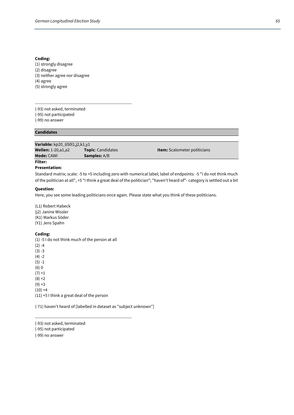#### **Coding:**

(1) strongly disagree (2) disagree (3) neither agree nor disagree (4) agree (5) strongly agree

---------------------------------------------------------------------- (-93) not asked, terminated (-95) not participated (-99) no answer

# **Candidates**

**Variable:** kp20\_650l1,j2,k1,y1 **Wellen:** 1-20,a1,a2 **Topic**: Candidates **Item:** Scalometer politicians **Mode:** CAWI **Samples:** A/B

# **Filter:**

**Presentation:**

Standard matrix; scale: -5 to +5 including zero with numerical label; label of endpoints: -5 "I do not think much of the politician at all", +5 "I think a great deal of the politician"; "haven't heard of"- category is settled out a bit

#### **Question:**

Here, you see some leading politicians once again. Please state what you think of these politicians.

(L1) Robert Habeck (j2) Janine Wissler (K1) Markus Söder (Y1) Jens Spahn

#### **Coding:**

(1) -5 I do not think much of the person at all  $(2) -4$  $(3) -3$  $(4) -2$  $(5) -1$ (6) 0  $(7) + 1$  $(8) + 2$  $(9) + 3$  $(10) +4$ (11) +5 I think a great deal of the person

(-71) haven't heard of [labelled in dataset as "subject unknown"]

 $-$ 

(-93) not asked, terminated (-95) not participated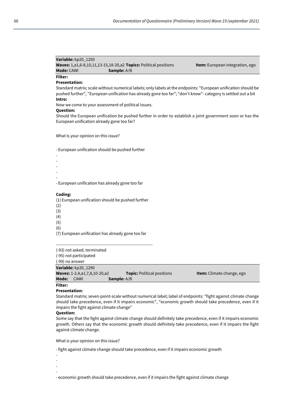| Variable: kp20 1250                                                            |                    |                                        |
|--------------------------------------------------------------------------------|--------------------|----------------------------------------|
| <b>Waves:</b> 1,a1,6-8,10,11,13-15,18-20,a2 <b>Topics:</b> Political positions |                    | <b>Item:</b> European integration, ego |
| <b>Mode:</b> CAWI                                                              | <b>Sample:</b> A/B |                                        |

# **Filter:**

# **Presentation:**

Standard matrix; scale without numerical labels; only labels at the endpoints: "European unification should be pushed further", "European unification has already gone too far"; "don't know"- category is settled out a bit **Intro:**

Now we come to your assessment of political issues.

#### **Question:**

Should the European unification be pushed further in order to establish a joint government soon or has the European unification already gone too far?

What is your opinion on this issue?

- European unification should be pushed further

- - - - - - European unification has already gone too far **Coding:** (1) European unification should be pushed further

- (2)
- (3)
- (4)
- (5)
- (6)

(7) European unification has already gone too far

----------------------------------------------------------------------

(-93) not asked, terminated

(-95) not participated (-99) no answer

**Variable:** kp20\_1290

|       | $\mathbf{v}$ assumed the $\mathbf{v}$ |                                   |                                  |
|-------|---------------------------------------|-----------------------------------|----------------------------------|
|       | <b>Waves:</b> 1-2,4,a1,7,8,10-20,a2   | <b>Topic:</b> Political positions | <b>Item:</b> Climate change, ego |
| Mode: | CAWL                                  | <b>Sample:</b> A/B                |                                  |

### **Filter:**

#### **Presentation:**

Standard matrix; seven-point-scale without numerical label; label of endpoints: "fight against climate change should take precedence, even if it impairs economic", "economic growth should take precedence, even if it impairs the fight against climate change"

# **Question:**

Some say that the fight against climate change should definitely take precedence, even if it impairs economic growth. Others say that the economic growth should definitely take precedence, even if it impairs the fight against climate change.

What is your opinion on this issue?

- fight against climate change should take precedence, even if it impairs economic growth

- -
- -
- -

- economic growth should take precedence, even if it impairs the fight against climate change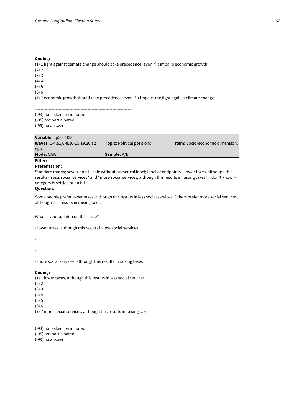#### **Coding:**

(1) 1 fight against climate change should take precedence, even if it impairs economic growth (2) 2 (3) 3  $(4)4$ (5) 5 (6) 6

(7) 7 economic growth should take precedence, even if it impairs the fight against climate change

----------------------------------------------------------------------

(-93) not asked, terminated

(-95) not participated

(-99) no answer

**Variable:** kp20\_1090

| <b>Mode: CAWI</b>                               | <b>Sample:</b> A/B                |                                        |
|-------------------------------------------------|-----------------------------------|----------------------------------------|
| ego                                             |                                   |                                        |
| <b>Waves:</b> 1-4, a 1, 6-8, 10-15, 19, 20, a 2 | <b>Topic:</b> Political positions | <b>Item:</b> Socio-economic dimension, |
| $\sim$                                          |                                   |                                        |

# **Filter:**

#### **Presentation:**

Standard matrix; seven-point-scale without numerical label; label of endpoints: "lower taxes, although this results in less social services" and "more social services, although this results in raising taxes"; "don't know" category is settled out a bit

#### **Question:**

Some people prefer lower taxes, although this results in less social services. Others prefer more social services, although this results in raising taxes.

What is your opinion on this issue?

- lower taxes, although this results in less social services - - - - - - more social services, although this results in raising taxes **Coding:**

(1) 1 lower taxes, although this results in less social services  $(2) 2$ (3) 3  $(4)$  4 (5) 5 (6) 6 (7) 7 more social services, although this results in raising taxes

----------------------------------------------------------------------

(-93) not asked, terminated

(-95) not participated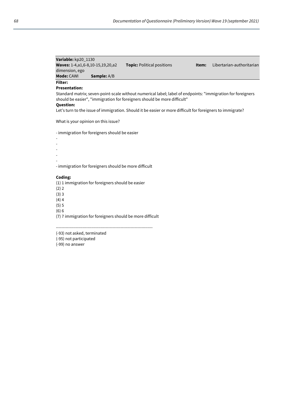| Variable: kp20 1130                             |                    |                                   |
|-------------------------------------------------|--------------------|-----------------------------------|
| <b>Waves:</b> 1-4, a 1, 6-8, 10-15, 19, 20, a 2 |                    | <b>Topic:</b> Political positions |
| dimension, ego                                  |                    |                                   |
| <b>Mode: CAWI</b>                               | <b>Sample:</b> A/B |                                   |

**Item:** Libertarian-authoritarian

## **Filter: Presentation:**

Standard matrix; seven-point-scale without numerical label; label of endpoints: "immigration for foreigners should be easier", "immigration for foreigners should be more difficult"

#### **Question:**

Let's turn to the issue of immigration. Should it be easier or more difficult for foreigners to immigrate?

What is your opinion on this issue?

- immigration for foreigners should be easier

-

- -
- -
- -

- immigration for foreigners should be more difficult

## **Coding:**

(1) 1 immigration for foreigners should be easier

(2) 2

(3) 3

 $(4)$  4

(5) 5

(6) 6

(7) 7 immigration for foreigners should be more difficult

----------------------------------------------------------------------

(-93) not asked, terminated

(-95) not participated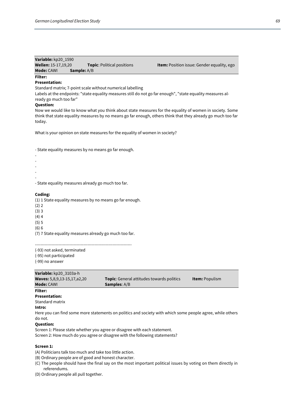| Variable: kp20 1590        |                    |                                   |                                     |
|----------------------------|--------------------|-----------------------------------|-------------------------------------|
| <b>Wellen:</b> 15-17.19.20 |                    | <b>Topic:</b> Political positions | <b>Item:</b> Position issue: Gender |
| <b>Mode:</b> CAWI          | <b>Sample:</b> A/B |                                   |                                     |

**Equality**, ego

# **Filter:**

# **Presentation:**

Standard matrix; 7-point scale without numerical labelling

Labels at the endpoints: "state equality measures still do not go far enough", "state equality measures already go much too far"

#### **Question:**

Now we would like to know what you think about state measures for the equality of women in society. Some think that state equality measures by no means go far enough, others think that they already go much too far today.

What is your opinion on state measures for the equality of women in society?

- State equality measures by no means go far enough.

- - - - -

- State equality measures already go much too far.

#### **Coding:**

(1) 1 State equality measures by no means go far enough.

- (2) 2
- (3) 3
- (4) 4
- (5) 5
- (6) 6

(7) 7 State equality measures already go much too far.

----------------------------------------------------------------------

(-93) not asked, terminated

(-95) not participated

(-99) no answer

| Mode: CAWI                         | <b>Samples:</b> A/B                               |                       |
|------------------------------------|---------------------------------------------------|-----------------------|
| <b>Waves:</b> 5,8,9,13-15,17,a2,20 | <b>Topic</b> : General attitudes towards politics | <b>Item:</b> Populism |
| Variable: kp20_3103a-h             |                                                   |                       |

#### **Filter:**

# **Presentation:**

Standard matrix

**Intro:**

Here you can find some more statements on politics and society with which some people agree, while others do not.

#### **Question:**

Screen 1: Please state whether you agree or disagree with each statement. Screen 2: How much do you agree or disagree with the following statements?

#### **Screen 1:**

(A) Politicians talk too much and take too little action.

- (B) Ordinary people are of good and honest character.
- (C) The people should have the final say on the most important political issues by voting on them directly in referendums.
- (D) Ordinary people all pull together.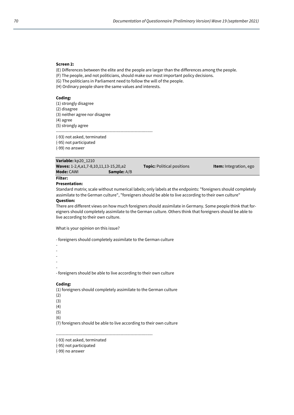# **Screen 2:**

(E) Differences between the elite and the people are larger than the differences among the people.

- (F) The people, and not politicians, should make our most important policy decisions.
- (G) The politicians in Parliament need to follow the will of the people.
- (H) Ordinary people share the same values and interests.

#### **Coding:**

- (1) strongly disagree
- (2) disagree
- (3) neither agree nor disagree
- (4) agree

(5) strongly agree ----------------------------------------------------------------------

(-93) not asked, terminated

- (-95) not participated
- (-99) no answer

| Variable: kp20 1210                          |                    |                                   |                               |
|----------------------------------------------|--------------------|-----------------------------------|-------------------------------|
| <b>Waves:</b> 1-2,4,a1,7-8,10,11,13-15,20,a2 |                    | <b>Topic:</b> Political positions | <b>Item:</b> Integration, ego |
| <b>Mode:</b> CAWI                            | <b>Sample:</b> A/B |                                   |                               |
| Filter:                                      |                    |                                   |                               |

# **Presentation:**

Standard matrix; scale without numerical labels; only labels at the endpoints: "foreigners should completely assimilate to the German culture", "foreigners should be able to live according to their own culture"

#### **Question:**

There are different views on how much foreigners should assimilate in Germany. Some people think that foreigners should completely assimilate to the German culture. Others think that foreigners should be able to live according to their own culture.

What is your opinion on this issue?

- foreigners should completely assimilate to the German culture

- -
- -
- -
- -

-

- foreigners should be able to live according to their own culture

# **Coding:**

(1) foreigners should completely assimilate to the German culture

- (2)
- (3)
- $(4)$ (5)
- 

(6)

(7) foreigners should be able to live according to their own culture

----------------------------------------------------------------------

(-95) not participated

<sup>(-93)</sup> not asked, terminated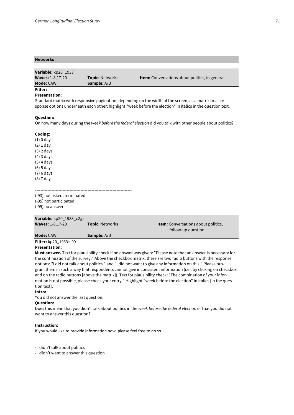# **Networks Variable:** kp20\_1933 **Waves:** 1-8,17-20 **Topic:** Networks **Item:** Conversations about politics, in general **Mode:** CAWI **Sample:** A/B **Filter:**

#### **Presentation:**

Standard matrix with responsive pagination; depending on the width of the screen, as a matrix or as response options underneath each other; highlight "week before the election" in italics in the question text.

#### **Question:**

On how many days during the *week before the federal election* did you talk with other people about politics?

#### **Coding:**

(1) 0 days (2) 1 day (3) 2 days (4) 3 days (5) 4 days (6) 5 days (7) 6 days (8) 7 days

(-93) not asked, terminated (-95) not participated

----------------------------------------------------------------------

(-99) no answer

| <b>Item:</b> Conversations about politics,<br><b>Topic: Networks</b> |
|----------------------------------------------------------------------|
| follow-up question                                                   |
|                                                                      |
|                                                                      |
|                                                                      |

## **Presentation:**

**Must answer.** Text for plausibility check if no answer was given: "Please note that an answer is necessary for the continuation of the survey." Above the checkbox matrix, there are two radio buttons with the response options: "I did not talk about politics." and "I did not want to give any information on this." Please program them in such a way that respondents cannot give inconsistent information (i.e., by clicking on checkbox and on the radio buttons [above the matrix]). Text for plausibility check: "The combination of your information is not possible, please check your entry." Highlight "week before the election" in italics [in the question text].

#### **Intro:**

You did not answer the last question.

#### **Question:**

Does this mean that you didn't talk about politics in the *week before the federal election* or that you did not want to answer this question?

#### **Instruction:**

If you would like to provide information now, please feel free to do so.

- I didn't talk about politics

- I didn't want to answer this question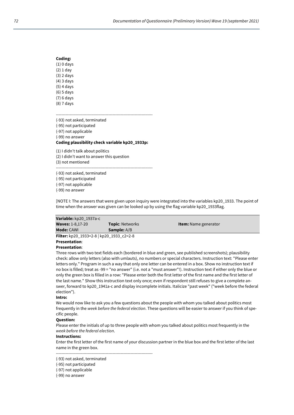| Coding:      |  |  |  |  |
|--------------|--|--|--|--|
| $(1)$ 0 days |  |  |  |  |
| (2) 1 day    |  |  |  |  |
| (3) 2 days   |  |  |  |  |
| (4) 3 days   |  |  |  |  |
| (5) 4 days   |  |  |  |  |
| (6) 5 days   |  |  |  |  |
| (7) 6 days   |  |  |  |  |
| (8) 7 days   |  |  |  |  |

----------------------------------------------------------------------

(-93) not asked, terminated (-95) not participated (-97) not applicable (-99) no answer

# **Coding plausibility check variable kp20\_1933p:**

(1) I didn't talk about politics (2) I didn't want to answer this question (3) not mentioned ----------------------------------------------------------------------

(-93) not asked, terminated (-95) not participated (-97) not applicable (-99) no answer

[NOTE I: The answers that were given upon inquiry were integrated into the variables kp20\_1933. The point of time when the answer was given can be looked up by using the flag variable kp20\_1933flag.

| Variable: kp20 1937a-c                                                                                     |                        |                             |  |
|------------------------------------------------------------------------------------------------------------|------------------------|-----------------------------|--|
| <b>Waves: 1-8,17-20</b>                                                                                    | <b>Topic: Networks</b> | <b>Item:</b> Name generator |  |
| <b>Mode: CAWI</b>                                                                                          | <b>Sample:</b> A/B     |                             |  |
| <b>Filter:</b> kp20 1933=2-8   kp20 1933 c2=2-8                                                            |                        |                             |  |
| <b>Presentation:</b>                                                                                       |                        |                             |  |
| <b>Presentation:</b>                                                                                       |                        |                             |  |
| Three rows with two text fields each (bordered in blue and green, see published screenshots); plausibility |                        |                             |  |

check: allow only letters (also with umlauts), no numbers or special characters. Instruction text: "Please enter letters only." Program in such a way that only one letter can be entered in a box. Show no instruction text if no box is filled; treat as -99 = "no answer" (i.e. not a "must answer"!). Instruction text if either only the blue or only the green box is filled in a row: "Please enter both the first letter of the first name and the first letter of the last name." Show this instruction text only once; even if respondent still refuses to give a complete answer, forward to kp20\_1941a-c and display incomplete initials. Italicize "past week" ("week before the federal election").

#### **Intro:**

We would now like to ask you a few questions about the people with whom you talked about politics most frequently in the *week before the federal election*. These questions will be easier to answer if you think of specific people.

#### **Question:**

Please enter the initials of up to three people with whom you talked about politics most frequently in the *week before the federal election*.

#### **Instructions:**

Enter the first letter of the first name of your discussion partner in the blue box and the first letter of the last name in the green box.

(-93) not asked, terminated

----------------------------------------------------------------------

- (-97) not applicable
- (-99) no answer

<sup>(-95)</sup> not participated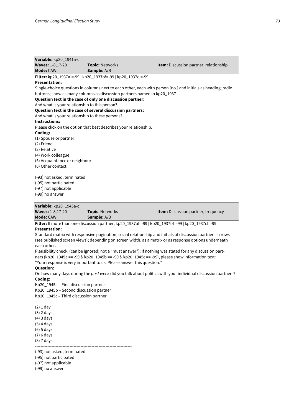| Variable: kp20_1941a-c                          |                                                                         |                                                                                                              |
|-------------------------------------------------|-------------------------------------------------------------------------|--------------------------------------------------------------------------------------------------------------|
| <b>Waves: 1-8,17-20</b>                         | <b>Topic: Networks</b>                                                  | <b>Item:</b> Discussion partner, relationship                                                                |
| Mode: CAWI                                      | Sample: A/B                                                             |                                                                                                              |
|                                                 | Filter: kp20 1937a!=-99   kp20 1937b!=-99   kp20 1937c!=-99             |                                                                                                              |
| <b>Presentation:</b>                            |                                                                         |                                                                                                              |
|                                                 |                                                                         | Single-choice questions in columns next to each other, each with person [no.] and initials as heading; radio |
|                                                 | buttons; show as many columns as discussion partners named in kp20_1937 |                                                                                                              |
|                                                 | Question text in the case of only one discussion partner:               |                                                                                                              |
| And what is your relationship to this person?   |                                                                         |                                                                                                              |
|                                                 | Question text in the case of several discussion partners:               |                                                                                                              |
| And what is your relationship to these persons? |                                                                         |                                                                                                              |
| <b>Instructions:</b>                            |                                                                         |                                                                                                              |
|                                                 | Please click on the option that best describes your relationship.       |                                                                                                              |
| Coding:                                         |                                                                         |                                                                                                              |
| (1) Spouse or partner                           |                                                                         |                                                                                                              |
| (2) Friend                                      |                                                                         |                                                                                                              |
| (3) Relative                                    |                                                                         |                                                                                                              |
| (4) Work colleague                              |                                                                         |                                                                                                              |
| (5) Acquaintance or neighbour                   |                                                                         |                                                                                                              |
| (6) Other contact                               |                                                                         |                                                                                                              |
|                                                 |                                                                         |                                                                                                              |
| (-93) not asked, terminated                     |                                                                         |                                                                                                              |
| (-95) not participated                          |                                                                         |                                                                                                              |
| (-97) not applicable                            |                                                                         |                                                                                                              |
| (-99) no answer                                 |                                                                         |                                                                                                              |
|                                                 |                                                                         |                                                                                                              |
| Variable: kp20_1945a-c                          |                                                                         |                                                                                                              |
| <b>Waves: 1-8,17-20</b>                         | <b>Topic: Networks</b>                                                  | <b>Item:</b> Discussion partner, frequency                                                                   |
|                                                 |                                                                         |                                                                                                              |

**Mode:** CAWI **Sample:** A/B **Filter:** If more than one discussion partner, kp20\_1937a!=-99 | kp20\_1937b!=-99 | kp20\_1937c!=-99

# **Presentation:**

Standard matrix with responsive pagination; social relationship and initials of discussion partners in rows (see published screen views); depending on screen width, as a matrix or as response options underneath each other.

Plausibility check, (can be ignored; not a "must answer"): If nothing was stated for any discussion partners (kp20\_1945a == -99 & kp20\_1945b == -99 & kp20\_1945c == -99), please show information text: "Your response is very important to us. Please answer this question."

## **Question:**

On how many days during the *past week* did you talk about politics with your individual discussion partners? **Coding:**

Kp20\_1945a – First discussion partner Kp20\_1945b – Second discussion partner Kp20\_1945c – Third discussion partner

(2) 1 day (3) 2 days (4) 3 days (5) 4 days

(6) 5 days (7) 6 days

(8) 7 days ----------------------------------------------------------------------

(-93) not asked, terminated

(-95) not participated

(-97) not applicable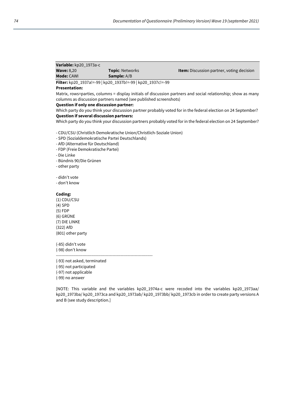| Variable: kp20 1973a-c |                        |                                                  |
|------------------------|------------------------|--------------------------------------------------|
| <b>Wave: 8.20</b>      | <b>Topic: Networks</b> | <b>Item:</b> Discussion partner, voting decision |
| <b>Mode: CAWL</b>      | <b>Sample:</b> A/B     |                                                  |

**Filter:** kp20\_1937a!=-99 | kp20\_1937b!=-99 | kp20\_1937c!=-99

## **Presentation:**

Matrix, rows=parties, columns = display initials of discussion partners and social relationship; show as many columns as discussion partners named (see published screenshots)

## **Question if only one discussion partner:**

Which party do you think your discussion partner probably voted for in the federal election on 24 September? **Question if several discussion partners:**

Which party do you think your discussion partners probably voted for in the federal election on 24 September?

- CDU/CSU (Christlich Demokratische Union/Christlich-Soziale Union)

- SPD (Sozialdemokratische Partei Deutschlands)
- AfD (Alternative für Deutschland)
- FDP (Freie Demokratische Partei)

- Die Linke

- Bündnis 90/Die Grünen
- other party

- didn't vote

- don't know

## **Coding:**

(1) CDU/CSU (4) SPD (5) FDP (6) GRÜNE (7) DIE LINKE (322) AfD (801) other party

(-85) didn't vote (-98) don't know

----------------------------------------------------------------------

(-93) not asked, terminated

(-95) not participated

(-97) not applicable

(-99) no answer

[NOTE: This variable and the variables kp20 1974a-c were recoded into the variables kp20 1973aa/ kp20\_1973ba/ kp20\_1973ca and kp20\_1973ab/ kp20\_1973bb/ kp20\_1973cb in order to create party versions A and B (see study description.]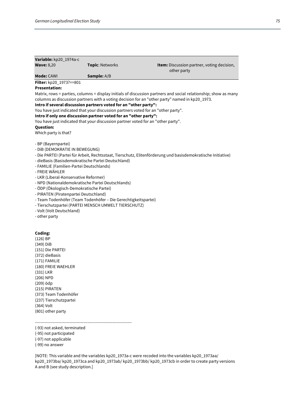| Variable: kp20_1974a-c                                |                                                                                                                                                       |                                                                                                                 |
|-------------------------------------------------------|-------------------------------------------------------------------------------------------------------------------------------------------------------|-----------------------------------------------------------------------------------------------------------------|
| <b>Wave: 8,20</b>                                     | Topic: Networks                                                                                                                                       | Item: Discussion partner, voting decision,<br>other party                                                       |
| <b>Mode: CAWI</b>                                     | Sample: A/B                                                                                                                                           |                                                                                                                 |
| Filter: kp20_1973?==801                               |                                                                                                                                                       |                                                                                                                 |
| <b>Presentation:</b>                                  |                                                                                                                                                       |                                                                                                                 |
|                                                       |                                                                                                                                                       | Matrix, rows = parties, columns = display initials of discussion partners and social relationship; show as many |
|                                                       |                                                                                                                                                       | columns as discussion partners with a voting decision for an "other party" named in kp20_1973.                  |
|                                                       | Intro if several discussion partners voted for an "other party":                                                                                      |                                                                                                                 |
|                                                       | You have just indicated that your discussion partners voted for an "other party".<br>Intro if only one discussion partner voted for an "other party": |                                                                                                                 |
|                                                       | You have just indicated that your discussion partner voted for an "other party".                                                                      |                                                                                                                 |
| <b>Question:</b>                                      |                                                                                                                                                       |                                                                                                                 |
| Which party is that?                                  |                                                                                                                                                       |                                                                                                                 |
|                                                       |                                                                                                                                                       |                                                                                                                 |
| - BP (Bayernpartei)                                   |                                                                                                                                                       |                                                                                                                 |
| - DIB (DEMOKRATIE IN BEWEGUNG)                        |                                                                                                                                                       |                                                                                                                 |
|                                                       | - dieBasis (Basisdemokratische Partei Deutschland)                                                                                                    | - Die PARTEI (Partei für Arbeit, Rechtsstaat, Tierschutz, Elitenförderung und basisdemokratische Initiative)    |
| - FAMILIE (Familien-Partei Deutschlands)              |                                                                                                                                                       |                                                                                                                 |
| - FREIE WÄHLER                                        |                                                                                                                                                       |                                                                                                                 |
| - LKR (Liberal-Konservative Reformer)                 |                                                                                                                                                       |                                                                                                                 |
|                                                       | - NPD (Nationaldemokratische Partei Deutschlands)                                                                                                     |                                                                                                                 |
| - ÖDP (Ökologisch-Demokratische Partei)               |                                                                                                                                                       |                                                                                                                 |
| - PIRATEN (Piratenpartei Deutschland)                 |                                                                                                                                                       |                                                                                                                 |
|                                                       | - Team Todenhöfer (Team Todenhöfer - Die Gerechtigkeitspartei)                                                                                        |                                                                                                                 |
| - Volt (Volt Deutschland)                             | - Tierschutzpartei (PARTEI MENSCH UMWELT TIERSCHUTZ)                                                                                                  |                                                                                                                 |
| - other party                                         |                                                                                                                                                       |                                                                                                                 |
|                                                       |                                                                                                                                                       |                                                                                                                 |
|                                                       |                                                                                                                                                       |                                                                                                                 |
| Coding:                                               |                                                                                                                                                       |                                                                                                                 |
| $(126)$ BP                                            |                                                                                                                                                       |                                                                                                                 |
| $(349)$ DiB<br>(151) Die PARTEI                       |                                                                                                                                                       |                                                                                                                 |
| (372) dieBasis                                        |                                                                                                                                                       |                                                                                                                 |
| (171) FAMILIE                                         |                                                                                                                                                       |                                                                                                                 |
| (180) FREIE WAEHLER                                   |                                                                                                                                                       |                                                                                                                 |
| (331) LKR                                             |                                                                                                                                                       |                                                                                                                 |
| (206) NPD                                             |                                                                                                                                                       |                                                                                                                 |
| (209) ödp                                             |                                                                                                                                                       |                                                                                                                 |
| (215) PIRATEN                                         |                                                                                                                                                       |                                                                                                                 |
| (373) Team Todenhöfer<br>(237) Tierschutzpartei       |                                                                                                                                                       |                                                                                                                 |
| (364) Volt                                            |                                                                                                                                                       |                                                                                                                 |
| (801) other party                                     |                                                                                                                                                       |                                                                                                                 |
|                                                       |                                                                                                                                                       |                                                                                                                 |
|                                                       |                                                                                                                                                       |                                                                                                                 |
| (-93) not asked, terminated<br>(-95) not participated |                                                                                                                                                       |                                                                                                                 |

(-95) not participated (-97) not applicable (-99) no answer

[NOTE: This variable and the variables kp20\_1973a-c were recoded into the variables kp20\_1973aa/ kp20\_1973ba/ kp20\_1973ca and kp20\_1973ab/ kp20\_1973bb/ kp20\_1973cb in order to create party versions A and B (see study description.]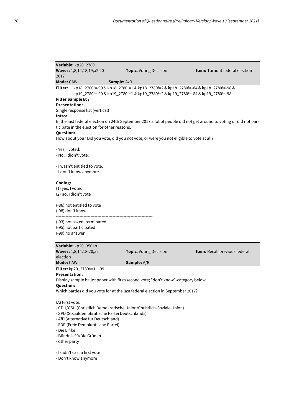| Variable: kp20_2780                                                                     |                                                                                  |                                                                                                                  |
|-----------------------------------------------------------------------------------------|----------------------------------------------------------------------------------|------------------------------------------------------------------------------------------------------------------|
| Waves: 1,8,14,18,19,a2,20                                                               | Topic: Voting Decision                                                           | Item: Turnout federal election                                                                                   |
| 2017                                                                                    |                                                                                  |                                                                                                                  |
| Mode: CAWI<br>Sample: A/B                                                               |                                                                                  |                                                                                                                  |
| Filter:                                                                                 | kp18_2780!=-99 & kp18_2780!=1 & kp18_2780!=2 & kp18_2780!=-84 & kp18_2780!=-98 & |                                                                                                                  |
|                                                                                         | kp19_2780!=-99 & kp19_2780!=1 & kp19_2780!=2 & kp19_2780!=-84 & kp19_2780!=-98   |                                                                                                                  |
| Filter Sample B: /<br><b>Presentation:</b>                                              |                                                                                  |                                                                                                                  |
| Single response list (vertical)                                                         |                                                                                  |                                                                                                                  |
| Intro:                                                                                  |                                                                                  |                                                                                                                  |
|                                                                                         |                                                                                  | In the last federal election on 24th September 2017 a lot of people did not get around to voting or did not par- |
| ticipate in the election for other reasons.                                             |                                                                                  |                                                                                                                  |
| <b>Question:</b>                                                                        |                                                                                  |                                                                                                                  |
| How about you? Did you vote, did you not vote, or were you not eligible to vote at all? |                                                                                  |                                                                                                                  |
|                                                                                         |                                                                                  |                                                                                                                  |
| - Yes, I voted.                                                                         |                                                                                  |                                                                                                                  |
| - No, I didn't vote.                                                                    |                                                                                  |                                                                                                                  |
|                                                                                         |                                                                                  |                                                                                                                  |
| - I wasn't entitled to vote.                                                            |                                                                                  |                                                                                                                  |
| - I don't know anymore.                                                                 |                                                                                  |                                                                                                                  |
| Coding:                                                                                 |                                                                                  |                                                                                                                  |
| (1) yes, I voted                                                                        |                                                                                  |                                                                                                                  |
| (2) no, I didn't vote                                                                   |                                                                                  |                                                                                                                  |
|                                                                                         |                                                                                  |                                                                                                                  |
| (-86) not entitled to vote                                                              |                                                                                  |                                                                                                                  |
| (-98) don't know                                                                        |                                                                                  |                                                                                                                  |
|                                                                                         |                                                                                  |                                                                                                                  |
| (-93) not asked, terminated                                                             |                                                                                  |                                                                                                                  |
| (-95) not participated                                                                  |                                                                                  |                                                                                                                  |
| (-99) no answer                                                                         |                                                                                  |                                                                                                                  |
|                                                                                         |                                                                                  |                                                                                                                  |
| Variable: kp20_350ab<br>Waves: 1,8,14,18-20,a2                                          | Topic: Voting Decision                                                           | Item: Recall previous federal                                                                                    |
| election                                                                                |                                                                                  |                                                                                                                  |
| Mode: CAWI                                                                              | Sample: A/B                                                                      |                                                                                                                  |
| <b>Filter:</b> kp20_2780==1   -99                                                       |                                                                                  |                                                                                                                  |
| <b>Presentation:</b>                                                                    |                                                                                  |                                                                                                                  |
| Display sample ballot paper with first/second vote; "don't know"-category below         |                                                                                  |                                                                                                                  |
| Question:                                                                               |                                                                                  |                                                                                                                  |
| Which parties did you vote for at the last federal election in September 2017?          |                                                                                  |                                                                                                                  |
|                                                                                         |                                                                                  |                                                                                                                  |
| (A) First vote:                                                                         |                                                                                  |                                                                                                                  |
| - CDU/CSU (Christlich Demokratische Union/Christlich-Soziale Union)                     |                                                                                  |                                                                                                                  |
| - SPD (Sozialdemokratische Partei Deutschlands)                                         |                                                                                  |                                                                                                                  |
| - AfD (Alternative für Deutschland)                                                     |                                                                                  |                                                                                                                  |
| - FDP (Freie Demokratische Partei)                                                      |                                                                                  |                                                                                                                  |
| - Die Linke                                                                             |                                                                                  |                                                                                                                  |
| - Bündnis 90/Die Grünen                                                                 |                                                                                  |                                                                                                                  |
| - other party                                                                           |                                                                                  |                                                                                                                  |
| - I didn't cast a first vote                                                            |                                                                                  |                                                                                                                  |

- Don't know anymore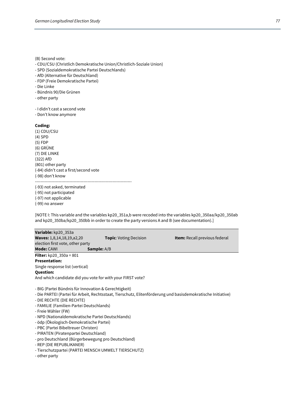(B) Second vote:

- CDU/CSU (Christlich Demokratische Union/Christlich-Soziale Union)
- SPD (Sozialdemokratische Partei Deutschlands)
- AfD (Alternative für Deutschland)
- FDP (Freie Demokratische Partei)
- Die Linke
- Bündnis 90/Die Grünen
- other party
- I didn't cast a second vote
- Don't know anymore

#### **Coding:**

(1) CDU/CSU (4) SPD (5) FDP (6) GRÜNE (7) DIE LINKE (322) AfD (801) other party (-84) didn't cast a first/second vote (-98) don't know

(-93) not asked, terminated (-95) not participated (-97) not applicable

(-99) no answer

[NOTE I: This variable and the variables kp20\_351a,b were recoded into the variables kp20\_350aa/kp20\_350ab and kp20\_350ba/kp20\_350bb in order to create the party versions A and B (see documentation).]

----------------------------------------------------------------------

**Variable:** kp20\_353a **Waves:** 1,8,14,18,19,a2,20 **Topic**: Voting Decision **Item:** Recall previous federal election first vote, other party **Mode:** CAWI **Sample:** A/B **Filter:** kp20\_350a = 801 **Presentation:**  Single response list (vertical) **Question:** And which candidate did you vote for with your FIRST vote? - BIG (Partei Bündnis für Innovation & Gerechtigkeit) - Die PARTEI (Partei für Arbeit, Rechtsstaat, Tierschutz, Elitenförderung und basisdemokratische Initiative) - DIE RECHTE (DIE RECHTE) - FAMILIE (Familien-Partei Deutschlands) - Freie Wähler (FW) - NPD (Nationaldemokratische Partei Deutschlands) - ödp (Ökologisch-Demokratische Partei)

- PBC (Partei Bibeltreuer Christen)
- PIRATEN (Piratenpartei Deutschland)
- pro Deutschland (Bürgerbewegung pro Deutschland)
- REP (DIE REPUBLIKANER)
- Tierschutzpartei (PARTEI MENSCH UMWELT TIERSCHUTZ)
- other party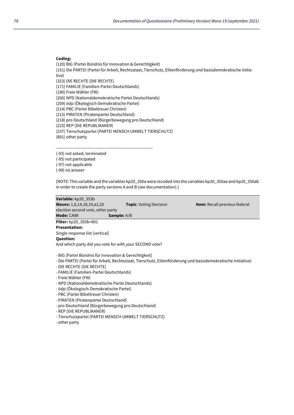### **Coding:**

(120) BIG (Partei Bündnis für Innovation & Gerechtigkeit)

(151) Die PARTEI (Partei für Arbeit, Rechtsstaat, Tierschutz, Elitenförderung und basisdemokratische Initiative)

(323) DIE RECHTE (DIE RECHTE)

(171) FAMILIE (Familien-Partei Deutschlands)

(180) Freie Wähler (FW)

(206) NPD (Nationaldemokratische Partei Deutschlands)

(209) ödp (Ökologisch-Demokratische Partei)

(214) PBC (Partei Bibeltreuer Christen)

(215) PIRATEN (Piratenpartei Deutschland)

(218) pro Deutschland (Bürgerbewegung pro Deutschland)

(225) REP (DIE REPUBLIKANER)

(237) Tierschutzpartei (PARTEI MENSCH UMWELT TIERSCHUTZ)

(801) other party

----------------------------------------------------------------------

(-93) not asked, terminated

(-95) not participated

(-97) not applicable

(-99) no answer

[NOTE: This variable and the variables kp20\_350a were recoded into the variables kp20\_350aa and kp20\_350ab in order to create the party versions A and B (see documentation).]

**Variable:** kp20\_353b **Waves:** 1,8,14,18,19,a2,20 **Topic**: Voting Decision **Item:** Recall previous federal election second vote, other party **Mode:** CAWI **Sample:** A/B **Filter:** kp20\_350b=801

**Presentation:**  Single response list (vertical) **Question:** And which party did you vote for with your SECOND vote?

- BIG (Partei Bündnis für Innovation & Gerechtigkeit)

- Die PARTEI (Partei für Arbeit, Rechtsstaat, Tierschutz, Elitenförderung und basisdemokratische Initiative)
- DIE RECHTE (DIE RECHTE)
- FAMILIE (Familien-Partei Deutschlands)
- Freie Wähler (FW)
- NPD (Nationaldemokratische Partei Deutschlands)
- ödp (Ökologisch-Demokratische Partei)
- PBC (Partei Bibeltreuer Christen)
- PIRATEN (Piratenpartei Deutschland)
- pro Deutschland (Bürgerbewegung pro Deutschland)
- REP (DIE REPUBLIKANER)
- Tierschutzpartei (PARTEI MENSCH UMWELT TIERSCHUTZ)
- other party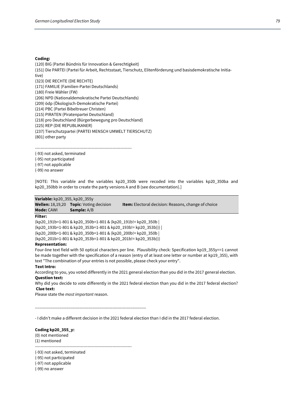#### **Coding:**

(120) BIG (Partei Bündnis für Innovation & Gerechtigkeit) (151) Die PARTEI (Partei für Arbeit, Rechtsstaat, Tierschutz, Elitenförderung und basisdemokratische Initiative) (323) DIE RECHTE (DIE RECHTE) (171) FAMILIE (Familien-Partei Deutschlands) (180) Freie Wähler (FW) (206) NPD (Nationaldemokratische Partei Deutschlands) (209) ödp (Ökologisch-Demokratische Partei) (214) PBC (Partei Bibeltreuer Christen) (215) PIRATEN (Piratenpartei Deutschland) (218) pro Deutschland (Bürgerbewegung pro Deutschland) (225) REP (DIE REPUBLIKANER)

(237) Tierschutzpartei (PARTEI MENSCH UMWELT TIERSCHUTZ)

(801) other party

----------------------------------------------------------------------

(-93) not asked, terminated

(-95) not participated (-97) not applicable

(-99) no answer

[NOTE: This variable and the variables kp20 350b were recoded into the variables kp20 350ba and kp20\_350bb in order to create the party versions A and B (see documentation).]

## **Variable:** kp20\_355, kp20\_355y

**Wellen:** 18,19,20 **Topic**: Voting decision **Item:** Electoral decision: Reasons, change of choice **Mode:** CAWI **Sample:** A/B

#### **Filter:**

(kp20\_191b=1-801 & kp20\_350b=1-801 & (kp20\_191b!= kp20\_350b | (kp20\_193b=1-801 & kp20\_353b=1-801 & kp20\_193b!= kp20\_353b))) | (kp20\_200b=1-801 & kp20\_350b=1-801 & (kp20\_200b!= kp20\_350b | (kp20\_201b=1-801 & kp20\_353b=1-801 & kp20\_201b!= kp20\_353b)))

## **Representation:**

Four-line text field with 50 optical characters per line. Plausibility check: Specification kp19\_355y==1 cannot be made together with the specification of a reason (entry of at least one letter or number at kp19\_355), with text "The combination of your entries is not possible, please check your entry".

#### **Text Intro:**

According to you, you voted differently in the 2021 general election than you did in the 2017 general election. **Question text:** 

Why did you decide to vote differently in the 2021 federal election than you did in the 2017 federal election? **Clue text:**

Please state the *most important* reason.

- I didn't make a different decision in the 2021 federal election than I did in the 2017 federal election.

#### **Coding kp20\_355\_y:**

(0) not mentioned (1) mentioned

----------------------------------------------------------------------

\_\_\_\_\_\_\_\_\_\_\_\_\_\_\_\_\_\_\_\_\_\_\_\_\_\_\_\_\_\_\_\_\_\_\_\_\_\_\_\_\_\_\_\_\_\_\_\_\_\_

(-93) not asked, terminated

(-95) not participated

(-97) not applicable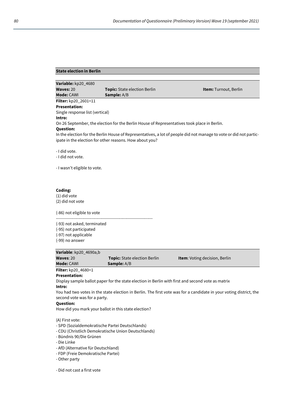## **State election in Berlin**

| Variable: kp20_4680             |                                                                                             |                                                                                                                    |
|---------------------------------|---------------------------------------------------------------------------------------------|--------------------------------------------------------------------------------------------------------------------|
| Waves: 20                       | <b>Topic:</b> State election Berlin                                                         | <b>Item:</b> Turnout, Berlin                                                                                       |
| <b>Mode: CAWI</b>               | <b>Sample:</b> A/B                                                                          |                                                                                                                    |
| <b>Filter:</b> kp20_2601=11     |                                                                                             |                                                                                                                    |
| <b>Presentation:</b>            |                                                                                             |                                                                                                                    |
| Single response list (vertical) |                                                                                             |                                                                                                                    |
| Intro:                          |                                                                                             |                                                                                                                    |
|                                 | On 26 September, the election for the Berlin House of Representatives took place in Berlin. |                                                                                                                    |
| <b>Question:</b>                |                                                                                             |                                                                                                                    |
|                                 |                                                                                             | In the election for the Berlin House of Representatives, a lot of people did not manage to vote or did not partic- |
|                                 | ipate in the election for other reasons. How about you?                                     |                                                                                                                    |
|                                 |                                                                                             |                                                                                                                    |
| - I did vote.                   |                                                                                             |                                                                                                                    |
| - I did not vote.               |                                                                                             |                                                                                                                    |
|                                 |                                                                                             |                                                                                                                    |
| - I wasn't eligible to vote.    |                                                                                             |                                                                                                                    |
|                                 |                                                                                             |                                                                                                                    |
|                                 |                                                                                             |                                                                                                                    |
|                                 |                                                                                             |                                                                                                                    |
| Coding:                         |                                                                                             |                                                                                                                    |

(1) did vote (2) did not vote

(-86) not eligible to vote

---------------------------------------------------------------------- (-93) not asked, terminated (-95) not participated

(-97) not applicable

(-99) no answer

| Variable: kp20 4690a,b |                                     |                                      |
|------------------------|-------------------------------------|--------------------------------------|
| Waves: $20$            | <b>Topic:</b> State election Berlin | <b>Item:</b> Voting decision, Berlin |
| <b>Mode: CAWI</b>      | <b>Sample:</b> A/B                  |                                      |
|                        |                                     |                                      |

## **Filter:** kp20\_4680=1

# **Presentation:**

Display sample ballot paper for the state election in Berlin with first and second vote as matrix **Intro:**

You had two votes in the state election in Berlin. The first vote was for a candidate in your voting district, the second vote was for a party.

## **Question:**

How did you mark your ballot in this state election?

(A) First vote:

- SPD (Sozialdemokratische Partei Deutschlands)
- CDU (Christlich Demokratische Union Deutschlands)
- Bündnis 90/Die Grünen
- Die Linke
- AfD (Alternative für Deutschland)
- FDP (Freie Demokratische Partei)
- Other party
- Did not cast a first vote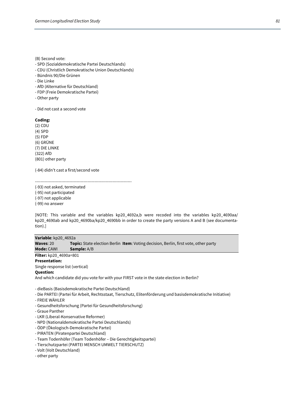(B) Second vote:

- SPD (Sozialdemokratische Partei Deutschlands)
- CDU (Christlich Demokratische Union Deutschlands)
- Bündnis 90/Die Grünen
- Die Linke
- AfD (Alternative für Deutschland)
- FDP (Freie Demokratische Partei)
- Other party

- Did not cast a second vote

**Coding:**

(2) CDU (4) SPD (5) FDP (6) GRÜNE (7) DIE LINKE (322) AfD (801) other party

(-84) didn't cast a first/second vote

----------------------------------------------------------------------

(-93) not asked, terminated (-95) not participated (-97) not applicable (-99) no answer

[NOTE: This variable and the variables kp20\_4692a,b were recoded into the variables kp20\_4690aa/ kp20\_4690ab and kp20\_4690ba/kp20\_4690bb in order to create the party versions A and B (see documentation).]

## **Variable**: kp20\_4692a

**Waves**: 20 **Topic:** State election Berlin **Item**: Voting decision, Berlin, first vote, other party **Mode:** CAWI **Sample:** A/B

**Filter:** kp20\_4690a=801

**Presentation:**

Single response list (vertical)

# **Question:**

And which candidate did you vote for with your FIRST vote in the state election in Berlin?

- dieBasis (Basisdemokratische Partei Deutschland)

- Die PARTEI (Partei für Arbeit, Rechtsstaat, Tierschutz, Elitenförderung und basisdemokratische Initiative)
- FREIE WÄHLER
- Gesundheitsforschung (Partei für Gesundheitsforschung)
- Graue Panther
- LKR (Liberal-Konservative Reformer)
- NPD (Nationaldemokratische Partei Deutschlands)
- ÖDP (Ökologisch-Demokratische Partei)
- PIRATEN (Piratenpartei Deutschland)
- Team Todenhöfer (Team Todenhöfer Die Gerechtigkeitspartei)
- Tierschutzpartei (PARTEI MENSCH UMWELT TIERSCHUTZ)
- Volt (Volt Deutschland)
- other party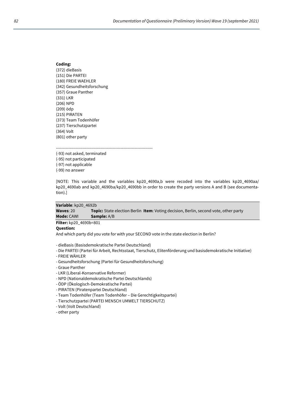## **Coding:** (372) dieBasis (151) Die PARTEI (180) FREIE WAEHLER (342) Gesundheitsforschung (357) Graue Panther (331) LKR (206) NPD (209) ödp (215) PIRATEN (373) Team Todenhöfer (237) Tierschutzpartei (364) Volt (801) other party

---------------------------------------------------------------------- (-93) not asked, terminated

(-95) not participated (-97) not applicable (-99) no answer

[NOTE: This variable and the variables kp20 4690a,b were recoded into the variables kp20 4690aa/ kp20\_4690ab and kp20\_4690ba/kp20\_4690bb in order to create the party versions A and B (see documentation).]

### **Variable**: kp20\_4692b

**Waves**: 20 **Topic:** State election Berlin **Item**: Voting decision, Berlin, second vote, other party **Mode:** CAWI **Sample:** A/B

#### **Filter:** kp20\_4690b=801 **Question:**

And which party did you vote for with your SECOND vote in the state election in Berlin?

- dieBasis (Basisdemokratische Partei Deutschland)

- Die PARTEI (Partei für Arbeit, Rechtsstaat, Tierschutz, Elitenförderung und basisdemokratische Initiative)

- FREIE WÄHLER
- Gesundheitsforschung (Partei für Gesundheitsforschung)
- Graue Panther
- LKR (Liberal-Konservative Reformer)
- NPD (Nationaldemokratische Partei Deutschlands)
- ÖDP (Ökologisch-Demokratische Partei)
- PIRATEN (Piratenpartei Deutschland)
- Team Todenhöfer (Team Todenhöfer Die Gerechtigkeitspartei)
- Tierschutzpartei (PARTEI MENSCH UMWELT TIERSCHUTZ)
- Volt (Volt Deutschland)
- other party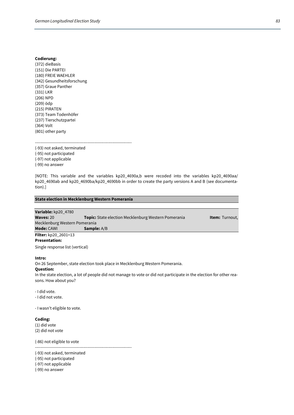### **Codierung:**

(372) dieBasis (151) Die PARTEI (180) FREIE WAEHLER (342) Gesundheitsforschung (357) Graue Panther (331) LKR (206) NPD (209) ödp (215) PIRATEN (373) Team Todenhöfer (237) Tierschutzpartei (364) Volt (801) other party

----------------------------------------------------------------------

(-93) not asked, terminated (-95) not participated (-97) not applicable (-99) no answer

[NOTE: This variable and the variables kp20 4690a,b were recoded into the variables kp20 4690aa/ kp20\_4690ab and kp20\_4690ba/kp20\_4690bb in order to create the party versions A and B (see documentation).]

## **State election in Mecklenburg Western Pomerania**

| Variable: kp20 4780           |                                                            |                       |
|-------------------------------|------------------------------------------------------------|-----------------------|
| Waves: 20                     | <b>Topic:</b> State election Mecklenburg Western Pomerania | <b>Item:</b> Turnout, |
| Mecklenburg Western Pomerania |                                                            |                       |
| <b>Mode: CAWL</b>             | <b>Sample:</b> A/B                                         |                       |
| $P(1) = 1$ 00.0001.10         |                                                            |                       |

**Filter:** kp20\_2601=13 **Presentation:**

Single response list (vertical)

#### **Intro:**

On 26 September, state election took place in Mecklenburg Western Pomerania. **Question:**

In the state election, a lot of people did not manage to vote or did not participate in the election for other reasons. How about you?

- I did vote.
- I did not vote.

- I wasn't eligible to vote.

#### **Coding:**

(1) did vote (2) did not vote

(-86) not eligible to vote

(-93) not asked, terminated

----------------------------------------------------------------------

(-95) not participated

(-97) not applicable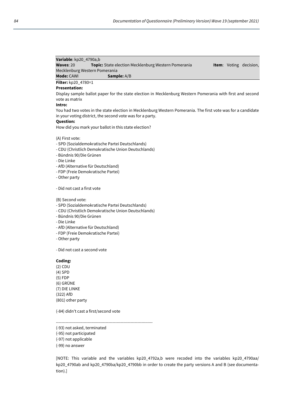|                               | <b>Variable:</b> $kp20$ 4790a,b |                                                            |  |                               |
|-------------------------------|---------------------------------|------------------------------------------------------------|--|-------------------------------|
|                               | Waves: $20$                     | <b>Topic:</b> State election Mecklenburg Western Pomerania |  | <b>Item:</b> Voting decision, |
| Mecklenburg Western Pomerania |                                 |                                                            |  |                               |
|                               | <b>Mode:</b> CAWI               | <b>Sample:</b> A/B                                         |  |                               |

**Filter:** kp20\_4780=1

### **Presentation:**

Display sample ballot paper for the state election in Mecklenburg Western Pomerania with first and second vote as matrix

## **Intro:**

You had two votes in the state election in Mecklenburg Western Pomerania. The first vote was for a candidate in your voting district, the second vote was for a party.

## **Question:**

How did you mark your ballot in this state election?

(A) First vote:

- SPD (Sozialdemokratische Partei Deutschlands)
- CDU (Christlich Demokratische Union Deutschlands)
- Bündnis 90/Die Grünen
- Die Linke
- AfD (Alternative für Deutschland)
- FDP (Freie Demokratische Partei)
- Other party

# - Did not cast a first vote

(B) Second vote:

- SPD (Sozialdemokratische Partei Deutschlands)
- CDU (Christlich Demokratische Union Deutschlands)
- Bündnis 90/Die Grünen
- Die Linke
- AfD (Alternative für Deutschland)
- FDP (Freie Demokratische Partei)
- Other party

- Did not cast a second vote

# **Coding:**

(2) CDU (4) SPD (5) FDP (6) GRÜNE (7) DIE LINKE (322) AfD (801) other party

(-84) didn't cast a first/second vote

----------------------------------------------------------------------

- (-93) not asked, terminated
- (-95) not participated
- (-97) not applicable
- (-99) no answer

[NOTE: This variable and the variables kp20\_4792a,b were recoded into the variables kp20\_4790aa/ kp20\_4790ab and kp20\_4790ba/kp20\_4790bb in order to create the party versions A and B (see documentation).]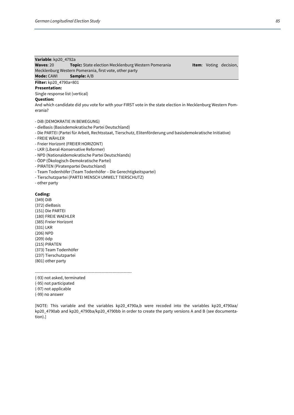# **Variable**: kp20\_4792a

**Waves**: 20 **Topic:** State election Mecklenburg Western Pomerania **Item**: Voting decision, Mecklenburg Western Pomerania, first vote, other party

**Mode:** CAWI **Sample:** A/B

# **Filter:** kp20\_4790a=801

**Presentation:** Single response list (vertical)

**Question:**

And which candidate did you vote for with your FIRST vote in the state election in Mecklenburg Western Pomerania?

- DiB (DEMOKRATIE IN BEWEGUNG)
- dieBasis (Basisdemokratische Partei Deutschland)
- Die PARTEI (Partei für Arbeit, Rechtsstaat, Tierschutz, Elitenförderung und basisdemokratische Initiative)
- FREIE WÄHLER
- Freier Horizont (FREIER HORIZONT)
- LKR (Liberal-Konservative Reformer)
- NPD (Nationaldemokratische Partei Deutschlands)
- ÖDP (Ökologisch-Demokratische Partei)
- PIRATEN (Piratenpartei Deutschland)
- Team Todenhöfer (Team Todenhöfer Die Gerechtigkeitspartei)
- Tierschutzpartei (PARTEI MENSCH UMWELT TIERSCHUTZ)
- other party

## **Coding:**

(349) DiB (372) dieBasis (151) Die PARTEI (180) FREIE WAEHLER (385) Freier Horizont (331) LKR (206) NPD (209) ödp (215) PIRATEN (373) Team Todenhöfer (237) Tierschutzpartei (801) other party

----------------------------------------------------------------------

(-93) not asked, terminated (-95) not participated (-97) not applicable (-99) no answer

[NOTE: This variable and the variables kp20 4790a,b were recoded into the variables kp20 4790aa/ kp20\_4790ab and kp20\_4790ba/kp20\_4790bb in order to create the party versions A and B (see documentation).]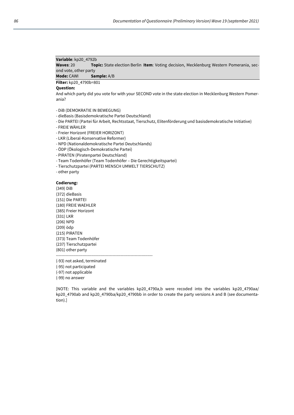## **Variable**: kp20\_4792b

**Waves**: 20 **Topic:** State election Berlin **Item**: Voting decision, Mecklenburg Western Pomerania, second vote, other party

# **Mode:** CAWI **Sample:** A/B

**Filter:** kp20\_4790b=801

## **Question:**

And which party did you vote for with your SECOND vote in the state election in Mecklenburg Western Pomerania?

- DiB (DEMOKRATIE IN BEWEGUNG)
- dieBasis (Basisdemokratische Partei Deutschland)
- Die PARTEI (Partei für Arbeit, Rechtsstaat, Tierschutz, Elitenförderung und basisdemokratische Initiative)
- FREIE WÄHLER
- Freier Horizont (FREIER HORIZONT)
- LKR (Liberal-Konservative Reformer)
- NPD (Nationaldemokratische Partei Deutschlands)
- ÖDP (Ökologisch-Demokratische Partei)
- PIRATEN (Piratenpartei Deutschland)
- Team Todenhöfer (Team Todenhöfer Die Gerechtigkeitspartei)
- Tierschutzpartei (PARTEI MENSCH UMWELT TIERSCHUTZ)
- other party

### **Codierung:**

(349) DiB (372) dieBasis (151) Die PARTEI (180) FREIE WAEHLER (385) Freier Horizont (331) LKR (206) NPD (209) ödp (215) PIRATEN (373) Team Todenhöfer (237) Tierschutzpartei (801) other party ----------------------------------------------------------------------

(-93) not asked, terminated

- (-95) not participated
- (-97) not applicable

(-99) no answer

[NOTE: This variable and the variables kp20 4790a,b were recoded into the variables kp20 4790aa/ kp20\_4790ab and kp20\_4790ba/kp20\_4790bb in order to create the party versions A and B (see documentation).]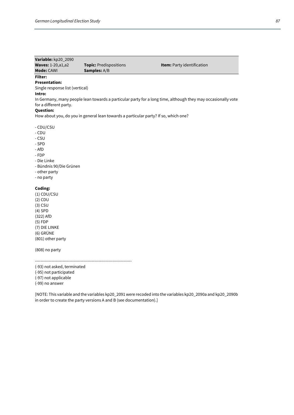| Variable: kp20_2090               |                                                                                     |                                                                                                              |
|-----------------------------------|-------------------------------------------------------------------------------------|--------------------------------------------------------------------------------------------------------------|
| Waves: 1-20, a1, a2<br>Mode: CAWI | Topic: Predispositions<br>Samples: A/B                                              | Item: Party identification                                                                                   |
|                                   |                                                                                     |                                                                                                              |
| <b>Filter:</b>                    |                                                                                     |                                                                                                              |
| <b>Presentation:</b>              |                                                                                     |                                                                                                              |
| Single response list (vertical)   |                                                                                     |                                                                                                              |
| Intro:                            |                                                                                     |                                                                                                              |
| for a different party.            |                                                                                     | In Germany, many people lean towards a particular party for a long time, although they may occasionally vote |
| <b>Question:</b>                  |                                                                                     |                                                                                                              |
|                                   | How about you, do you in general lean towards a particular party? If so, which one? |                                                                                                              |
|                                   |                                                                                     |                                                                                                              |
| - CDU/CSU                         |                                                                                     |                                                                                                              |
| - CDU                             |                                                                                     |                                                                                                              |
| - CSU                             |                                                                                     |                                                                                                              |
| - SPD                             |                                                                                     |                                                                                                              |
| - AfD                             |                                                                                     |                                                                                                              |
| - FDP                             |                                                                                     |                                                                                                              |
| - Die Linke                       |                                                                                     |                                                                                                              |
| - Bündnis 90/Die Grünen           |                                                                                     |                                                                                                              |
| - other party                     |                                                                                     |                                                                                                              |
| - no party                        |                                                                                     |                                                                                                              |
|                                   |                                                                                     |                                                                                                              |
| Coding:                           |                                                                                     |                                                                                                              |
| $(1)$ CDU/CSU                     |                                                                                     |                                                                                                              |
| $(2)$ CDU                         |                                                                                     |                                                                                                              |
| $(3)$ CSU                         |                                                                                     |                                                                                                              |
| $(4)$ SPD                         |                                                                                     |                                                                                                              |
| (322) AfD                         |                                                                                     |                                                                                                              |
| $(5)$ FDP                         |                                                                                     |                                                                                                              |
| (7) DIE LINKE                     |                                                                                     |                                                                                                              |
| (6) GRÜNE                         |                                                                                     |                                                                                                              |
| (801) other party                 |                                                                                     |                                                                                                              |
|                                   |                                                                                     |                                                                                                              |
| (808) no party                    |                                                                                     |                                                                                                              |
|                                   |                                                                                     |                                                                                                              |
|                                   |                                                                                     |                                                                                                              |

(-93) not asked, terminated

(-95) not participated

(-97) not applicable

(-99) no answer

[NOTE: This variable and the variables kp20\_2091 were recoded into the variables kp20\_2090a and kp20\_2090b in order to create the party versions A and B (see documentation).]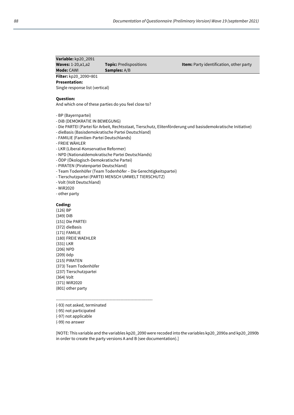| Variable: kp20_2091        |                             |
|----------------------------|-----------------------------|
| <b>Waves: 1-20, a1, a2</b> | <b>Topic:</b> Predispositio |
| <b>Mode: CAWI</b>          | <b>Samples:</b> A/B         |

**Waves:** 15-20, and **Item:** Party identification, other party

**Filter:** kp20\_2090=801 **Presentation:** 

Single response list (vertical)

## **Question:**

And which one of these parties do you feel close to?

- BP (Bayernpartei)
- DiB (DEMOKRATIE IN BEWEGUNG)
- Die PARTEI (Partei für Arbeit, Rechtsstaat, Tierschutz, Elitenförderung und basisdemokratische Initiative)
- dieBasis (Basisdemokratische Partei Deutschland)
- FAMILIE (Familien-Partei Deutschlands)
- FREIE WÄHLER
- LKR (Liberal-Konservative Reformer)
- NPD (Nationaldemokratische Partei Deutschlands)
- ÖDP (Ökologisch-Demokratische Partei)
- PIRATEN (Piratenpartei Deutschland)
- Team Todenhöfer (Team Todenhöfer Die Gerechtigkeitspartei)
- Tierschutzpartei (PARTEI MENSCH UMWELT TIERSCHUTZ)
- Volt (Volt Deutschland)
- WiR2020
- other party

## **Coding:**

(126) BP (349) DiB (151) Die PARTEI (372) dieBasis (171) FAMILIE (180) FREIE WAEHLER (331) LKR (206) NPD (209) ödp (215) PIRATEN (373) Team Todenhöfer (237) Tierschutzpartei (364) Volt (371) WiR2020 (801) other party

----------------------------------------------------------------------

- (-93) not asked, terminated
- (-95) not participated
- (-97) not applicable
- (-99) no answer

[NOTE: This variable and the variables kp20\_2090 were recoded into the variables kp20\_2090a and kp20\_2090b in order to create the party versions A and B (see documentation).]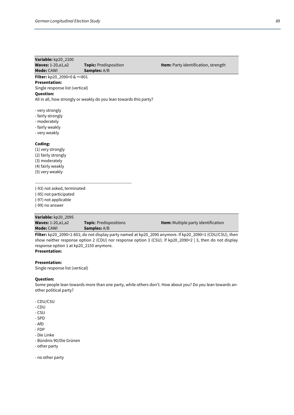| Variable: kp20_2100             |                                                                    |                                                                                                          |
|---------------------------------|--------------------------------------------------------------------|----------------------------------------------------------------------------------------------------------|
| <b>Waves: 1-20, a1, a2</b>      | <b>Topic: Predisposition</b>                                       | Item: Party identification, strength                                                                     |
| Mode: CAWI                      | Samples: A/B                                                       |                                                                                                          |
| Filter: kp20_2090>0 & <=801     |                                                                    |                                                                                                          |
| <b>Presentation:</b>            |                                                                    |                                                                                                          |
| Single response list (vertical) |                                                                    |                                                                                                          |
| <b>Question:</b>                |                                                                    |                                                                                                          |
|                                 | All in all, how strongly or weakly do you lean towards this party? |                                                                                                          |
| - very strongly                 |                                                                    |                                                                                                          |
| - fairly strongly               |                                                                    |                                                                                                          |
| - moderately                    |                                                                    |                                                                                                          |
| - fairly weakly                 |                                                                    |                                                                                                          |
| - very weakly                   |                                                                    |                                                                                                          |
| Coding:                         |                                                                    |                                                                                                          |
| (1) very strongly               |                                                                    |                                                                                                          |
| (2) fairly strongly             |                                                                    |                                                                                                          |
| (3) moderately                  |                                                                    |                                                                                                          |
| (4) fairly weakly               |                                                                    |                                                                                                          |
| (5) very weakly                 |                                                                    |                                                                                                          |
|                                 |                                                                    |                                                                                                          |
| (-93) not asked, terminated     |                                                                    |                                                                                                          |
| (-95) not participated          |                                                                    |                                                                                                          |
| (-97) not applicable            |                                                                    |                                                                                                          |
| (-99) no answer                 |                                                                    |                                                                                                          |
| Variable: kp20_2095             |                                                                    |                                                                                                          |
| <b>Waves: 1-20, a1, a2</b>      | Topic: Predispositions                                             | <b>Item:</b> Multiple party identification                                                               |
| <b>Mode: CAWI</b>               | Samples: A/B                                                       |                                                                                                          |
|                                 |                                                                    | Filter: kp20_2090=1-801; do not display party named at kp20_2090 anymore. If kp20_2090=1 (CDU/CSU), then |

show neither response option 2 (CDU) nor response option 3 (CSU). If kp20\_2090=2 | 3, then do not display response option 1 at kp20\_2150 anymore. **Presentation:** 

# **Presentation:**

Single response list (vertical)

# **Question:**

Some people lean towards more than one party, while others don't. How about you? Do you lean towards another political party?

- CDU/CSU
- CDU
- CSU
- SPD
- AfD
- FDP
- Die Linke
- Bündnis 90/Die Grünen
- other party

- no other party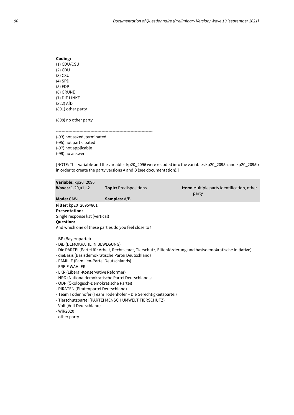| Coding:           |
|-------------------|
| (1) CDU/CSU       |
| (2) CDU           |
| $(3)$ CSU         |
| $(4)$ SPD         |
| $(5)$ FDP         |
| (6) GRÜNE         |
| (7) DIE LINKE     |
| (322) AfD         |
| (801) other party |
|                   |

(808) no other party

----------------------------------------------------------------------

(-93) not asked, terminated

(-95) not participated

(-97) not applicable

(-99) no answer

[NOTE: This variable and the variables kp20\_2096 were recoded into the variables kp20\_2095a and kp20\_2095b in order to create the party versions A and B (see documentation).]

| Variable: kp20_2096                                                                                                                                                                                                                                                                        |                                                                                                                                                                                                                                   |                                                                                                              |
|--------------------------------------------------------------------------------------------------------------------------------------------------------------------------------------------------------------------------------------------------------------------------------------------|-----------------------------------------------------------------------------------------------------------------------------------------------------------------------------------------------------------------------------------|--------------------------------------------------------------------------------------------------------------|
| <b>Waves: 1-20, a1, a2</b>                                                                                                                                                                                                                                                                 | <b>Topic: Predispositions</b>                                                                                                                                                                                                     | <b>Item:</b> Multiple party identification, other<br>party                                                   |
| <b>Mode: CAWI</b>                                                                                                                                                                                                                                                                          | <b>Samples:</b> A/B                                                                                                                                                                                                               |                                                                                                              |
| <b>Filter:</b> kp20_2095=801                                                                                                                                                                                                                                                               |                                                                                                                                                                                                                                   |                                                                                                              |
| <b>Presentation:</b>                                                                                                                                                                                                                                                                       |                                                                                                                                                                                                                                   |                                                                                                              |
| Single response list (vertical)                                                                                                                                                                                                                                                            |                                                                                                                                                                                                                                   |                                                                                                              |
| <b>Question:</b>                                                                                                                                                                                                                                                                           |                                                                                                                                                                                                                                   |                                                                                                              |
|                                                                                                                                                                                                                                                                                            | And which one of these parties do you feel close to?                                                                                                                                                                              |                                                                                                              |
| - BP (Bayernpartei)<br>- DIB (DEMOKRATIE IN BEWEGUNG)<br>- FAMILIE (Familien-Partei Deutschlands)<br>- FREIE WÄHLER<br>- LKR (Liberal-Konservative Reformer)<br>- ÖDP (Ökologisch-Demokratische Partei)<br>- PIRATEN (Piratenpartei Deutschland)<br>- Volt (Volt Deutschland)<br>- WiR2020 | - dieBasis (Basisdemokratische Partei Deutschland)<br>- NPD (Nationaldemokratische Partei Deutschlands)<br>- Team Todenhöfer (Team Todenhöfer – Die Gerechtigkeitspartei)<br>- Tierschutzpartei (PARTEI MENSCH UMWELT TIERSCHUTZ) | - Die PARTEI (Partei für Arbeit, Rechtsstaat, Tierschutz, Elitenförderung und basisdemokratische Initiative) |

- other party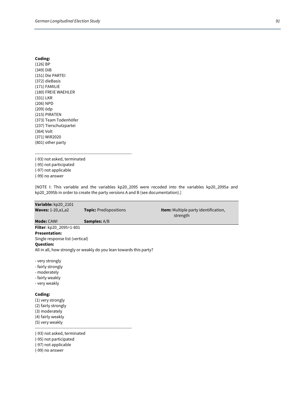## **Coding:**

(126) BP (349) DiB (151) Die PARTEI (372) dieBasis (171) FAMILIE (180) FREIE WAEHLER (331) LKR (206) NPD (209) ödp (215) PIRATEN (373) Team Todenhöfer (237) Tierschutzpartei (364) Volt (371) WiR2020 (801) other party

----------------------------------------------------------------------

(-93) not asked, terminated (-95) not participated (-97) not applicable (-99) no answer

[NOTE I: This variable and the variables kp20\_2095 were recoded into the variables kp20\_2095a and kp20\_2095b in order to create the party versions A and B (see documentation).]

| Variable: kp20_2101                                                                                           |                                                                    |                                                  |
|---------------------------------------------------------------------------------------------------------------|--------------------------------------------------------------------|--------------------------------------------------|
| <b>Waves: 1-20, a1, a2</b>                                                                                    | <b>Topic: Predispositions</b>                                      | Item: Multiple party identification,<br>strength |
| Mode: CAWI                                                                                                    | Samples: A/B                                                       |                                                  |
| Filter: kp20_2095=1-801                                                                                       |                                                                    |                                                  |
| <b>Presentation:</b>                                                                                          |                                                                    |                                                  |
| Single response list (vertical)                                                                               |                                                                    |                                                  |
| <b>Question:</b>                                                                                              |                                                                    |                                                  |
|                                                                                                               | All in all, how strongly or weakly do you lean towards this party? |                                                  |
| - very strongly<br>- fairly strongly<br>- moderately<br>- fairly weakly<br>- very weakly                      |                                                                    |                                                  |
| Coding:<br>(1) very strongly<br>(2) fairly strongly<br>(3) moderately<br>(4) fairly weakly<br>(5) very weakly |                                                                    |                                                  |
| (-93) not asked, terminated<br>(-95) not participated<br>(-97) not applicable                                 |                                                                    |                                                  |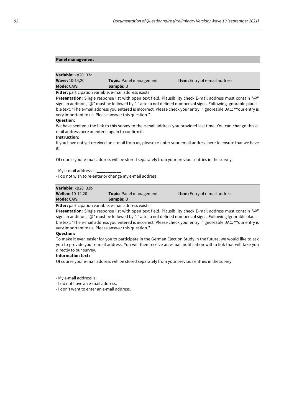## **Panel management**

| <b>Mode:</b> CAWI     | <b>Sample:</b> B               |                                      |
|-----------------------|--------------------------------|--------------------------------------|
| <b>Wave: 10-14,20</b> | <b>Topic:</b> Panel management | <b>Item:</b> Entry of e-mail address |
| Variable: kp20_33a    |                                |                                      |

**Filter:** participation variable: e-mail address exists

**Presentation:** Single response list with open text field. Plausibility check E-mail address must contain "@" sign, in addition, "@" must be followed by "." after a not defined numbers of signs. Following Ignorable plausible text: "The e-mail address you entered is incorrect. Please check your entry. "Ignoreable DAC: "Your entry is very important to us. Please answer this question.".

#### **Question:**

We have sent you the link to this survey to the e-mail address you provided last time. You can change this email address here or enter it again to confirm it.

#### **Instruction**:

If you have not yet received an e-mail from us, please re-enter your email address here to ensure that we have it.

Of course your e-mail address will be stored separately from your previous entries in the survey.

- My e-mail address is:\_\_\_\_\_\_\_\_\_\_\_

- I do not wish to re-enter or change my e-mail address.

| Variable: kp20 33b                                                               |                                |                                      |
|----------------------------------------------------------------------------------|--------------------------------|--------------------------------------|
| <b>Wellen: 10-14,20</b>                                                          | <b>Topic:</b> Panel management | <b>Item:</b> Entry of e-mail address |
| <b>Mode: CAWI</b>                                                                | <b>Sample:</b> B               |                                      |
| . Militara de contrator distance de stala la concerna el la distancia de stala d |                                |                                      |

**Filter:** participation variable: e-mail address exists

**Presentation:** Single response list with open text field. Plausibility check E-mail address must contain "@" sign, in addition, "@" must be followed by "." after a not defined numbers of signs. Following Ignorable plausible text: "The e-mail address you entered is incorrect. Please check your entry. "Ignoreable DAC: "Your entry is very important to us. Please answer this question.".

#### **Question:**

To make it even easier for you to participate in the German Election Study in the future, we would like to ask you to provide your e-mail address. You will then receive an e-mail notification with a link that will take you directly to our survey.

#### **Information text:**

Of course your e-mail address will be stored separately from your previous entries in the survey.

- My e-mail address is:\_\_\_\_\_\_\_\_\_\_\_

- I do not have an e-mail address.

- I don't want to enter an e-mail address.